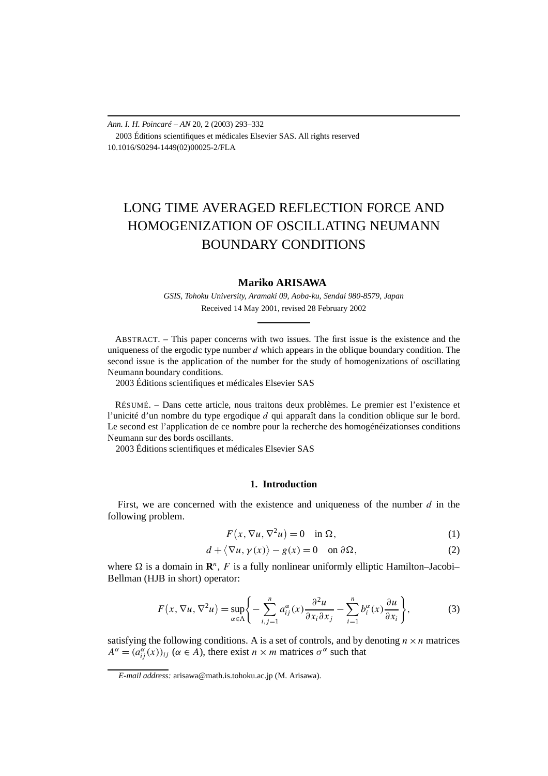*Ann. I. H. Poincaré – AN* 20, 2 (2003) 293–332 2003 Éditions scientifiques et médicales Elsevier SAS. All rights reserved 10.1016/S0294-1449(02)00025-2/FLA

# LONG TIME AVERAGED REFLECTION FORCE AND HOMOGENIZATION OF OSCILLATING NEUMANN BOUNDARY CONDITIONS

# **Mariko ARISAWA**

*GSIS, Tohoku University, Aramaki 09, Aoba-ku, Sendai 980-8579, Japan* Received 14 May 2001, revised 28 February 2002

ABSTRACT. – This paper concerns with two issues. The first issue is the existence and the uniqueness of the ergodic type number *d* which appears in the oblique boundary condition. The second issue is the application of the number for the study of homogenizations of oscillating Neumann boundary conditions.

2003 Éditions scientifiques et médicales Elsevier SAS

RÉSUMÉ. – Dans cette article, nous traitons deux problèmes. Le premier est l'existence et l'unicité d'un nombre du type ergodique *d* qui apparaît dans la condition oblique sur le bord. Le second est l'application de ce nombre pour la recherche des homogénéizationses conditions Neumann sur des bords oscillants.

2003 Éditions scientifiques et médicales Elsevier SAS

## **1. Introduction**

First, we are concerned with the existence and uniqueness of the number *d* in the following problem.

$$
F(x, \nabla u, \nabla^2 u) = 0 \quad \text{in } \Omega,
$$
\n<sup>(1)</sup>

$$
d + \langle \nabla u, \gamma(x) \rangle - g(x) = 0 \quad \text{on } \partial \Omega,
$$
 (2)

where  $\Omega$  is a domain in  $\mathbb{R}^n$ , F is a fully nonlinear uniformly elliptic Hamilton–Jacobi– Bellman (HJB in short) operator:

$$
F(x, \nabla u, \nabla^2 u) = \sup_{\alpha \in A} \left\{ -\sum_{i,j=1}^n a_{ij}^{\alpha}(x) \frac{\partial^2 u}{\partial x_i \partial x_j} - \sum_{i=1}^n b_i^{\alpha}(x) \frac{\partial u}{\partial x_i} \right\},\tag{3}
$$

satisfying the following conditions. A is a set of controls, and by denoting  $n \times n$  matrices  $A^{\alpha} = (a_{ij}^{\alpha}(x))_{ij}$  ( $\alpha \in A$ ), there exist  $n \times m$  matrices  $\sigma^{\alpha}$  such that

*E-mail address:* arisawa@math.is.tohoku.ac.jp (M. Arisawa).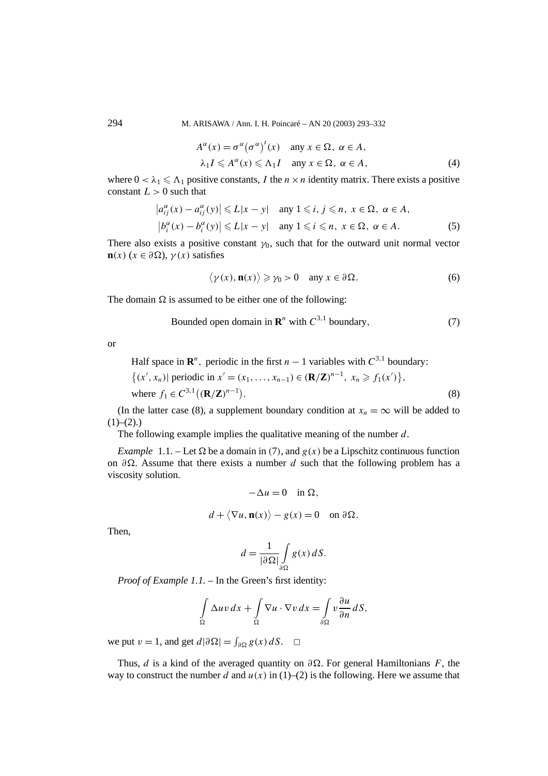294 M. ARISAWA / Ann. I. H. Poincaré – AN 20 (2003) 293–332

$$
A^{\alpha}(x) = \sigma^{\alpha}(\sigma^{\alpha})^{t}(x) \quad \text{any } x \in \Omega, \ \alpha \in A,
$$
  

$$
\lambda_{1} I \leq A^{\alpha}(x) \leq \Lambda_{1} I \quad \text{any } x \in \Omega, \ \alpha \in A,
$$
 (4)

where  $0 < \lambda_1 \le \Lambda_1$  positive constants, *I* the  $n \times n$  identity matrix. There exists a positive constant  $L > 0$  such that

$$
\left| a_{ij}^{\alpha}(x) - a_{ij}^{\alpha}(y) \right| \leq L|x - y| \quad \text{any } 1 \leq i, j \leq n, x \in \Omega, \alpha \in A,
$$
  

$$
\left| b_{i}^{\alpha}(x) - b_{i}^{\alpha}(y) \right| \leq L|x - y| \quad \text{any } 1 \leq i \leq n, x \in \Omega, \alpha \in A.
$$
 (5)

There also exists a positive constant  $\gamma_0$ , such that for the outward unit normal vector **n** $(x)$  ( $x \in \partial \Omega$ ),  $\gamma(x)$  satisfies

$$
\langle \gamma(x), \mathbf{n}(x) \rangle \geqslant \gamma_0 > 0 \quad \text{any } x \in \partial \Omega. \tag{6}
$$

The domain  $\Omega$  is assumed to be either one of the following:

Bounded open domain in 
$$
\mathbb{R}^n
$$
 with  $C^{3,1}$  boundary,  $(7)$ 

or

Half space in  $\mathbb{R}^n$ , periodic in the first *n* − 1 variables with  $C^{3,1}$  boundary:

$$
\{(x', x_n) | \text{ periodic in } x' = (x_1, \dots, x_{n-1}) \in (\mathbf{R}/\mathbf{Z})^{n-1}, x_n \ge f_1(x')\},\
$$
  
where  $f_1 \in C^{3,1}((\mathbf{R}/\mathbf{Z})^{n-1}).$  (8)

(In the latter case (8), a supplement boundary condition at  $x_n = \infty$  will be added to  $(1)–(2)$ .

The following example implies the qualitative meaning of the number *d*.

*Example* 1.1. – Let  $\Omega$  be a domain in (7), and  $g(x)$  be a Lipschitz continuous function on *∂*. Assume that there exists a number *d* such that the following problem has a viscosity solution.

$$
-\Delta u = 0 \quad \text{in } \Omega,
$$

$$
d + \langle \nabla u, \mathbf{n}(x) \rangle - g(x) = 0 \quad \text{on } \partial \Omega.
$$

Then,

$$
d = \frac{1}{|\partial \Omega|} \int\limits_{\partial \Omega} g(x) \, dS.
$$

*Proof of Example 1.1.* – In the Green's first identity: 
$$
\frac{1}{2} + \frac{1}{2} = \frac{1}{2} + \frac{1}{2} = \frac{1}{2} + \frac{1}{2} = \frac{1}{2} + \frac{1}{2} = \frac{1}{2} + \frac{1}{2} = \frac{1}{2} + \frac{1}{2} = \frac{1}{2} + \frac{1}{2} = \frac{1}{2} + \frac{1}{2} = \frac{1}{2} + \frac{1}{2} = \frac{1}{2} + \frac{1}{2} = \frac{1}{2} + \frac{1}{2} = \frac{1}{2} + \frac{1}{2} = \frac{1}{2} + \frac{1}{2} = \frac{1}{2} + \frac{1}{2} = \frac{1}{2} + \frac{1}{2} = \frac{1}{2} + \frac{1}{2} = \frac{1}{2} + \frac{1}{2} = \frac{1}{2} + \frac{1}{2} = \frac{1}{2} + \frac{1}{2} = \frac{1}{2} + \frac{1}{2} = \frac{1}{2} + \frac{1}{2} = \frac{1}{2} + \frac{1}{2} = \frac{1}{2} + \frac{1}{2} = \frac{1}{2} + \frac{1}{2} = \frac{1}{2} + \frac{1}{2} = \frac{1}{2} + \frac{1}{2} = \frac{1}{2} + \frac{1}{2} = \frac{1}{2} + \frac{1}{2} = \frac{1}{2} + \frac{1}{2} = \frac{1}{2} + \frac{1}{2} = \frac{1}{2} + \frac{1}{2} = \frac{1}{2} + \frac{1}{2} = \frac{1}{2} + \frac{1}{2} = \frac{1}{2} + \frac{1}{2} = \frac{1}{2} + \frac{1}{2} = \frac{1}{2} + \frac{1}{2} = \frac{1}{2} + \frac{1}{2} = \frac{1}{2} + \frac{1}{2} = \frac{1}{2} + \frac{1}{2} = \frac{1}{2} + \frac{1}{2} = \frac{1}{2} + \frac{1}{2} = \frac{1}{2} + \frac{1}{2} = \frac{1}{2} + \frac{1}{2} = \frac{1}{2} + \frac{1}{2} = \frac{1}{2} + \frac{1}{2} = \frac{1}{2} + \frac{1}{2} = \frac{1}{2}
$$

$$
\int_{\Omega} \Delta uv \, dx + \int_{\Omega} \nabla u \cdot \nabla v \, dx = \int_{\partial \Omega} v \frac{\partial u}{\partial n} \, dS,
$$

we put  $v = 1$ , and get  $d |\partial \Omega| = \int_{\partial \Omega} g(x) dS$ .  $\Box$ 

Thus, *d* is a kind of the averaged quantity on  $\partial \Omega$ . For general Hamiltonians *F*, the way to construct the number *d* and  $u(x)$  in (1)–(2) is the following. Here we assume that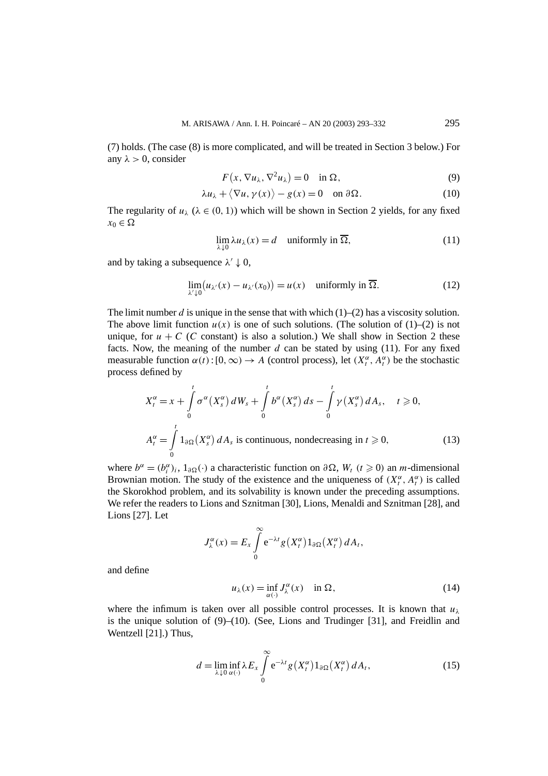(7) holds. (The case (8) is more complicated, and will be treated in Section 3 below.) For any  $\lambda > 0$ , consider

$$
F(x, \nabla u_\lambda, \nabla^2 u_\lambda) = 0 \quad \text{in } \Omega,
$$
\n(9)

$$
\lambda u_{\lambda} + \langle \nabla u, \gamma(x) \rangle - g(x) = 0 \quad \text{on } \partial \Omega. \tag{10}
$$

The regularity of  $u_\lambda$  ( $\lambda \in (0, 1)$ ) which will be shown in Section 2 yields, for any fixed  $x_0 \in \Omega$ 

$$
\lim_{\lambda \downarrow 0} \lambda u_{\lambda}(x) = d \quad \text{uniformly in } \overline{\Omega}, \tag{11}
$$

and by taking a subsequence  $\lambda' \downarrow 0$ ,

$$
\lim_{\lambda' \downarrow 0} (u_{\lambda'}(x) - u_{\lambda'}(x_0)) = u(x) \quad \text{uniformly in } \overline{\Omega}. \tag{12}
$$

The limit number  $d$  is unique in the sense that with which  $(1)$ – $(2)$  has a viscosity solution. The above limit function  $u(x)$  is one of such solutions. (The solution of  $(1)$ – $(2)$  is not unique, for  $u + C$  (*C* constant) is also a solution.) We shall show in Section 2 these facts. Now, the meaning of the number  $d$  can be stated by using  $(11)$ . For any fixed measurable function  $\alpha(t):[0,\infty) \to A$  (control process), let  $(X_t^{\alpha}, A_t^{\alpha})$  be the stochastic process defined by

$$
X_t^{\alpha} = x + \int_0^t \sigma^{\alpha}(X_s^{\alpha}) dW_s + \int_0^t b^{\alpha}(X_s^{\alpha}) ds - \int_0^t \gamma(X_s^{\alpha}) dA_s, \quad t \ge 0,
$$
  

$$
A_t^{\alpha} = \int_0^t 1_{\partial \Omega}(X_s^{\alpha}) dA_s \text{ is continuous, nondecreasing in } t \ge 0,
$$
 (13)

where  $b^{\alpha} = (b_i^{\alpha})_i$ ,  $1_{\partial \Omega}(\cdot)$  a characteristic function on  $\partial \Omega$ ,  $W_t$  ( $t \ge 0$ ) an *m*-dimensional Brownian motion. The study of the existence and the uniqueness of  $(X_t^{\alpha}, A_t^{\alpha})$  is called the Skorokhod problem, and its solvability is known under the preceding assumptions. We refer the readers to Lions and Sznitman [30], Lions, Menaldi and Sznitman [28], and Lions [27]. Let

$$
J_{\lambda}^{\alpha}(x) = E_x \int_{0}^{\infty} e^{-\lambda t} g(X_t^{\alpha}) 1_{\partial \Omega}(X_t^{\alpha}) dA_t,
$$

and define

$$
u_{\lambda}(x) = \inf_{\alpha(\cdot)} J_{\lambda}^{\alpha}(x) \quad \text{in } \Omega,
$$
 (14)

where the infimum is taken over all possible control processes. It is known that  $u_\lambda$ is the unique solution of  $(9)$ – $(10)$ . (See, Lions and Trudinger [31], and Freidlin and Wentzell [21].) Thus,

$$
d = \liminf_{\lambda \downarrow 0} \lambda E_x \int_0^\infty e^{-\lambda t} g(X_t^\alpha) 1_{\partial \Omega}(X_t^\alpha) dA_t,
$$
 (15)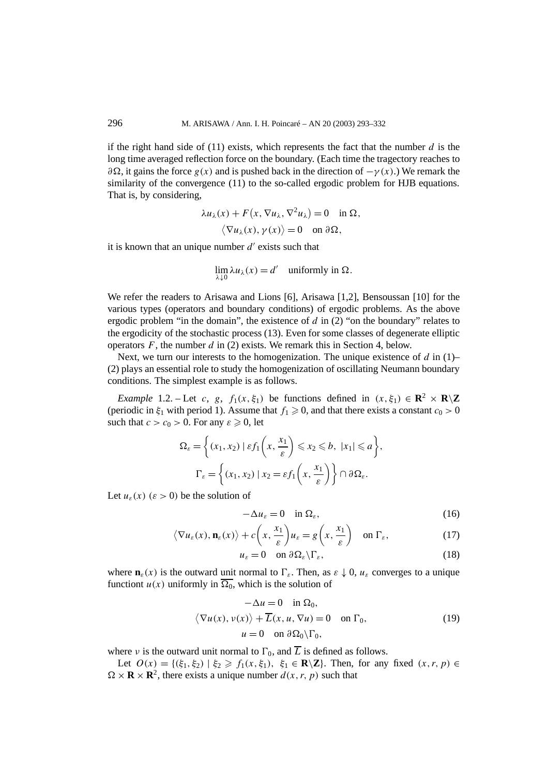if the right hand side of (11) exists, which represents the fact that the number *d* is the long time averaged reflection force on the boundary. (Each time the tragectory reaches to  $∂Ω$ , it gains the force *g(x)* and is pushed back in the direction of  $-γ(x)$ .) We remark the similarity of the convergence (11) to the so-called ergodic problem for HJB equations. That is, by considering,

$$
\lambda u_{\lambda}(x) + F(x, \nabla u_{\lambda}, \nabla^2 u_{\lambda}) = 0 \quad \text{in } \Omega, \langle \nabla u_{\lambda}(x), \gamma(x) \rangle = 0 \quad \text{on } \partial \Omega,
$$

it is known that an unique number  $d'$  exists such that

$$
\lim_{\lambda \downarrow 0} \lambda u_{\lambda}(x) = d' \quad \text{uniformly in } \Omega.
$$

We refer the readers to Arisawa and Lions [6], Arisawa [1,2], Bensoussan [10] for the various types (operators and boundary conditions) of ergodic problems. As the above ergodic problem "in the domain", the existence of *d* in (2) "on the boundary" relates to the ergodicity of the stochastic process (13). Even for some classes of degenerate elliptic operators *F*, the number *d* in (2) exists. We remark this in Section 4, below.

Next, we turn our interests to the homogenization. The unique existence of *d* in (1)– (2) plays an essential role to study the homogenization of oscillating Neumann boundary conditions. The simplest example is as follows.

*Example* 1.2. – Let *c*, *g*,  $f_1(x, \xi_1)$  be functions defined in  $(x, \xi_1) \in \mathbb{R}^2 \times \mathbb{R} \setminus \mathbb{Z}$ (periodic in  $\xi_1$  with period 1). Assume that  $f_1 \geq 0$ , and that there exists a constant  $c_0 > 0$ such that  $c > c_0 > 0$ . For any  $\varepsilon \geq 0$ , let

$$
\Omega_{\varepsilon} = \left\{ (x_1, x_2) \mid \varepsilon f_1 \left( x, \frac{x_1}{\varepsilon} \right) \leq x_2 \leq b, \ |x_1| \leq a \right\},\
$$

$$
\Gamma_{\varepsilon} = \left\{ (x_1, x_2) \mid x_2 = \varepsilon f_1 \left( x, \frac{x_1}{\varepsilon} \right) \right\} \cap \partial \Omega_{\varepsilon}.
$$

Let  $u_{\varepsilon}(x)$  ( $\varepsilon > 0$ ) be the solution of

$$
-\Delta u_{\varepsilon} = 0 \quad \text{in } \Omega_{\varepsilon},\tag{16}
$$

$$
\langle \nabla u_{\varepsilon}(x), \mathbf{n}_{\varepsilon}(x) \rangle + c \left( x, \frac{x_1}{\varepsilon} \right) u_{\varepsilon} = g \left( x, \frac{x_1}{\varepsilon} \right) \quad \text{on } \Gamma_{\varepsilon}, \tag{17}
$$

$$
u_{\varepsilon} = 0 \quad \text{on } \partial \Omega_{\varepsilon} \backslash \Gamma_{\varepsilon}, \tag{18}
$$

where  $\mathbf{n}_{\varepsilon}(x)$  is the outward unit normal to  $\Gamma_{\varepsilon}$ . Then, as  $\varepsilon \downarrow 0$ ,  $u_{\varepsilon}$  converges to a unique functiont  $u(x)$  uniformly in  $\overline{\Omega_0}$ , which is the solution of

$$
-\Delta u = 0 \quad \text{in } \Omega_0,
$$
  

$$
\langle \nabla u(x), v(x) \rangle + \overline{L}(x, u, \nabla u) = 0 \quad \text{on } \Gamma_0,
$$
  

$$
u = 0 \quad \text{on } \partial \Omega_0 \backslash \Gamma_0,
$$
 (19)

where *ν* is the outward unit normal to  $\Gamma_0$ , and  $\overline{L}$  is defined as follows.

Let  $O(x) = \{(\xi_1, \xi_2) | \xi_2 \ge f_1(x, \xi_1), \xi_1 \in \mathbb{R} \setminus \mathbb{Z}\}$ . Then, for any fixed  $(x, r, p) \in$  $\Omega \times \mathbf{R} \times \mathbf{R}^2$ , there exists a unique number  $d(x, r, p)$  such that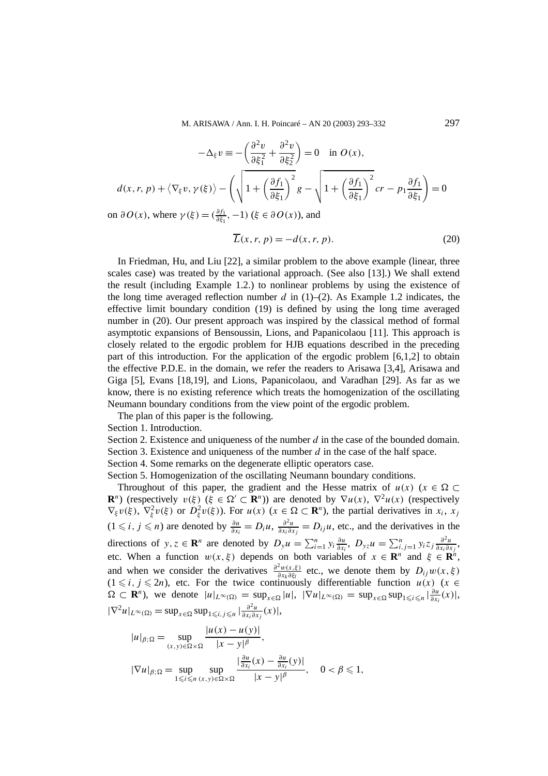$$
-\Delta_{\xi} v \equiv -\left(\frac{\partial^2 v}{\partial \xi_1^2} + \frac{\partial^2 v}{\partial \xi_2^2}\right) = 0 \quad \text{in } O(x),
$$
  

$$
d(x, r, p) + \langle \nabla_{\xi} v, \gamma(\xi) \rangle - \left(\sqrt{1 + \left(\frac{\partial f_1}{\partial \xi_1}\right)^2 g} - \sqrt{1 + \left(\frac{\partial f_1}{\partial \xi_1}\right)^2 cr} - p_1 \frac{\partial f_1}{\partial \xi_1}\right) = 0
$$

on  $\partial O(x)$ , where  $\gamma(\xi) = (\frac{\partial f_1}{\partial \xi_1}, -1)$  ( $\xi \in \partial O(x)$ ), and

$$
\overline{L}(x, r, p) = -d(x, r, p). \tag{20}
$$

In Friedman, Hu, and Liu [22], a similar problem to the above example (linear, three scales case) was treated by the variational approach. (See also [13].) We shall extend the result (including Example 1.2.) to nonlinear problems by using the existence of the long time averaged reflection number  $d$  in  $(1)$ – $(2)$ . As Example 1.2 indicates, the effective limit boundary condition (19) is defined by using the long time averaged number in (20). Our present approach was inspired by the classical method of formal asymptotic expansions of Bensoussin, Lions, and Papanicolaou [11]. This approach is closely related to the ergodic problem for HJB equations described in the preceding part of this introduction. For the application of the ergodic problem [6,1,2] to obtain the effective P.D.E. in the domain, we refer the readers to Arisawa [3,4], Arisawa and Giga [5], Evans [18,19], and Lions, Papanicolaou, and Varadhan [29]. As far as we know, there is no existing reference which treats the homogenization of the oscillating Neumann boundary conditions from the view point of the ergodic problem.

The plan of this paper is the following.

Section 1. Introduction.

Section 2. Existence and uniqueness of the number *d* in the case of the bounded domain.

Section 3. Existence and uniqueness of the number *d* in the case of the half space.

Section 4. Some remarks on the degenerate elliptic operators case.

Section 5. Homogenization of the oscillating Neumann boundary conditions.

Throughout of this paper, the gradient and the Hesse matrix of  $u(x)$  ( $x \in \Omega$ ) **R**<sup>*n*</sup>) (respectively  $v(\xi)$  ( $\xi \in \Omega' \subset \mathbb{R}^n$ )) are denoted by  $\nabla u(x)$ ,  $\nabla^2 u(x)$  (respectively  $\nabla_{\xi} v(\xi)$ ,  $\nabla_{\xi}^2 v(\xi)$  or  $D_{\xi}^2 v(\xi)$ ). For  $u(x)$  ( $x \in \Omega \subset \mathbf{R}^n$ ), the partial derivatives in  $x_i$ ,  $x_j$  $(1 ≤ i, j ≤ n)$  are denoted by  $\frac{\partial u}{\partial x_i} = D_i u$ ,  $\frac{\partial^2 u}{\partial x_i \partial x_j} = D_{ij} u$ , etc., and the derivatives in the directions of *y*, *z* ∈ **R**<sup>*n*</sup> are denoted by  $D_y u = \sum_{i=1}^n y_i \frac{\partial u}{\partial x_i}$  $\frac{\partial u}{\partial x_i}$ ,  $D_{yz}u = \sum_{i,j=1}^n y_i z_j \frac{\partial^2 u}{\partial x_i \partial y_j}$  $\frac{\partial^2 u}{\partial x_i \partial x_j}$ , etc. When a function  $w(x, \xi)$  depends on both variables of  $x \in \mathbb{R}^n$  and  $\xi \in \mathbb{R}^n$ , and when we consider the derivatives  $\frac{\partial^2 w(x,\xi)}{\partial x_k \partial \xi_l}$  etc., we denote them by  $D_{ij}w(x,\xi)$  $(1 \le i, j \le 2n)$ , etc. For the twice continuously differentiable function  $u(x)$  ( $x \in$  $\Omega \subset \mathbf{R}^n$ ), we denote  $|u|_{L^{\infty}(\Omega)} = \sup_{x \in \Omega} |u|, |\nabla u|_{L^{\infty}(\Omega)} = \sup_{x \in \Omega} \sup_{1 \leq i \leq n} |\frac{\partial u}{\partial x_i}(x)|,$  $|\nabla^2 u|_{L^{\infty}(\Omega)} = \sup_{x \in \Omega} \sup_{1 \le i,j \le n} |\frac{\partial^2 u}{\partial x_i \partial x_j}(x)|,$ 

$$
|u|_{\beta;\Omega} = \sup_{(x,y)\in\Omega\times\Omega} \frac{|u(x) - u(y)|}{|x - y|^{\beta}},
$$
  

$$
|\nabla u|_{\beta;\Omega} = \sup_{1\leq i\leq n} \sup_{(x,y)\in\Omega\times\Omega} \frac{|\frac{\partial u}{\partial x_i}(x) - \frac{\partial u}{\partial x_i}(y)|}{|x - y|^{\beta}}, \quad 0 < \beta \leq 1,
$$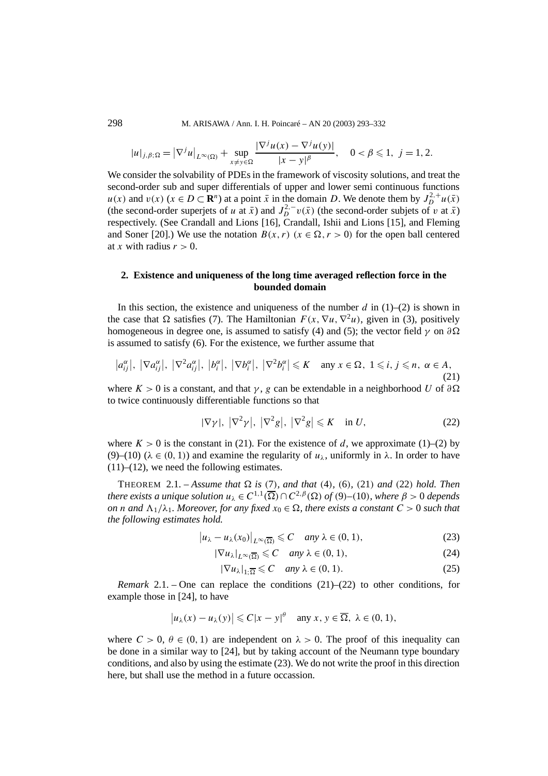$$
|u|_{j,\beta;\Omega} = |\nabla^j u|_{L^{\infty}(\Omega)} + \sup_{x \neq y \in \Omega} \frac{|\nabla^j u(x) - \nabla^j u(y)|}{|x - y|^{\beta}}, \quad 0 < \beta \leq 1, \ j = 1, 2.
$$

We consider the solvability of PDEs in the framework of viscosity solutions, and treat the second-order sub and super differentials of upper and lower semi continuous functions *u(x)* and  $v(x)$  ( $x \in D \subset \mathbb{R}^n$ ) at a point  $\bar{x}$  in the domain *D*. We denote them by  $J_D^{2,+}u(\bar{x})$ (the second-order superjets of *u* at  $\bar{x}$ ) and  $J_D^{2,-}v(\bar{x})$  (the second-order subjets of *v* at  $\bar{x}$ ) respectively. (See Crandall and Lions [16], Crandall, Ishii and Lions [15], and Fleming and Soner [20].) We use the notation  $B(x, r)$  ( $x \in \Omega, r > 0$ ) for the open ball centered at *x* with radius  $r > 0$ .

# **2. Existence and uniqueness of the long time averaged reflection force in the bounded domain**

In this section, the existence and uniqueness of the number  $d$  in  $(1)$ – $(2)$  is shown in the case that  $\Omega$  satisfies (7). The Hamiltonian  $F(x, \nabla u, \nabla^2 u)$ , given in (3), positively homogeneous in degree one, is assumed to satisfy (4) and (5); the vector field  $\gamma$  on  $\partial\Omega$ is assumed to satisfy (6). For the existence, we further assume that

$$
|a_{ij}^{\alpha}|, |\nabla a_{ij}^{\alpha}|, |\nabla^2 a_{ij}^{\alpha}|, |b_i^{\alpha}|, |\nabla b_i^{\alpha}|, |\nabla^2 b_i^{\alpha}| \leq K \quad \text{any } x \in \Omega, 1 \leq i, j \leq n, \alpha \in A,
$$
\n(21)

where  $K > 0$  is a constant, and that  $\gamma$ , *g* can be extendable in a neighborhood *U* of  $\partial \Omega$ to twice continuously differentiable functions so that

$$
|\nabla \gamma|, |\nabla^2 \gamma|, |\nabla^2 g|, |\nabla^2 g| \leqslant K \quad \text{in } U,
$$
\n(22)

where  $K > 0$  is the constant in (21). For the existence of *d*, we approximate (1)–(2) by (9)–(10) (*λ* ∈ *(*0*,* 1*)*) and examine the regularity of *uλ*, uniformly in *λ*. In order to have  $(11)$ – $(12)$ , we need the following estimates.

THEOREM 2.1. – *Assume that*  $\Omega$  *is* (7)*, and that* (4)*,* (6)*,* (21*) and* (22*) hold. Then there exists a unique solution*  $u_{\lambda} \in C^{1,1}(\overline{\Omega}) \cap C^{2,\beta}(\Omega)$  *of* (9)–(10)*, where*  $\beta > 0$  *depends on n* and  $\Lambda_1/\lambda_1$ *. Moreover, for any fixed*  $x_0 \in \Omega$ *, there exists a constant*  $C > 0$  *such that the following estimates hold.*

$$
\left|u_{\lambda}-u_{\lambda}(x_0)\right|_{L^{\infty}(\overline{\Omega})} \leqslant C \quad \text{any } \lambda \in (0,1), \tag{23}
$$

$$
|\nabla u_{\lambda}|_{L^{\infty}(\overline{\Omega})} \leq C \quad \text{any } \lambda \in (0, 1), \tag{24}
$$

$$
|\nabla u_{\lambda}|_{1;\overline{\Omega}} \leqslant C \quad \text{any } \lambda \in (0,1). \tag{25}
$$

*Remark* 2.1. – One can replace the conditions  $(21)$ – $(22)$  to other conditions, for example those in [24], to have

$$
|u_{\lambda}(x) - u_{\lambda}(y)| \leq C|x - y|^{\theta}
$$
 any  $x, y \in \overline{\Omega}, \lambda \in (0, 1)$ ,

where  $C > 0$ ,  $\theta \in (0, 1)$  are independent on  $\lambda > 0$ . The proof of this inequality can be done in a similar way to [24], but by taking account of the Neumann type boundary conditions, and also by using the estimate (23). We do not write the proof in this direction here, but shall use the method in a future occassion.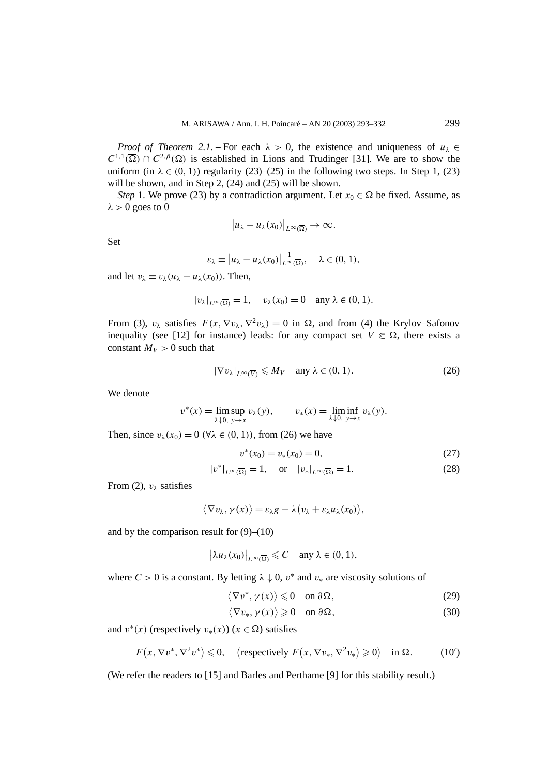*Proof of Theorem 2.1.* – For each  $\lambda > 0$ , the existence and uniqueness of  $u_{\lambda} \in$  $C^{1,1}(\overline{\Omega}) \cap C^{2,\beta}(\Omega)$  is established in Lions and Trudinger [31]. We are to show the uniform (in  $\lambda \in (0, 1)$ ) regularity (23)–(25) in the following two steps. In Step 1, (23) will be shown, and in Step 2, (24) and (25) will be shown.

*Step* 1. We prove (23) by a contradiction argument. Let  $x_0 \in \Omega$  be fixed. Assume, as  $λ > 0$  goes to 0

$$
|u_{\lambda}-u_{\lambda}(x_0)|_{L^{\infty}(\overline{\Omega})}\to\infty.
$$

Set

$$
\varepsilon_{\lambda} \equiv \left| u_{\lambda} - u_{\lambda}(x_0) \right|_{L^{\infty}(\overline{\Omega})}^{-1}, \quad \lambda \in (0, 1),
$$

and let  $v_{\lambda} \equiv \varepsilon_{\lambda} (u_{\lambda} - u_{\lambda}(x_0))$ . Then,

$$
|v_{\lambda}|_{L^{\infty}(\overline{\Omega})}=1, \quad v_{\lambda}(x_0)=0 \quad \text{any } \lambda \in (0, 1).
$$

From (3),  $v_{\lambda}$  satisfies  $F(x, \nabla v_{\lambda}, \nabla^2 v_{\lambda}) = 0$  in  $\Omega$ , and from (4) the Krylov–Safonov inequality (see [12] for instance) leads: for any compact set  $V \n\t\in \Omega$ , there exists a constant  $M_V > 0$  such that

$$
|\nabla v_{\lambda}|_{L^{\infty}(\overline{V})} \leqslant M_V \quad \text{any } \lambda \in (0, 1). \tag{26}
$$

We denote

$$
v^*(x) = \limsup_{\lambda \downarrow 0, y \to x} v_{\lambda}(y), \qquad v_*(x) = \liminf_{\lambda \downarrow 0, y \to x} v_{\lambda}(y).
$$

Then, since  $v_\lambda(x_0) = 0$  ( $\forall \lambda \in (0, 1)$ ), from (26) we have

$$
v^*(x_0) = v_*(x_0) = 0,\t\t(27)
$$

$$
|v^*|_{L^{\infty}(\overline{\Omega})} = 1, \quad \text{or} \quad |v_*|_{L^{\infty}(\overline{\Omega})} = 1.
$$
 (28)

From (2),  $v_{\lambda}$  satisfies

$$
\langle \nabla v_\lambda, \gamma(x) \rangle = \varepsilon_\lambda g - \lambda (v_\lambda + \varepsilon_\lambda u_\lambda(x_0)),
$$

and by the comparison result for  $(9)$ – $(10)$ 

$$
\left|\lambda u_{\lambda}(x_0)\right|_{L^{\infty}(\overline{\Omega})} \leqslant C \quad \text{any } \lambda \in (0,1),
$$

where  $C > 0$  is a constant. By letting  $\lambda \downarrow 0$ ,  $v^*$  and  $v_*$  are viscosity solutions of

$$
\langle \nabla v^*, \gamma(x) \rangle \leq 0 \quad \text{on } \partial \Omega,\tag{29}
$$

$$
\langle \nabla v_*, \gamma(x) \rangle \geq 0 \quad \text{on } \partial \Omega,\tag{30}
$$

and  $v^*(x)$  (respectively  $v_*(x)$ ) ( $x \in \Omega$ ) satisfies

$$
F(x, \nabla v^*, \nabla^2 v^*) \le 0, \quad \text{(respectively } F(x, \nabla v_*, \nabla^2 v_*) \ge 0) \quad \text{in } \Omega. \tag{10'}
$$

(We refer the readers to [15] and Barles and Perthame [9] for this stability result.)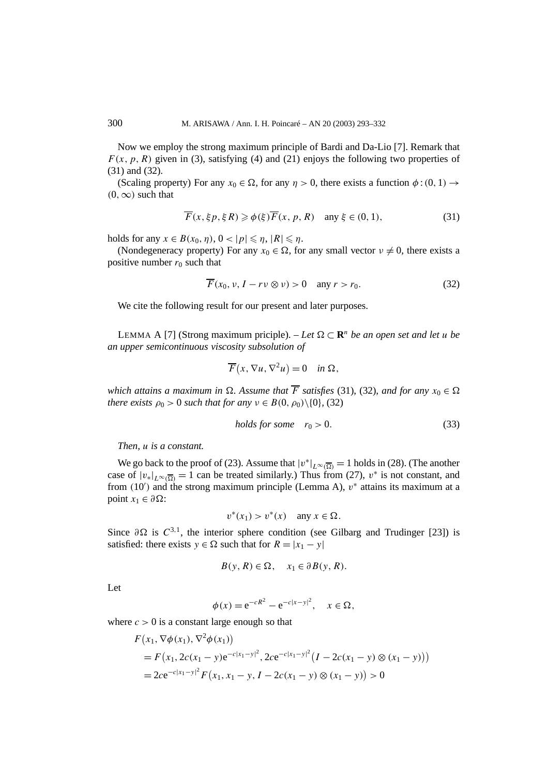Now we employ the strong maximum principle of Bardi and Da-Lio [7]. Remark that  $F(x, p, R)$  given in (3), satisfying (4) and (21) enjoys the following two properties of (31) and (32).

(Scaling property) For any  $x_0 \in \Omega$ , for any  $\eta > 0$ , there exists a function  $\phi : (0, 1) \rightarrow$  $(0, \infty)$  such that

$$
\overline{F}(x,\xi p,\xi R) \ge \phi(\xi)\overline{F}(x,p,R) \quad \text{any } \xi \in (0,1), \tag{31}
$$

holds for any  $x \in B(x_0, \eta)$ ,  $0 < |p| \leq \eta$ ,  $|R| \leq \eta$ .

(Nondegeneracy property) For any  $x_0 \in \Omega$ , for any small vector  $v \neq 0$ , there exists a positive number  $r_0$  such that

$$
\overline{F}(x_0, \nu, I - r\nu \otimes \nu) > 0 \quad \text{any } r > r_0. \tag{32}
$$

We cite the following result for our present and later purposes.

LEMMA A [7] (Strong maximum priciple). – Let  $\Omega \subset \mathbb{R}^n$  be an open set and let u be *an upper semicontinuous viscosity subsolution of*

$$
\overline{F}(x, \nabla u, \nabla^2 u) = 0 \quad \text{in } \Omega,
$$

*which attains a maximum in*  $\Omega$ . Assume that  $\overline{F}$  satisfies (31), (32), and for any  $x_0 \in \Omega$ *there exists*  $\rho_0 > 0$  *such that for any*  $\nu \in B(0, \rho_0) \setminus \{0\}$ , (32)

$$
holds for some \t r_0 > 0. \t(33)
$$

*Then, u is a constant.*

We go back to the proof of (23). Assume that  $|v^*|_{L^{\infty}(\overline{\Omega})} = 1$  holds in (28). (The another case of  $|v_*|_{L^\infty(\overline{\Omega})} = 1$  can be treated similarly.) Thus from (27),  $v^*$  is not constant, and from (10') and the strong maximum principle (Lemma A),  $v^*$  attains its maximum at a point  $x_1 \in \partial \Omega$ :

$$
v^*(x_1) > v^*(x) \quad \text{any } x \in \Omega.
$$

Since  $\partial \Omega$  is  $C^{3,1}$ , the interior sphere condition (see Gilbarg and Trudinger [23]) is satisfied: there exists  $y \in \Omega$  such that for  $R = |x_1 - y|$ 

$$
B(y, R) \in \Omega, \quad x_1 \in \partial B(y, R).
$$

Let

$$
\phi(x) = e^{-cR^2} - e^{-c|x-y|^2}, \quad x \in \Omega,
$$

where  $c > 0$  is a constant large enough so that

$$
F(x_1, \nabla \phi(x_1), \nabla^2 \phi(x_1))
$$
  
=  $F(x_1, 2c(x_1 - y)e^{-c|x_1 - y|^2}, 2ce^{-c|x_1 - y|^2} (I - 2c(x_1 - y) \otimes (x_1 - y)))$   
=  $2ce^{-c|x_1 - y|^2} F(x_1, x_1 - y, I - 2c(x_1 - y) \otimes (x_1 - y)) > 0$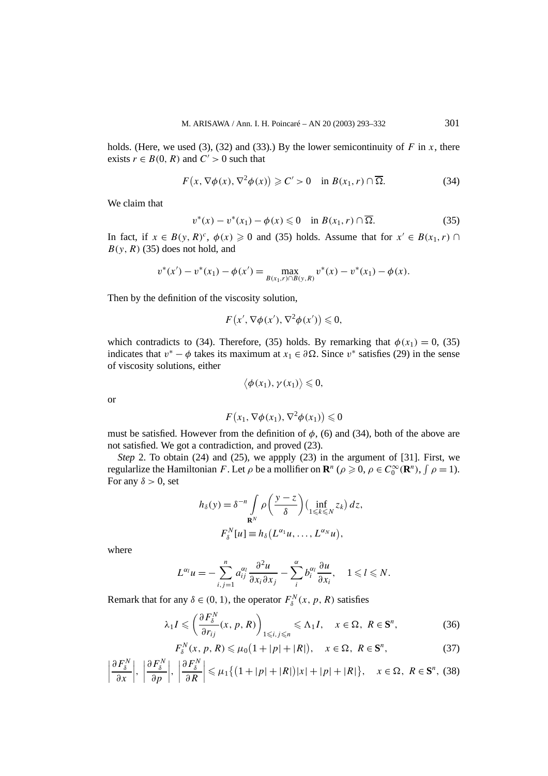holds. (Here, we used (3), (32) and (33).) By the lower semicontinuity of  $F$  in  $x$ , there exists  $r \in B(0, R)$  and  $C' > 0$  such that

$$
F(x, \nabla \phi(x), \nabla^2 \phi(x)) \geq C' > 0 \quad \text{in } B(x_1, r) \cap \overline{\Omega}.
$$
 (34)

We claim that

$$
v^*(x) - v^*(x_1) - \phi(x) \leq 0 \quad \text{in } B(x_1, r) \cap \overline{\Omega}. \tag{35}
$$

In fact, if  $x \in B(y, R)^c$ ,  $\phi(x) \ge 0$  and (35) holds. Assume that for  $x' \in B(x_1, r)$  $B(y, R)$  (35) does not hold, and

$$
v^*(x') - v^*(x_1) - \phi(x') = \max_{B(x_1,r) \cap B(y,R)} v^*(x) - v^*(x_1) - \phi(x).
$$

Then by the definition of the viscosity solution,

$$
F(x', \nabla \phi(x'), \nabla^2 \phi(x')) \leq 0,
$$

which contradicts to (34). Therefore, (35) holds. By remarking that  $\phi(x_1) = 0$ , (35) indicates that  $v^* - \phi$  takes its maximum at  $x_1 \in \partial \Omega$ . Since  $v^*$  satisfies (29) in the sense of viscosity solutions, either

$$
\langle \phi(x_1), \gamma(x_1) \rangle \leq 0,
$$

or

$$
F(x_1, \nabla \phi(x_1), \nabla^2 \phi(x_1)) \leq 0
$$

must be satisfied. However from the definition of  $\phi$ , (6) and (34), both of the above are not satisfied. We got a contradiction, and proved (23).

*Step* 2. To obtain (24) and (25), we appply (23) in the argument of [31]. First, we regularlize the Hamiltonian *F*. Let  $\rho$  be a mollifier on  $\mathbf{R}^n$  ( $\rho \geq 0$ ,  $\rho \in C_0^{\infty}(\mathbf{R}^n)$ ,  $\int \rho = 1$ ). For any  $\delta > 0$ , set

$$
h_{\delta}(y) = \delta^{-n} \int_{\mathbf{R}^N} \rho\left(\frac{y-z}{\delta}\right) \left(\inf_{1 \leq k \leq N} z_k\right) dz,
$$

$$
F_{\delta}^N[u] \equiv h_{\delta}\left(L^{\alpha_1}u, \ldots, L^{\alpha_N}u\right),
$$

where

*∂F <sup>N</sup>*

$$
L^{\alpha_l}u=-\sum_{i,j=1}^n a_{ij}^{\alpha_l}\frac{\partial^2 u}{\partial x_i \partial x_j}-\sum_i^{\alpha_l}b_i^{\alpha_l}\frac{\partial u}{\partial x_i}, \quad 1 \leq l \leq N.
$$

Remark that for any  $\delta \in (0, 1)$ , the operator  $F_{\delta}^{N}(x, p, R)$  satisfies

$$
\lambda_1 I \leq \left(\frac{\partial F_\delta^N}{\partial r_{ij}}(x, p, R)\right)_{1 \leq i, j \leq n} \leq \Lambda_1 I, \quad x \in \Omega, R \in \mathbf{S}^n,
$$
 (36)

$$
F_{\delta}^{N}(x, p, R) \leq \mu_0 \left(1 + |p| + |R|\right), \quad x \in \Omega, \ R \in \mathbf{S}^n,\tag{37}
$$

$$
\left|\frac{\partial F_{\delta}^N}{\partial x}\right|, \ \left|\frac{\partial F_{\delta}^N}{\partial p}\right|, \ \left|\frac{\partial F_{\delta}^N}{\partial R}\right| \leq \mu_1 \left\{ \left(1+|p|+|R|\right)|x|+|p|+|R|\right\}, \quad x \in \Omega, \ R \in \mathbf{S}^n, \ (38)
$$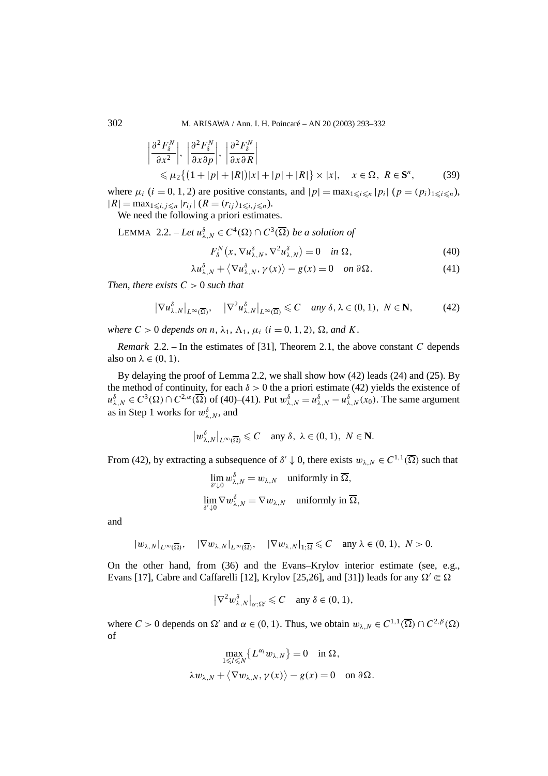$$
\left| \frac{\partial^2 F^N_\delta}{\partial x^2} \right|, \left| \frac{\partial^2 F^N_\delta}{\partial x \partial p} \right|, \left| \frac{\partial^2 F^N_\delta}{\partial x \partial R} \right|
$$
  
\$\leq \mu\_2 \{ (1 + |p| + |R|) |x| + |p| + |R| \} \times |x|, \quad x \in \Omega, R \in \mathbb{S}^n, \tag{39}

where  $\mu_i$  (*i* = 0, 1, 2) are positive constants, and  $|p| = \max_{1 \le i \le n} |p_i|$  ( $p = (p_i)_{1 \le i \le n}$ ),  $|R| = \max_{1 \le i, j \le n} |r_{ij}| (R = (r_{ij})_{1 \le i, j \le n}).$ 

We need the following a priori estimates.

LEMMA 2.2. – Let  $u^{\delta}_{\lambda,N} \in C^4(\Omega) \cap C^3(\overline{\Omega})$  be a solution of

$$
F_{\delta}^{N}(x,\nabla u_{\lambda,N}^{\delta},\nabla^{2} u_{\lambda,N}^{\delta})=0 \quad \text{in } \Omega,
$$
\n(40)

$$
\lambda u_{\lambda,N}^{\delta} + \langle \nabla u_{\lambda,N}^{\delta}, \gamma(x) \rangle - g(x) = 0 \quad on \ \partial \Omega. \tag{41}
$$

*Then, there exists*  $C > 0$  *such that* 

$$
|\nabla u_{\lambda,N}^{\delta}|_{L^{\infty}(\overline{\Omega})}, \quad |\nabla^2 u_{\lambda,N}^{\delta}|_{L^{\infty}(\overline{\Omega})} \leq C \quad \text{any } \delta, \lambda \in (0,1), \ N \in \mathbb{N}, \tag{42}
$$

*where*  $C > 0$  *depends on n*,  $\lambda_1$ ,  $\Lambda_1$ ,  $\mu_i$  ( $i = 0, 1, 2$ ),  $\Omega$ , and K.

*Remark* 2.2. – In the estimates of [31], Theorem 2.1, the above constant *C* depends also on  $\lambda \in (0, 1)$ .

By delaying the proof of Lemma 2.2, we shall show how (42) leads (24) and (25). By the method of continuity, for each  $\delta > 0$  the a priori estimate (42) yields the existence of  $u^{\delta}_{\lambda,N} \in C^3(\Omega) \cap C^{2,\alpha}(\overline{\Omega})$  of (40)–(41). Put  $w^{\delta}_{\lambda,N} = u^{\delta}_{\lambda,N} - u^{\delta}_{\lambda,N}(x_0)$ . The same argument as in Step 1 works for  $w_{\lambda,N}^{\delta}$ , and

$$
\left|w_{\lambda,N}^{\delta}\right|_{L^{\infty}(\overline{\Omega})} \leqslant C \quad \text{any } \delta, \ \lambda \in (0,1), \ N \in \mathbf{N}.
$$

From (42), by extracting a subsequence of  $\delta' \downarrow 0$ , there exists  $w_{\lambda,N} \in C^{1,1}(\overline{\Omega})$  such that

$$
\lim_{\delta' \downarrow 0} w_{\lambda,N}^{\delta} = w_{\lambda,N} \quad \text{uniformly in } \overline{\Omega},
$$
  

$$
\lim_{\delta' \downarrow 0} \nabla w_{\lambda,N}^{\delta} = \nabla w_{\lambda,N} \quad \text{uniformly in } \overline{\Omega},
$$

and

$$
|w_{\lambda,N}|_{L^{\infty}(\overline{\Omega})}, \quad |\nabla w_{\lambda,N}|_{L^{\infty}(\overline{\Omega})}, \quad |\nabla w_{\lambda,N}|_{1;\overline{\Omega}} \leqslant C \quad \text{any } \lambda \in (0,1), \ N > 0.
$$

On the other hand, from (36) and the Evans–Krylov interior estimate (see, e.g., Evans [17], Cabre and Caffarelli [12], Krylov [25,26], and [31]) leads for any  $\Omega' \in \Omega$ 

$$
\left|\nabla^2 w_{\lambda,N}^{\delta}\right|_{\alpha;\Omega'} \leqslant C \quad \text{any } \delta \in (0,1),
$$

where  $C > 0$  depends on  $\Omega'$  and  $\alpha \in (0, 1)$ . Thus, we obtain  $w_{\lambda,N} \in C^{1,1}(\overline{\Omega}) \cap C^{2,\beta}(\Omega)$ of

$$
\max_{1 \leq l \leq N} \{ L^{\alpha_l} w_{\lambda, N} \} = 0 \quad \text{in } \Omega,
$$
  

$$
\lambda w_{\lambda, N} + \langle \nabla w_{\lambda, N}, \gamma(x) \rangle - g(x) = 0 \quad \text{on } \partial \Omega.
$$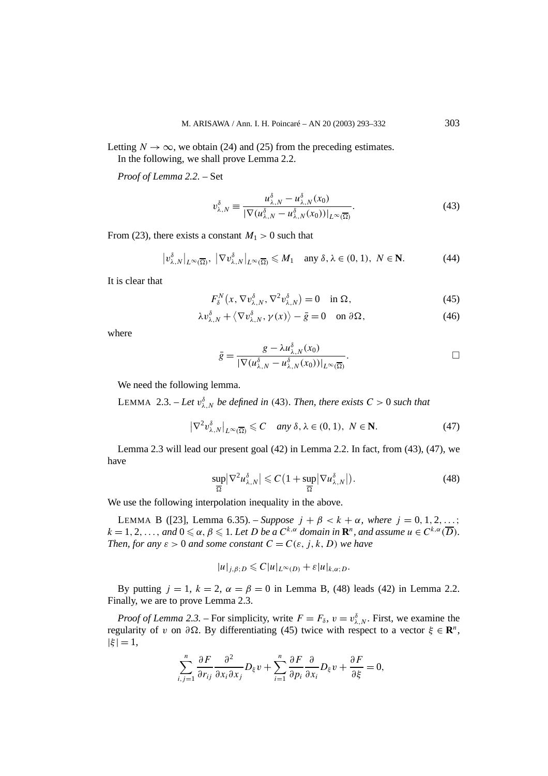Letting  $N \to \infty$ , we obtain (24) and (25) from the preceding estimates. In the following, we shall prove Lemma 2.2.

*Proof of Lemma 2.2. –* Set

$$
v_{\lambda,N}^{\delta} \equiv \frac{u_{\lambda,N}^{\delta} - u_{\lambda,N}^{\delta}(x_0)}{|\nabla(u_{\lambda,N}^{\delta} - u_{\lambda,N}^{\delta}(x_0))|_{L^{\infty}(\overline{\Omega})}}.
$$
(43)

From (23), there exists a constant  $M_1 > 0$  such that

$$
\left|v_{\lambda,N}^{\delta}\right|_{L^{\infty}(\overline{\Omega})}, \left|\nabla v_{\lambda,N}^{\delta}\right|_{L^{\infty}(\overline{\Omega})} \leqslant M_1 \quad \text{any } \delta, \lambda \in (0,1), \ N \in \mathbf{N}.\tag{44}
$$

It is clear that

$$
F_{\delta}^{N}(x, \nabla v_{\lambda,N}^{\delta}, \nabla^{2} v_{\lambda,N}^{\delta}) = 0 \quad \text{in } \Omega,
$$
\n(45)

$$
\lambda v_{\lambda,N}^{\delta} + \langle \nabla v_{\lambda,N}^{\delta}, \gamma(x) \rangle - \bar{g} = 0 \quad \text{on } \partial \Omega, \tag{46}
$$

where

$$
\bar{g} = \frac{g - \lambda u_{\lambda,N}^{\delta}(x_0)}{|\nabla(u_{\lambda,N}^{\delta} - u_{\lambda,N}^{\delta}(x_0))|_{L^{\infty}(\overline{\Omega})}}.
$$

We need the following lemma.

LEMMA 2.3. – Let  $v_{\lambda,N}^{\delta}$  be defined in (43). Then, there exists  $C > 0$  such that

$$
\left|\nabla^2 v_{\lambda,N}^{\delta}\right|_{L^{\infty}(\overline{\Omega})} \leqslant C \quad \text{any } \delta, \lambda \in (0,1), \ N \in \mathbb{N}.
$$
 (47)

Lemma 2.3 will lead our present goal (42) in Lemma 2.2. In fact, from (43), (47), we have

$$
\frac{\sup}{\overline{\Omega}} |\nabla^2 u_{\lambda,N}^{\delta}| \leqslant C \left( 1 + \frac{\sup}{\overline{\Omega}} |\nabla u_{\lambda,N}^{\delta}| \right). \tag{48}
$$

We use the following interpolation inequality in the above.

LEMMA B ([23], Lemma 6.35). – *Suppose*  $j + \beta < k + \alpha$ *, where*  $j = 0, 1, 2, ...$ ;  $k = 1, 2, \ldots,$  *and*  $0 \le \alpha, \beta \le 1$ *. Let D be a*  $C^{k, \alpha}$  *domain in*  $\mathbb{R}^n$ *, and assume*  $u \in C^{k, \alpha}(\overline{D})$ *. Then, for any*  $\varepsilon > 0$  *and some constant*  $C = C(\varepsilon, j, k, D)$  *we have* 

$$
|u|_{j,\beta;D} \leqslant C|u|_{L^{\infty}(D)} + \varepsilon |u|_{k,\alpha;D}.
$$

By putting  $j = 1$ ,  $k = 2$ ,  $\alpha = \beta = 0$  in Lemma B, (48) leads (42) in Lemma 2.2. Finally, we are to prove Lemma 2.3.

*Proof of Lemma 2.3.* – For simplicity, write  $F = F_\delta$ ,  $v = v_{\lambda,N}^\delta$ . First, we examine the regularity of *v* on *∂*. By differentiating (45) twice with respect to a vector *ξ* ∈ **R***<sup>n</sup>*,  $|\xi| = 1$ ,

$$
\sum_{i,j=1}^n \frac{\partial F}{\partial r_{ij}} \frac{\partial^2}{\partial x_i \partial x_j} D_{\xi} v + \sum_{i=1}^n \frac{\partial F}{\partial p_i} \frac{\partial}{\partial x_i} D_{\xi} v + \frac{\partial F}{\partial \xi} = 0,
$$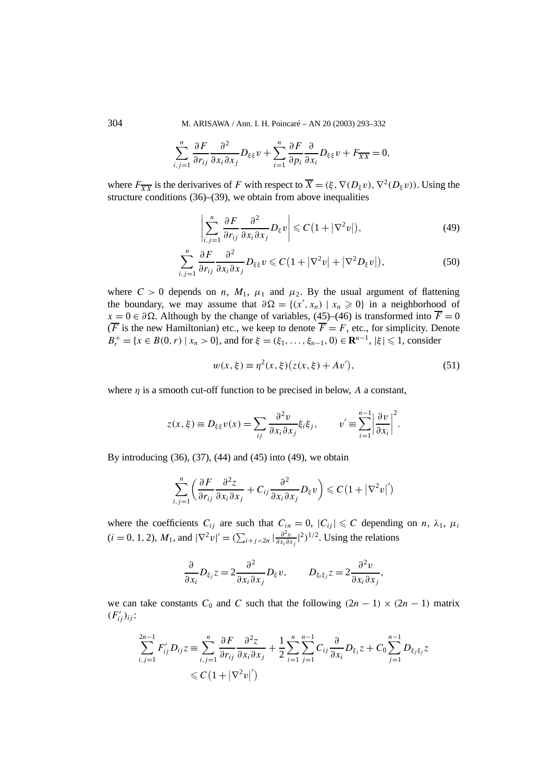304 M. ARISAWA / Ann. I. H. Poincaré – AN 20 (2003) 293–332

$$
\sum_{i,j=1}^n \frac{\partial F}{\partial r_{ij}} \frac{\partial^2}{\partial x_i \partial x_j} D_{\xi \xi} v + \sum_{i=1}^n \frac{\partial F}{\partial p_i} \frac{\partial}{\partial x_i} D_{\xi \xi} v + F_{\overline{XX}} = 0,
$$

where  $F_{\overline{XY}}$  is the derivarives of *F* with respect to  $\overline{X} = (\xi, \nabla(D_\xi v), \nabla^2(D_\xi v))$ . Using the structure conditions (36)–(39), we obtain from above inequalities

$$
\left|\sum_{i,j=1}^{n} \frac{\partial F}{\partial r_{ij}} \frac{\partial^2}{\partial x_i \partial x_j} D_{\xi} v\right| \leqslant C\left(1 + |\nabla^2 v|\right),\tag{49}
$$

$$
\sum_{i,j=1}^{n} \frac{\partial F}{\partial r_{ij}} \frac{\partial^2}{\partial x_i \partial x_j} D_{\xi\xi} v \leqslant C \left( 1 + |\nabla^2 v| + |\nabla^2 D_{\xi} v| \right),\tag{50}
$$

where  $C > 0$  depends on *n*,  $M_1$ ,  $\mu_1$  and  $\mu_2$ . By the usual argument of flattening the boundary, we may assume that  $\partial \Omega = \{(x', x_n) \mid x_n \geq 0\}$  in a neighborhood of  $x = 0 \in \partial \Omega$ . Although by the change of variables, (45)–(46) is transformed into  $\overline{F} = 0$  $(F$  is the new Hamiltonian) etc., we keep to denote  $\overline{F} = F$ , etc., for simplicity. Denote  $B_r^+ = \{x \in B(0, r) \mid x_n > 0\}$ , and for  $\xi = (\xi_1, \ldots, \xi_{n-1}, 0) \in \mathbb{R}^{n-1}, |\xi| \leq 1$ , consider

$$
w(x,\xi) \equiv \eta^2(x,\xi) (z(x,\xi) + Av'),
$$
 (51)

where  $\eta$  is a smooth cut-off function to be precised in below, A a constant,

$$
z(x,\xi) \equiv D_{\xi\xi}v(x) = \sum_{ij} \frac{\partial^2 v}{\partial x_i \partial x_j} \xi_i \xi_j, \qquad v' \equiv \sum_{i=1}^{n-1} \left| \frac{\partial v}{\partial x_i} \right|^2.
$$

By introducing (36), (37), (44) and (45) into (49), we obtain

$$
\sum_{i,j=1}^n \left( \frac{\partial F}{\partial r_{ij}} \frac{\partial^2 z}{\partial x_i \partial x_j} + C_{ij} \frac{\partial^2}{\partial x_i \partial x_j} D_\xi v \right) \leqslant C \left( 1 + |\nabla^2 v|' \right)
$$

where the coefficients  $C_{ij}$  are such that  $C_{in} = 0$ ,  $|C_{ij}| \leq C$  depending on *n*,  $\lambda_1$ ,  $\mu_i$  $(i = 0, 1, 2)$ ,  $M_1$ , and  $|\nabla^2 v|' = (\sum_{i+j < 2n} |\frac{\partial^2 v}{\partial x_i \partial x_j}|^2)^{1/2}$ . Using the relations

$$
\frac{\partial}{\partial x_i} D_{\xi_j} z = 2 \frac{\partial^2}{\partial x_i \partial x_j} D_{\xi} v, \qquad D_{\xi_i \xi_j} z = 2 \frac{\partial^2 v}{\partial x_i \partial x_j},
$$

we can take constants  $C_0$  and  $C$  such that the following  $(2n - 1) \times (2n - 1)$  matrix  $(F'_{ij})_{ij}$ :

$$
\sum_{i,j=1}^{2n-1} F'_{ij} D_{ij} z \equiv \sum_{i,j=1}^{n} \frac{\partial F}{\partial r_{ij}} \frac{\partial^2 z}{\partial x_i \partial x_j} + \frac{1}{2} \sum_{i=1}^{n} \sum_{j=1}^{n-1} C_{ij} \frac{\partial}{\partial x_i} D_{\xi_j} z + C_0 \sum_{j=1}^{n-1} D_{\xi_j \xi_j} z
$$
  

$$
\leq C \left( 1 + |\nabla^2 v|' \right)
$$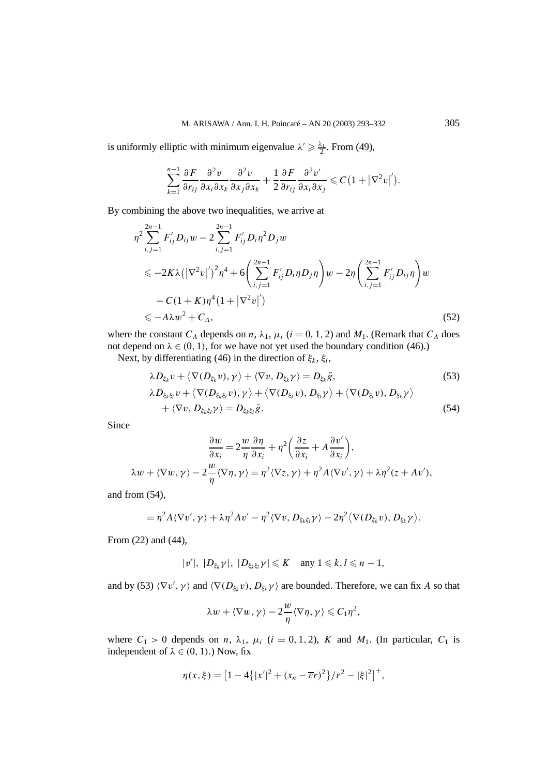is uniformly elliptic with minimum eigenvalue  $\lambda' \geq \frac{\lambda_1}{2}$ . From (49),

$$
\sum_{k=1}^{n-1} \frac{\partial F}{\partial r_{ij}} \frac{\partial^2 v}{\partial x_i \partial x_k} \frac{\partial^2 v}{\partial x_j \partial x_k} + \frac{1}{2} \frac{\partial F}{\partial r_{ij}} \frac{\partial^2 v'}{\partial x_i \partial x_j} \leqslant C \big( 1 + |\nabla^2 v|' \big).
$$

By combining the above two inequalities, we arrive at

$$
\eta^2 \sum_{i,j=1}^{2n-1} F'_{ij} D_{ij} w - 2 \sum_{i,j=1}^{2n-1} F'_{ij} D_i \eta^2 D_j w
$$
  
\$\leq -2K\lambda \left( |\nabla^2 v|'\right)^2 \eta^4 + 6 \left( \sum\_{i,j=1}^{2n-1} F'\_{ij} D\_i \eta D\_j \eta \right) w - 2\eta \left( \sum\_{i,j=1}^{2n-1} F'\_{ij} D\_{ij} \eta \right) w\$  
- C(1+K)\eta^4 (1+ |\nabla^2 v|')  
\$\leq -A\lambda w^2 + C\_A, \qquad (52)

where the constant  $C_A$  depends on  $n$ ,  $\lambda_1$ ,  $\mu_i$  ( $i = 0, 1, 2$ ) and  $M_1$ . (Remark that  $C_A$  does not depend on  $\lambda \in (0, 1)$ , for we have not yet used the boundary condition (46).)

Next, by differentiating (46) in the direction of  $\xi_k$ ,  $\xi_l$ ,

$$
\lambda D_{\xi_k} v + \langle \nabla(D_{\xi_k} v), \gamma \rangle + \langle \nabla v, D_{\xi_k} \gamma \rangle = D_{\xi_k} \bar{g},
$$
  
\n
$$
\lambda D_{\xi_k \xi_l} v + \langle \nabla(D_{\xi_k \xi_l} v), \gamma \rangle + \langle \nabla(D_{\xi_k} v), D_{\xi_l} \gamma \rangle + \langle \nabla(D_{\xi_l} v), D_{\xi_k} \gamma \rangle
$$
  
\n
$$
+ \langle \nabla v, D_{\xi_k \xi_l} \gamma \rangle = D_{\xi_k \xi_l} \bar{g}.
$$
\n(54)

Since

$$
\frac{\partial w}{\partial x_i} = 2\frac{w}{\eta} \frac{\partial \eta}{\partial x_i} + \eta^2 \left(\frac{\partial z}{\partial x_i} + A \frac{\partial v'}{\partial x_i}\right),
$$
  

$$
\lambda w + \langle \nabla w, \gamma \rangle - 2\frac{w}{\eta} \langle \nabla \eta, \gamma \rangle = \eta^2 \langle \nabla z, \gamma \rangle + \eta^2 A \langle \nabla v', \gamma \rangle + \lambda \eta^2 (z + Av'),
$$

and from (54),

$$
= \eta^2 A \langle \nabla v', \gamma \rangle + \lambda \eta^2 A v' - \eta^2 \langle \nabla v, D_{\xi_k \xi_l} \gamma \rangle - 2 \eta^2 \langle \nabla (D_{\xi_k} v), D_{\xi_k} \gamma \rangle.
$$

From (22) and (44),

$$
|v'|, |D_{\xi_k} \gamma|, |D_{\xi_k \xi_l} \gamma| \leqslant K \quad \text{any } 1 \leqslant k, l \leqslant n-1,
$$

and by (53)  $\langle \nabla v', \gamma \rangle$  and  $\langle \nabla (D_{\xi_k} v), D_{\xi_k} \gamma \rangle$  are bounded. Therefore, we can fix *A* so that

$$
\lambda w + \langle \nabla w, \gamma \rangle - 2 \frac{w}{\eta} \langle \nabla \eta, \gamma \rangle \leqslant C_1 \eta^2,
$$

where  $C_1 > 0$  depends on *n*,  $\lambda_1$ ,  $\mu_i$  (*i* = 0, 1, 2), *K* and  $M_1$ . (In particular,  $C_1$  is independent of  $\lambda \in (0, 1)$ .) Now, fix

$$
\eta(x,\xi) = [1 - 4\{|x'|^2 + (x_n - \overline{\varepsilon}r)^2\}/r^2 - |\xi|^2]^{+},
$$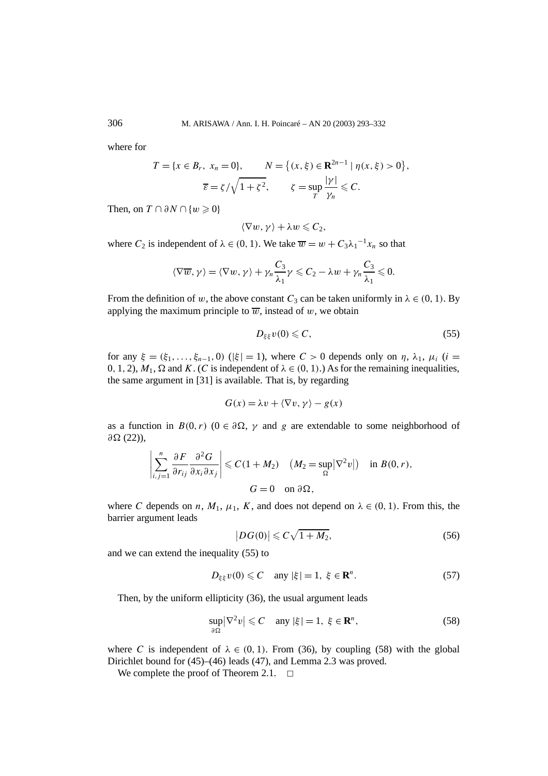where for

$$
T = \{x \in B_r, x_n = 0\}, \qquad N = \{(x, \xi) \in \mathbf{R}^{2n-1} \mid \eta(x, \xi) > 0\},
$$

$$
\overline{\varepsilon} = \zeta / \sqrt{1 + \zeta^2}, \qquad \zeta = \sup_T \frac{|\gamma|}{\gamma_n} \leq C.
$$

Then, on  $T \cap \partial N \cap \{w \geq 0\}$ 

$$
\langle \nabla w, \gamma \rangle + \lambda w \leqslant C_2,
$$

where  $C_2$  is independent of  $\lambda \in (0, 1)$ . We take  $\overline{w} = w + C_3 \lambda_1^{-1} x_n$  so that

$$
\langle \nabla \overline{w}, \gamma \rangle = \langle \nabla w, \gamma \rangle + \gamma_n \frac{C_3}{\lambda_1} \gamma \leqslant C_2 - \lambda w + \gamma_n \frac{C_3}{\lambda_1} \leqslant 0.
$$

From the definition of *w*, the above constant  $C_3$  can be taken uniformly in  $\lambda \in (0, 1)$ . By applying the maximum principle to  $\overline{w}$ , instead of *w*, we obtain

$$
D_{\xi\xi}v(0)\leqslant C,\tag{55}
$$

*for any ξ* =  $(ξ_1, ..., ξ_{n-1}, 0)$  ( $|ξ| = 1$ ), where *C* > 0 depends only on *η*, *λ*<sub>1</sub>, *μ<sub>i</sub>* (*i* =  $0, 1, 2$ ),  $M_1$ , Ω and *K*. (*C* is independent of  $λ ∈ (0, 1)$ .) As for the remaining inequalities, the same argument in [31] is available. That is, by regarding

$$
G(x) = \lambda v + \langle \nabla v, \gamma \rangle - g(x)
$$

as a function in  $B(0, r)$  ( $0 \in \partial \Omega$ ,  $\gamma$  and g are extendable to some neighborhood of *∂* (22)),

$$
\left|\sum_{i,j=1}^n \frac{\partial F}{\partial r_{ij}} \frac{\partial^2 G}{\partial x_i \partial x_j}\right| \leqslant C(1+M_2) \quad (M_2 = \sup_{\Omega} |\nabla^2 v|) \quad \text{in } B(0,r),
$$
  

$$
G = 0 \quad \text{on } \partial \Omega,
$$

where *C* depends on *n*,  $M_1$ ,  $\mu_1$ , *K*, and does not depend on  $\lambda \in (0, 1)$ . From this, the barrier argument leads

$$
|DG(0)| \leqslant C\sqrt{1+M_2},\tag{56}
$$

and we can extend the inequality (55) to

$$
D_{\xi\xi}v(0) \leqslant C \quad \text{any } |\xi| = 1, \ \xi \in \mathbf{R}^n. \tag{57}
$$

Then, by the uniform ellipticity (36), the usual argument leads

$$
\sup_{\partial \Omega} |\nabla^2 v| \leqslant C \quad \text{any } |\xi| = 1, \ \xi \in \mathbf{R}^n,
$$

where *C* is independent of  $\lambda \in (0, 1)$ . From (36), by coupling (58) with the global Dirichlet bound for (45)–(46) leads (47), and Lemma 2.3 was proved.

We complete the proof of Theorem 2.1.  $\Box$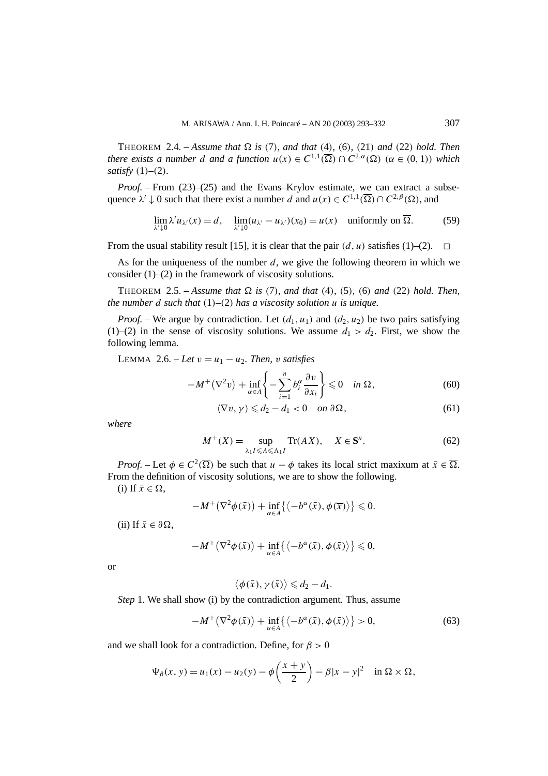THEOREM 2.4. – *Assume that*  $\Omega$  *is* (7)*, and that* (4)*,* (6)*,* (21*) and* (22*) hold. Then there exists a number d and a function*  $u(x) \in C^{1,1}(\overline{\Omega}) \cap C^{2,\alpha}(\Omega)$  ( $\alpha \in (0,1)$ ) which *satisfy (*1*)–(*2*).*

*Proof.* – From (23)–(25) and the Evans–Krylov estimate, we can extract a subsequence  $\lambda' \downarrow 0$  such that there exist a number *d* and  $u(x) \in C^{1,1}(\overline{\Omega}) \cap C^{2,\beta}(\Omega)$ , and

$$
\lim_{\lambda' \downarrow 0} \lambda' u_{\lambda'}(x) = d, \quad \lim_{\lambda' \downarrow 0} (u_{\lambda'} - u_{\lambda'})(x_0) = u(x) \quad \text{uniformly on } \overline{\Omega}. \tag{59}
$$

From the usual stability result [15], it is clear that the pair  $(d, u)$  satisfies (1)–(2).  $\Box$ 

As for the uniqueness of the number *d*, we give the following theorem in which we consider  $(1)$ – $(2)$  in the framework of viscosity solutions.

THEOREM 2.5. – *Assume that*  $\Omega$  *is* (7)*, and that* (4)*,* (5)*,* (6) *and* (22*) hold. Then, the number d such that (*1*)–(*2*) has a viscosity solution u is unique.*

*Proof.* – We argue by contradiction. Let  $(d_1, u_1)$  and  $(d_2, u_2)$  be two pairs satisfying (1)–(2) in the sense of viscosity solutions. We assume  $d_1 > d_2$ . First, we show the following lemma.

LEMMA 2.6. – Let  $v = u_1 - u_2$ . Then, *v* satisfies

$$
-M^{+}(\nabla^{2} v) + \inf_{\alpha \in A} \left\{ -\sum_{i=1}^{n} b_{i}^{\alpha} \frac{\partial v}{\partial x_{i}} \right\} \leq 0 \quad \text{in } \Omega, \tag{60}
$$

$$
\langle \nabla v, \gamma \rangle \leq d_2 - d_1 < 0 \quad \text{on } \partial \Omega,\tag{61}
$$

*where*

$$
M^{+}(X) = \sup_{\lambda_{1} I \leq A \leq \Lambda_{1} I} \operatorname{Tr}(AX), \quad X \in \mathbf{S}^{n}.
$$
 (62)

*Proof.* – Let  $\phi \in C^2(\overline{\Omega})$  be such that  $u - \phi$  takes its local strict maxixum at  $\bar{x} \in \overline{\Omega}$ . From the definition of viscosity solutions, we are to show the following.

(i) If  $\bar{x} \in \Omega$ ,

$$
-M^+(\nabla^2\phi(\bar{x})) + \inf_{\alpha \in A} \{ \langle -b^{\alpha}(\bar{x}), \phi(\bar{x}) \rangle \} \leq 0.
$$

 $(ii)$  If  $\bar{x} \in \partial \Omega$ ,

$$
-M^+(\nabla^2\phi(\bar{x})) + \inf_{\alpha \in A} \{ \langle -b^{\alpha}(\bar{x}), \phi(\bar{x}) \rangle \} \leq 0,
$$

or

$$
\langle \phi(\bar{x}), \gamma(\bar{x}) \rangle \leq d_2 - d_1.
$$

*Step* 1. We shall show (i) by the contradiction argument. Thus, assume

$$
-M^{+}(\nabla^{2}\phi(\bar{x})) + \inf_{\alpha \in A} \{ \langle -b^{\alpha}(\bar{x}), \phi(\bar{x}) \rangle \} > 0,
$$
\n(63)

and we shall look for a contradiction. Define, for  $\beta > 0$ 

$$
\Psi_{\beta}(x, y) = u_1(x) - u_2(y) - \phi\left(\frac{x + y}{2}\right) - \beta|x - y|^2 \quad \text{in } \Omega \times \Omega,
$$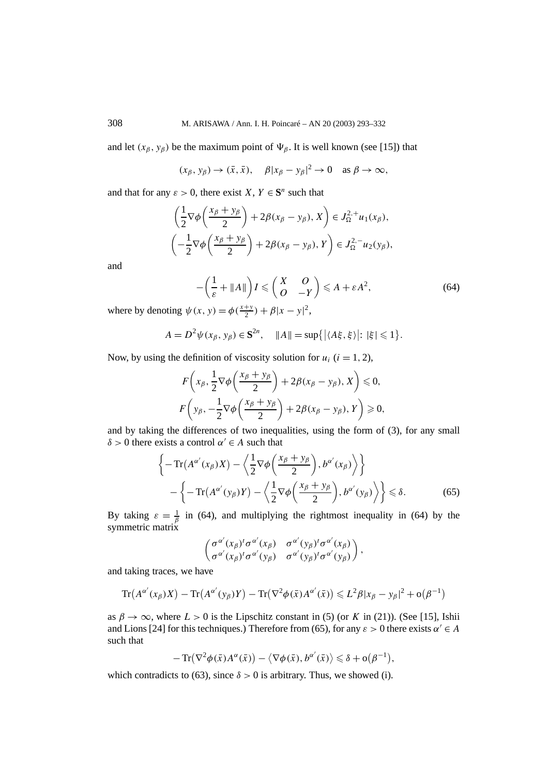and let  $(x_\beta, y_\beta)$  be the maximum point of  $\Psi_\beta$ . It is well known (see [15]) that

$$
(x_{\beta}, y_{\beta}) \rightarrow (\bar{x}, \bar{x}), \quad \beta |x_{\beta} - y_{\beta}|^2 \rightarrow 0 \quad \text{as } \beta \rightarrow \infty,
$$

and that for any  $\varepsilon > 0$ , there exist *X*,  $Y \in S^n$  such that

11

$$
\left(\frac{1}{2}\nabla\phi\left(\frac{x_{\beta}+y_{\beta}}{2}\right)+2\beta(x_{\beta}-y_{\beta}),X\right)\in J_{\Omega}^{2,+}u_{1}(x_{\beta}),
$$

$$
\left(-\frac{1}{2}\nabla\phi\left(\frac{x_{\beta}+y_{\beta}}{2}\right)+2\beta(x_{\beta}-y_{\beta}),Y\right)\in J_{\Omega}^{2,-}u_{2}(y_{\beta}),
$$

and

$$
-\left(\frac{1}{\varepsilon} + \|A\|\right)I \leqslant \left(\begin{array}{cc} X & O \\ O & -Y \end{array}\right) \leqslant A + \varepsilon A^2,\tag{64}
$$

where by denoting  $\psi(x, y) = \phi(\frac{x+y}{2}) + \beta|x - y|^2$ ,

$$
A = D^2 \psi(x_\beta, y_\beta) \in \mathbf{S}^{2n}, \quad \|A\| = \sup\{|\langle A\xi, \xi\rangle|: |\xi| \leq 1\}.
$$

Now, by using the definition of viscosity solution for  $u_i$  ( $i = 1, 2$ ),

$$
F\left(x_{\beta}, \frac{1}{2}\nabla\phi\left(\frac{x_{\beta} + y_{\beta}}{2}\right) + 2\beta(x_{\beta} - y_{\beta}), X\right) \leq 0,
$$
  

$$
F\left(y_{\beta}, -\frac{1}{2}\nabla\phi\left(\frac{x_{\beta} + y_{\beta}}{2}\right) + 2\beta(x_{\beta} - y_{\beta}), Y\right) \geq 0,
$$

and by taking the differences of two inequalities, using the form of (3), for any small *δ* > 0 there exists a control  $α' ∈ A$  such that

$$
\left\{-\operatorname{Tr}(A^{\alpha'}(x_{\beta})X) - \left\langle \frac{1}{2} \nabla \phi \left( \frac{x_{\beta} + y_{\beta}}{2} \right), b^{\alpha'}(x_{\beta}) \right\rangle \right\} - \left\{-\operatorname{Tr}(A^{\alpha'}(y_{\beta})Y) - \left\langle \frac{1}{2} \nabla \phi \left( \frac{x_{\beta} + y_{\beta}}{2} \right), b^{\alpha'}(y_{\beta}) \right\rangle \right\} \le \delta.
$$
 (65)

By taking  $\varepsilon = \frac{1}{\beta}$  in (64), and multiplying the rightmost inequality in (64) by the symmetric matrix

$$
\begin{pmatrix}\sigma^{\alpha'}(x_\beta)^t\sigma^{\alpha'}(x_\beta) & \sigma^{\alpha'}(y_\beta)^t\sigma^{\alpha'}(x_\beta) \\ \sigma^{\alpha'}(x_\beta)^t\sigma^{\alpha'}(y_\beta) & \sigma^{\alpha'}(y_\beta)^t\sigma^{\alpha'}(y_\beta)\end{pmatrix},
$$

and taking traces, we have

$$
\operatorname{Tr}(A^{\alpha'}(x_{\beta})X) - \operatorname{Tr}(A^{\alpha'}(y_{\beta})Y) - \operatorname{Tr}(\nabla^2 \phi(\bar{x})A^{\alpha'}(\bar{x})) \leq L^2 \beta |x_{\beta} - y_{\beta}|^2 + o(\beta^{-1})
$$

as  $\beta \to \infty$ , where  $L > 0$  is the Lipschitz constant in (5) (or *K* in (21)). (See [15], Ishii and Lions [24] for this techniques.) Therefore from (65), for any  $\varepsilon > 0$  there exists  $\alpha' \in A$ such that

$$
-\operatorname{Tr}(\nabla^2 \phi(\bar{x}) A^{\alpha}(\bar{x})) - \langle \nabla \phi(\bar{x}), b^{\alpha'}(\bar{x}) \rangle \leq \delta + o(\beta^{-1}),
$$

which contradicts to (63), since  $\delta > 0$  is arbitrary. Thus, we showed (i).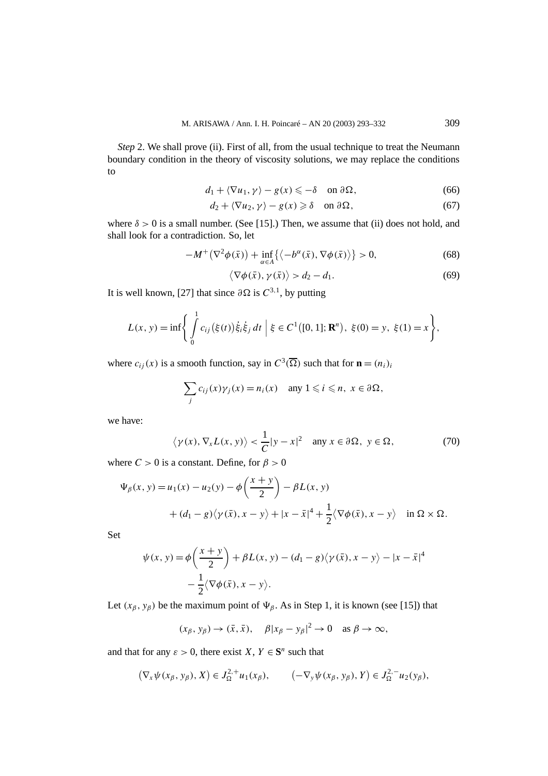*Step* 2. We shall prove (ii). First of all, from the usual technique to treat the Neumann boundary condition in the theory of viscosity solutions, we may replace the conditions to

$$
d_1 + \langle \nabla u_1, \gamma \rangle - g(x) \leqslant -\delta \quad \text{on } \partial \Omega,\tag{66}
$$

$$
d_2 + \langle \nabla u_2, \gamma \rangle - g(x) \ge \delta \quad \text{on } \partial \Omega,
$$
 (67)

where  $\delta > 0$  is a small number. (See [15].) Then, we assume that (ii) does not hold, and shall look for a contradiction. So, let

$$
-M^{+}(\nabla^{2}\phi(\bar{x})) + \inf_{\alpha \in A} \{ \langle -b^{\alpha}(\bar{x}), \nabla \phi(\bar{x}) \rangle \} > 0,
$$
\n(68)

$$
\langle \nabla \phi(\bar{x}), \gamma(\bar{x}) \rangle > d_2 - d_1. \tag{69}
$$

It is well known, [27] that since  $\partial \Omega$  is  $C^{3,1}$ , by putting

$$
L(x, y) = \inf \left\{ \int_{0}^{1} c_{ij} (\xi(t)) \dot{\xi}_{i} \dot{\xi}_{j} dt \mid \xi \in C^{1}([0, 1]; \mathbf{R}^{n}), \xi(0) = y, \xi(1) = x \right\},\
$$

where  $c_{ij}(x)$  is a smooth function, say in  $C^3(\overline{\Omega})$  such that for  $\mathbf{n} = (n_i)_i$ 

$$
\sum_j c_{ij}(x)\gamma_j(x) = n_i(x) \quad \text{any } 1 \leq i \leq n, \ x \in \partial\Omega,
$$

we have:

$$
\langle \gamma(x), \nabla_x L(x, y) \rangle < \frac{1}{C} |y - x|^2
$$
 any  $x \in \partial \Omega$ ,  $y \in \Omega$ , (70)

where  $C > 0$  is a constant. Define, for  $\beta > 0$ 

$$
\Psi_{\beta}(x, y) = u_1(x) - u_2(y) - \phi\left(\frac{x + y}{2}\right) - \beta L(x, y) + (d_1 - g)\langle\gamma(\bar{x}), x - y\rangle + |x - \bar{x}|^4 + \frac{1}{2}\langle\nabla\phi(\bar{x}), x - y\rangle \quad \text{in } \Omega \times \Omega.
$$

Set

$$
\psi(x, y) = \phi\left(\frac{x+y}{2}\right) + \beta L(x, y) - (d_1 - g)\langle\gamma(\bar{x}), x - y\rangle - |x - \bar{x}|^4
$$

$$
-\frac{1}{2}\langle\nabla\phi(\bar{x}), x - y\rangle.
$$

Let  $(x_\beta, y_\beta)$  be the maximum point of  $\Psi_\beta$ . As in Step 1, it is known (see [15]) that

$$
(x_{\beta}, y_{\beta}) \rightarrow (\bar{x}, \bar{x}), \quad \beta |x_{\beta} - y_{\beta}|^2 \rightarrow 0 \quad \text{as } \beta \rightarrow \infty,
$$

and that for any  $\varepsilon > 0$ , there exist *X*,  $Y \in S^n$  such that

$$
(\nabla_x \psi(x_\beta, y_\beta), X) \in J_{\Omega}^{2,+} u_1(x_\beta), \qquad (-\nabla_y \psi(x_\beta, y_\beta), Y) \in J_{\Omega}^{2,-} u_2(y_\beta),
$$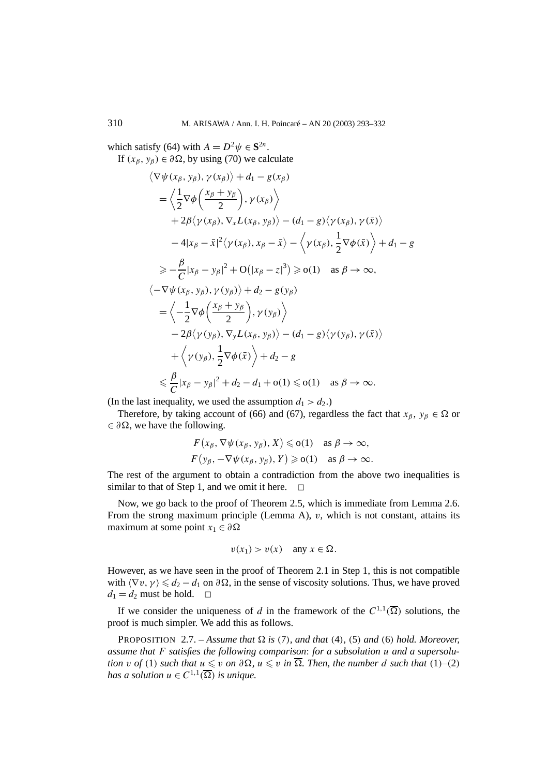which satisfy (64) with  $A = D^2 \psi \in \mathbf{S}^{2n}$ . If  $(x_\beta, y_\beta) \in \partial \Omega$ , by using (70) we calculate

$$
\langle \nabla \psi(x_{\beta}, y_{\beta}), \gamma(x_{\beta}) \rangle + d_{1} - g(x_{\beta})
$$
  
\n
$$
= \langle \frac{1}{2} \nabla \phi \left( \frac{x_{\beta} + y_{\beta}}{2} \right), \gamma(x_{\beta}) \rangle
$$
  
\n
$$
+ 2\beta \langle \gamma(x_{\beta}), \nabla_{x} L(x_{\beta}, y_{\beta}) \rangle - (d_{1} - g) \langle \gamma(x_{\beta}), \gamma(\bar{x}) \rangle
$$
  
\n
$$
- 4|x_{\beta} - \bar{x}|^{2} \langle \gamma(x_{\beta}), x_{\beta} - \bar{x} \rangle - \langle \gamma(x_{\beta}), \frac{1}{2} \nabla \phi(\bar{x}) \rangle + d_{1} - g
$$
  
\n
$$
\geq -\frac{\beta}{C} |x_{\beta} - y_{\beta}|^{2} + O(|x_{\beta} - z|^{3}) \geq o(1) \text{ as } \beta \to \infty,
$$
  
\n
$$
\langle -\nabla \psi(x_{\beta}, y_{\beta}), \gamma(y_{\beta}) \rangle + d_{2} - g(y_{\beta})
$$
  
\n
$$
= \langle -\frac{1}{2} \nabla \phi \left( \frac{x_{\beta} + y_{\beta}}{2} \right), \gamma(y_{\beta}) \rangle
$$
  
\n
$$
- 2\beta \langle \gamma(y_{\beta}), \nabla_{y} L(x_{\beta}, y_{\beta}) \rangle - (d_{1} - g) \langle \gamma(y_{\beta}), \gamma(\bar{x}) \rangle
$$
  
\n
$$
+ \langle \gamma(y_{\beta}), \frac{1}{2} \nabla \phi(\bar{x}) \rangle + d_{2} - g
$$
  
\n
$$
\leq \frac{\beta}{C} |x_{\beta} - y_{\beta}|^{2} + d_{2} - d_{1} + o(1) \leq o(1) \text{ as } \beta \to \infty.
$$

(In the last inequality, we used the assumption  $d_1 > d_2$ .)

Therefore, by taking account of (66) and (67), regardless the fact that  $x_\beta, y_\beta \in \Omega$  or  $\in \partial \Omega$ , we have the following.

$$
F(x_{\beta}, \nabla \psi(x_{\beta}, y_{\beta}), X) \leqslant o(1) \text{ as } \beta \to \infty,
$$
  

$$
F(y_{\beta}, -\nabla \psi(x_{\beta}, y_{\beta}), Y) \geqslant o(1) \text{ as } \beta \to \infty.
$$

The rest of the argument to obtain a contradiction from the above two inequalities is similar to that of Step 1, and we omit it here.  $\Box$ 

Now, we go back to the proof of Theorem 2.5, which is immediate from Lemma 2.6. From the strong maximum principle (Lemma A), *v*, which is not constant, attains its maximum at some point  $x_1 \in \partial \Omega$ 

$$
v(x_1) > v(x) \quad \text{any } x \in \Omega.
$$

However, as we have seen in the proof of Theorem 2.1 in Step 1, this is not compatible with  $\langle \nabla v, \gamma \rangle \leq d_2 - d_1$  on  $\partial \Omega$ , in the sense of viscosity solutions. Thus, we have proved  $d_1 = d_2$  must be hold.  $\Box$ 

If we consider the uniqueness of *d* in the framework of the  $C^{1,1}(\overline{\Omega})$  solutions, the proof is much simpler. We add this as follows.

PROPOSITION 2.7. – Assume that  $\Omega$  is (7), and that (4), (5) and (6) hold. Moreover, *assume that F satisfies the following comparison*: *for a subsolution u and a supersolu*tion v of (1) such that  $u \leq v$  on  $\partial \Omega$ ,  $u \leq v$  in  $\overline{\Omega}$ . Then, the number d such that (1)–(2) *has a solution*  $u \in C^{1,1}(\overline{\Omega})$  *is unique.*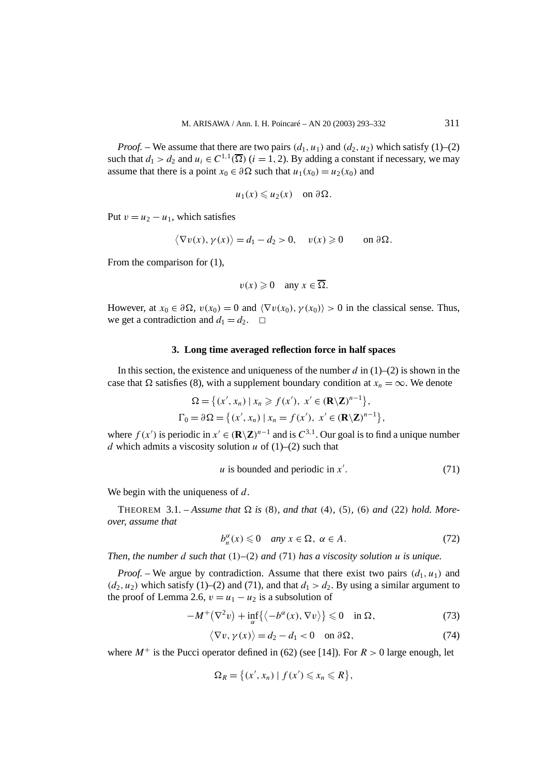*Proof.* – We assume that there are two pairs  $(d_1, u_1)$  and  $(d_2, u_2)$  which satisfy (1)–(2) such that  $d_1 > d_2$  and  $u_i \in C^{1,1}(\overline{\Omega})$  (*i* = 1, 2). By adding a constant if necessary, we may assume that there is a point  $x_0 \in \partial \Omega$  such that  $u_1(x_0) = u_2(x_0)$  and

$$
u_1(x) \leq u_2(x)
$$
 on  $\partial \Omega$ .

Put  $v = u_2 - u_1$ , which satisfies

$$
\langle \nabla v(x), \gamma(x) \rangle = d_1 - d_2 > 0, \quad v(x) \geq 0 \quad \text{on } \partial \Omega.
$$

From the comparison for  $(1)$ ,

$$
v(x) \geq 0 \quad \text{any } x \in \overline{\Omega}.
$$

However, at  $x_0 \in \partial \Omega$ ,  $v(x_0) = 0$  and  $\langle \nabla v(x_0), \gamma(x_0) \rangle > 0$  in the classical sense. Thus, we get a contradiction and  $d_1 = d_2$ .  $\Box$ 

#### **3. Long time averaged reflection force in half spaces**

In this section, the existence and uniqueness of the number *d* in (1)–(2) is shown in the case that  $\Omega$  satisfies (8), with a supplement boundary condition at  $x_n = \infty$ . We denote

$$
\Omega = \{ (x', x_n) \mid x_n \ge f(x'), x' \in (\mathbf{R} \setminus \mathbf{Z})^{n-1} \},
$$
  
\n
$$
\Gamma_0 = \partial \Omega = \{ (x', x_n) \mid x_n = f(x'), x' \in (\mathbf{R} \setminus \mathbf{Z})^{n-1} \},
$$

where  $f(x')$  is periodic in  $x' \in (\mathbb{R} \setminus \mathbb{Z})^{n-1}$  and is  $C^{3,1}$ . Our goal is to find a unique number *d* which admits a viscosity solution *u* of  $(1)$ – $(2)$  such that

$$
u \text{ is bounded and periodic in } x'. \tag{71}
$$

We begin with the uniqueness of *d*.

THEOREM 3.1. – Assume that  $\Omega$  is (8), and that (4), (5), (6) and (22) hold. More*over, assume that*

$$
b_n^{\alpha}(x) \leq 0 \quad \text{any } x \in \Omega, \ \alpha \in A. \tag{72}
$$

*Then, the number d such that (*1*)–(*2*) and (*71*) has a viscosity solution u is unique.*

*Proof.* – We argue by contradiction. Assume that there exist two pairs  $(d_1, u_1)$  and  $(d_2, u_2)$  which satisfy (1)–(2) and (71), and that  $d_1 > d_2$ . By using a similar argument to the proof of Lemma 2.6,  $v = u_1 - u_2$  is a subsolution of

$$
-M^{+}(\nabla^{2} v) + \inf_{\alpha} \{ \langle -b^{\alpha}(x), \nabla v \rangle \} \leq 0 \quad \text{in } \Omega,
$$
 (73)

$$
\langle \nabla v, \gamma(x) \rangle = d_2 - d_1 < 0 \quad \text{on } \partial \Omega,\tag{74}
$$

where  $M^+$  is the Pucci operator defined in (62) (see [14]). For  $R > 0$  large enough, let

$$
\Omega_R = \big\{ (x', x_n) \mid f(x') \leqslant x_n \leqslant R \big\},\
$$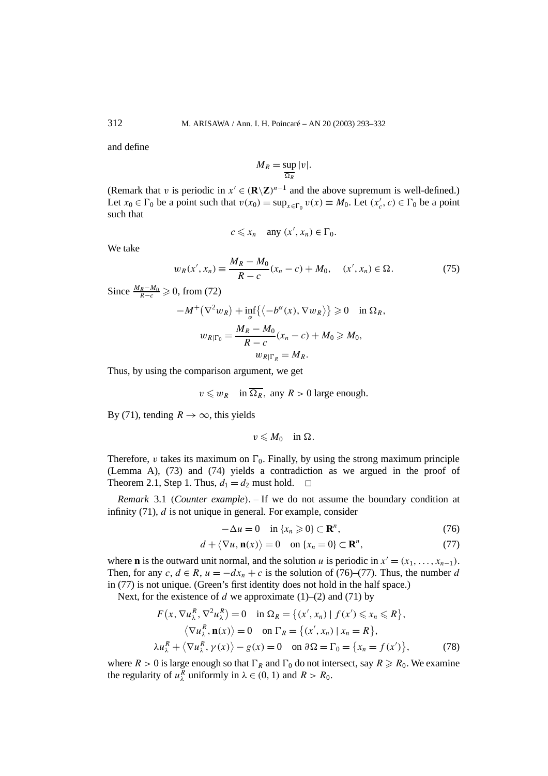and define

$$
M_R = \sup_{\overline{\Omega_R}} |v|.
$$

(Remark that *v* is periodic in  $x' \in (\mathbb{R} \setminus \mathbb{Z})^{n-1}$  and the above supremum is well-defined.) Let  $x_0 \in \Gamma_0$  be a point such that  $v(x_0) = \sup_{x \in \Gamma_0} v(x) \equiv M_0$ . Let  $(x'_c, c) \in \Gamma_0$  be a point such that

$$
c \leq x_n \quad \text{any } (x', x_n) \in \Gamma_0.
$$

We take

$$
w_R(x', x_n) \equiv \frac{M_R - M_0}{R - c}(x_n - c) + M_0, \quad (x', x_n) \in \Omega.
$$
 (75)

Since  $\frac{M_R - M_0}{R - c} \geq 0$ , from (72)

$$
-M^{+}(\nabla^{2} w_{R}) + \inf_{\alpha} \{ \langle -b^{\alpha}(x), \nabla w_{R} \rangle \} \geq 0 \quad \text{in } \Omega_{R},
$$

$$
w_{R|\Gamma_{0}} = \frac{M_{R} - M_{0}}{R - c}(x_{n} - c) + M_{0} \geq M_{0},
$$

$$
w_{R|\Gamma_{R}} = M_{R}.
$$

Thus, by using the comparison argument, we get

$$
v \leq w_R
$$
 in  $\overline{\Omega_R}$ , any  $R > 0$  large enough.

By (71), tending  $R \to \infty$ , this yields

 $v \leqslant M_0$  in  $\Omega$ .

Therefore, *v* takes its maximum on  $\Gamma_0$ . Finally, by using the strong maximum principle (Lemma A), (73) and (74) yields a contradiction as we argued in the proof of Theorem 2.1, Step 1. Thus,  $d_1 = d_2$  must hold.  $\Box$ 

*Remark* 3.1 *(Counter example)*. – If we do not assume the boundary condition at infinity (71), *d* is not unique in general. For example, consider

$$
-\Delta u = 0 \quad \text{in } \{x_n \geq 0\} \subset \mathbf{R}^n,
$$
\n(76)

$$
d + \langle \nabla u, \mathbf{n}(x) \rangle = 0 \quad \text{on } \{x_n = 0\} \subset \mathbf{R}^n,
$$
 (77)

where **n** is the outward unit normal, and the solution *u* is periodic in  $x' = (x_1, \ldots, x_{n-1})$ . Then, for any  $c, d \in R$ ,  $u = -dx_n + c$  is the solution of (76)–(77). Thus, the number *d* in (77) is not unique. (Green's first identity does not hold in the half space.)

Next, for the existence of  $d$  we approximate (1)–(2) and (71) by

$$
F(x, \nabla u_{\lambda}^{R}, \nabla^{2} u_{\lambda}^{R}) = 0 \quad \text{in } \Omega_{R} = \{(x', x_{n}) \mid f(x') \le x_{n} \le R\},
$$
  
\n
$$
\langle \nabla u_{\lambda}^{R}, \mathbf{n}(x) \rangle = 0 \quad \text{on } \Gamma_{R} = \{(x', x_{n}) \mid x_{n} = R\},
$$
  
\n
$$
\lambda u_{\lambda}^{R} + \langle \nabla u_{\lambda}^{R}, \gamma(x) \rangle - g(x) = 0 \quad \text{on } \partial \Omega = \Gamma_{0} = \{x_{n} = f(x')\},
$$
\n(78)

where  $R > 0$  is large enough so that  $\Gamma_R$  and  $\Gamma_0$  do not intersect, say  $R \ge R_0$ . We examine the regularity of  $u_{\lambda}^{R}$  uniformly in  $\lambda \in (0, 1)$  and  $R > R_0$ .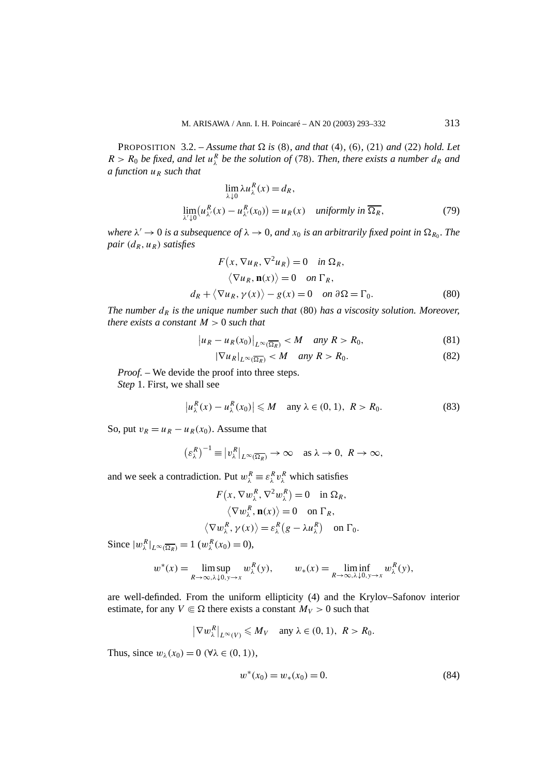PROPOSITION 3.2. – *Assume that*  $\Omega$  *is* (8)*, and that* (4)*,* (6)*,* (21*) and* (22*) hold. Let*  $R > R_0$  *be fixed, and let*  $u^R_\lambda$  *be the solution of* (78)*. Then, there exists a number*  $d_R$  *and a function uR such that*

$$
\lim_{\lambda \downarrow 0} \lambda u_{\lambda}^{R}(x) = d_{R},
$$
  

$$
\lim_{\lambda \downarrow 0} (u_{\lambda}^{R}(x) - u_{\lambda}^{R}(x_{0})) = u_{R}(x) \quad \text{uniformly in } \overline{\Omega_{R}},
$$
 (79)

*where*  $\lambda' \to 0$  *is a subsequence of*  $\lambda \to 0$ *, and*  $x_0$  *is an arbitrarily fixed point in*  $\Omega_{R_0}$ *. The pair*  $(d_R, u_R)$  *satisfies* 

$$
F(x, \nabla u_R, \nabla^2 u_R) = 0 \quad \text{in } \Omega_R,
$$
  
\n
$$
\langle \nabla u_R, \mathbf{n}(x) \rangle = 0 \quad \text{on } \Gamma_R,
$$
  
\n
$$
d_R + \langle \nabla u_R, \gamma(x) \rangle - g(x) = 0 \quad \text{on } \partial \Omega = \Gamma_0.
$$
 (80)

*The number*  $d<sub>R</sub>$  *is the unique number such that* (80) *has a viscosity solution. Moreover, there exists a constant M >* 0 *such that*

$$
\left|u_R - u_R(x_0)\right|_{L^\infty(\overline{\Omega_R})} < M \quad \text{any } R > R_0,\tag{81}
$$

$$
|\nabla u_R|_{L^\infty(\overline{\Omega_R})} < M \quad \text{any } R > R_0. \tag{82}
$$

*Proof. –* We devide the proof into three steps.

*Step* 1. First, we shall see

$$
\left|u_{\lambda}^{R}(x)-u_{\lambda}^{R}(x_{0})\right|\leqslant M \quad \text{any } \lambda\in(0,1), \ R>R_{0}.\tag{83}
$$

So, put  $v_R = u_R - u_R(x_0)$ . Assume that

$$
(\varepsilon_{\lambda}^R)^{-1} \equiv |v_{\lambda}^R|_{L^{\infty}(\overline{\Omega_R})} \to \infty \quad \text{as } \lambda \to 0, \ R \to \infty,
$$

and we seek a contradiction. Put  $w_{\lambda}^{R} \equiv \varepsilon_{\lambda}^{R} v_{\lambda}^{R}$  which satisfies

$$
F(x, \nabla w_{\lambda}^{R}, \nabla^{2} w_{\lambda}^{R}) = 0 \text{ in } \Omega_{R},
$$
  
\n
$$
\langle \nabla w_{\lambda}^{R}, \mathbf{n}(x) \rangle = 0 \text{ on } \Gamma_{R},
$$
  
\n
$$
\langle \nabla w_{\lambda}^{R}, \gamma(x) \rangle = \varepsilon_{\lambda}^{R} (g - \lambda u_{\lambda}^{R}) \text{ on } \Gamma_{0}.
$$

Since  $|w_{\lambda}^{R}|_{L^{\infty}(\overline{\Omega_R})} = 1$   $(w_{\lambda}^{R}(x_0) = 0)$ ,

$$
w^*(x) = \limsup_{R \to \infty, \lambda \downarrow 0, y \to x} w_{\lambda}^R(y), \qquad w_*(x) = \liminf_{R \to \infty, \lambda \downarrow 0, y \to x} w_{\lambda}^R(y),
$$

are well-definded. From the uniform ellipticity (4) and the Krylov–Safonov interior estimate, for any  $V \in \Omega$  there exists a constant  $M_V > 0$  such that

$$
|\nabla w_{\lambda}^{R}|_{L^{\infty}(V)} \leqslant M_{V} \quad \text{any } \lambda \in (0, 1), \ R > R_{0}.
$$

Thus, since  $w_{\lambda}(x_0) = 0$  ( $\forall \lambda \in (0, 1)$ ),

 $\overline{\phantom{a}}$ 

$$
w^*(x_0) = w_*(x_0) = 0.
$$
\n(84)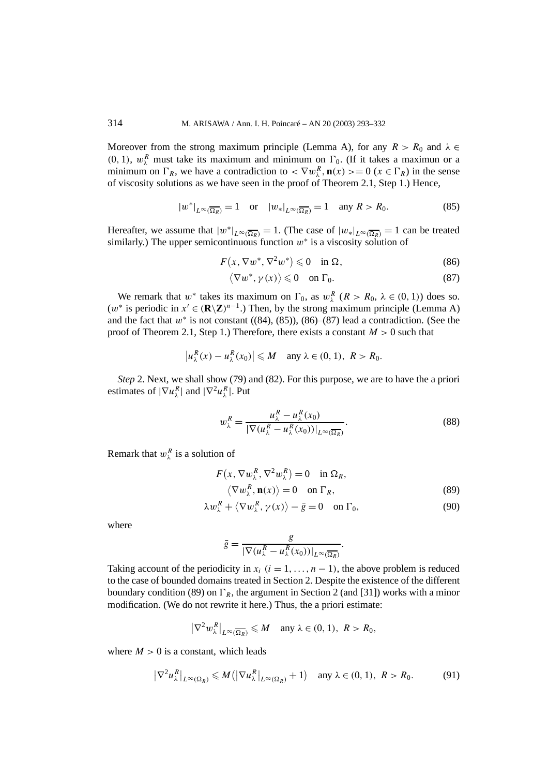Moreover from the strong maximum principle (Lemma A), for any  $R > R_0$  and  $\lambda \in$  $(0, 1)$ ,  $w_{\lambda}^{R}$  must take its maximum and minimum on  $\Gamma_{0}$ . (If it takes a maximun or a minimum on  $\Gamma_R$ , we have a contradiction to  $\langle \nabla w_{\lambda}^R, \mathbf{n}(x) \rangle = 0$  ( $x \in \Gamma_R$ ) in the sense of viscosity solutions as we have seen in the proof of Theorem 2.1, Step 1.) Hence,

$$
|w^*|_{L^{\infty}(\overline{\Omega_R})} = 1 \quad \text{or} \quad |w_*|_{L^{\infty}(\overline{\Omega_R})} = 1 \quad \text{any } R > R_0. \tag{85}
$$

Hereafter, we assume that  $|w^*|_{L^\infty(\overline{\Omega_R})} = 1$ . (The case of  $|w_*|_{L^\infty(\overline{\Omega_R})} = 1$  can be treated similarly.) The upper semicontinuous function *w*<sup>∗</sup> is a viscosity solution of

$$
F(x, \nabla w^*, \nabla^2 w^*) \leq 0 \quad \text{in } \Omega,\tag{86}
$$

$$
\langle \nabla w^*, \gamma(x) \rangle \leq 0 \quad \text{on } \Gamma_0. \tag{87}
$$

We remark that  $w^*$  takes its maximum on  $\Gamma_0$ , as  $w^R_\lambda$  ( $R > R_0$ ,  $\lambda \in (0, 1)$ ) does so.  $(w^*$  is periodic in  $x' \in (\mathbb{R}\setminus \mathbb{Z})^{n-1}$ .) Then, by the strong maximum principle (Lemma A) and the fact that  $w^*$  is not constant ((84), (85)), (86)–(87) lead a contradiction. (See the proof of Theorem 2.1, Step 1.) Therefore, there exists a constant  $M > 0$  such that

$$
\left|u_{\lambda}^{R}(x)-u_{\lambda}^{R}(x_{0})\right|\leqslant M \quad \text{any } \lambda\in(0,1), \ R>R_{0}.
$$

*Step* 2. Next, we shall show (79) and (82). For this purpose, we are to have the a priori estimates of  $|\nabla u_{\lambda}^R|$  and  $|\nabla^2 u_{\lambda}^R|$ . Put

$$
w_{\lambda}^{R} = \frac{u_{\lambda}^{R} - u_{\lambda}^{R}(x_{0})}{|\nabla(u_{\lambda}^{R} - u_{\lambda}^{R}(x_{0}))|_{L^{\infty}(\overline{\Omega_{R}})}}.
$$
\n(88)

Remark that  $w_{\lambda}^{R}$  is a solution of

$$
F(x, \nabla w_{\lambda}^{R}, \nabla^{2} w_{\lambda}^{R}) = 0 \quad \text{in } \Omega_{R},
$$
  

$$
\langle \nabla w_{\lambda}^{R}, \mathbf{n}(x) \rangle = 0 \quad \text{on } \Gamma_{R},
$$
 (89)

$$
\lambda w_{\lambda}^{R} + \langle \nabla w_{\lambda}^{R}, \gamma(x) \rangle - \bar{g} = 0 \quad \text{on } \Gamma_{0}, \tag{90}
$$

where

$$
\bar{g} = \frac{g}{\left|\nabla(u_{\lambda}^R - u_{\lambda}^R(x_0))\right|_{L^{\infty}(\overline{\Omega_R})}}.
$$

Taking account of the periodicity in  $x_i$  ( $i = 1, \ldots, n - 1$ ), the above problem is reduced to the case of bounded domains treated in Section 2. Despite the existence of the different boundary condition (89) on  $\Gamma_R$ , the argument in Section 2 (and [31]) works with a minor modification. (We do not rewrite it here.) Thus, the a priori estimate:

$$
\left|\nabla^2 w_{\lambda}^R\right|_{L^{\infty}(\overline{\Omega_R})} \leqslant M \quad \text{any } \lambda \in (0, 1), \ R > R_0,
$$

where  $M > 0$  is a constant, which leads

$$
|\nabla^2 u_\lambda^R|_{L^\infty(\Omega_R)} \leqslant M(|\nabla u_\lambda^R|_{L^\infty(\Omega_R)} + 1) \quad \text{any } \lambda \in (0, 1), \ R > R_0. \tag{91}
$$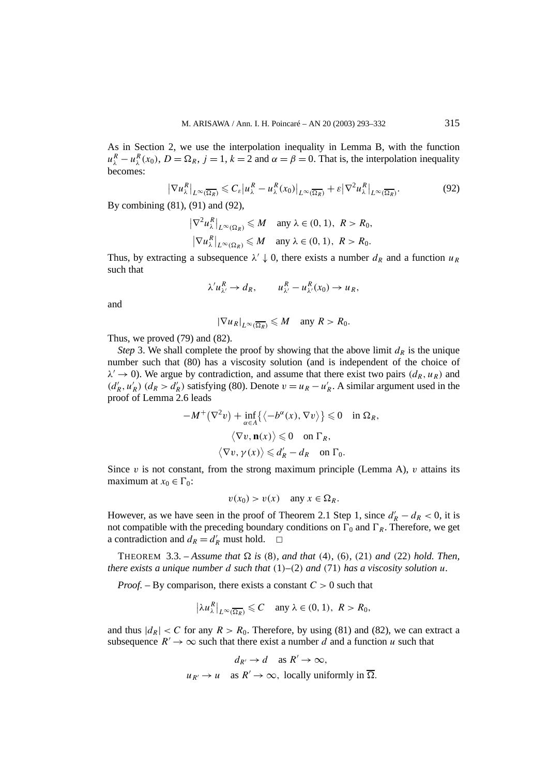As in Section 2, we use the interpolation inequality in Lemma B, with the function  $u_{\lambda}^{R} - u_{\lambda}^{R}(x_{0}), D = \Omega_{R}, j = 1, k = 2$  and  $\alpha = \beta = 0$ . That is, the interpolation inequality becomes:

$$
\left|\nabla u_{\lambda}^{R}\right|_{L^{\infty}(\overline{\Omega_{R}})} \leqslant C_{\varepsilon} \left|u_{\lambda}^{R} - u_{\lambda}^{R}(x_{0})\right|_{L^{\infty}(\overline{\Omega_{R}})} + \varepsilon \left|\nabla^{2} u_{\lambda}^{R}\right|_{L^{\infty}(\overline{\Omega_{R}})}.
$$
\n(92)

By combining (81), (91) and (92),

$$
\left|\nabla^2 u_{\lambda}^R\right|_{L^{\infty}(\Omega_R)} \leq M \quad \text{any } \lambda \in (0, 1), \ R > R_0,
$$
  

$$
\left|\nabla u_{\lambda}^R\right|_{L^{\infty}(\Omega_R)} \leq M \quad \text{any } \lambda \in (0, 1), \ R > R_0.
$$

Thus, by extracting a subsequence  $\lambda' \downarrow 0$ , there exists a number  $d_R$  and a function  $u_R$ such that

 $\lambda' u_{\lambda'}^R \to d_R$ ,  $u_{\lambda'}^R - u_{\lambda'}^R(x_0) \to u_R$ ,

and

$$
|\nabla u_R|_{L^{\infty}(\overline{\Omega_R})} \leqslant M \quad \text{any } R > R_0.
$$

Thus, we proved (79) and (82).

*Step* 3. We shall complete the proof by showing that the above limit  $d<sub>R</sub>$  is the unique number such that (80) has a viscosity solution (and is independent of the choice of  $\lambda' \rightarrow 0$ ). We argue by contradiction, and assume that there exist two pairs  $(d_R, u_R)$  and  $(d'_R, u'_R)$   $(d_R > d'_R)$  satisfying (80). Denote  $v = u_R - u'_R$ . A similar argument used in the proof of Lemma 2.6 leads

$$
-M^{+}(\nabla^{2} v) + \inf_{\alpha \in A} \{ \langle -b^{\alpha}(x), \nabla v \rangle \} \leq 0 \quad \text{in } \Omega_{R},
$$

$$
\langle \nabla v, \mathbf{n}(x) \rangle \leq 0 \quad \text{on } \Gamma_{R},
$$

$$
\langle \nabla v, \gamma(x) \rangle \leq d'_{R} - d_{R} \quad \text{on } \Gamma_{0}.
$$

Since  $v$  is not constant, from the strong maximum principle (Lemma A),  $v$  attains its maximum at  $x_0 \in \Gamma_0$ :

$$
v(x_0) > v(x) \quad \text{any } x \in \Omega_R.
$$

However, as we have seen in the proof of Theorem 2.1 Step 1, since  $d'_R - d_R < 0$ , it is not compatible with the preceding boundary conditions on  $\Gamma_0$  and  $\Gamma_R$ . Therefore, we get a contradiction and  $d_R = d'_R$  must hold.  $\square$ 

**THEOREM** 3.3. – Assume that  $\Omega$  is (8), and that (4), (6), (21) and (22) hold. Then, *there exists a unique number d such that (*1*)–(*2*) and (*71*) has a viscosity solution u.*

*Proof. –* By comparison, there exists a constant *C >* 0 such that

$$
\left|\lambda u_{\lambda}^{R}\right|_{L^{\infty}(\overline{\Omega_{R}})} \leqslant C \quad \text{any } \lambda \in (0, 1), \ R > R_{0},
$$

and thus  $|d_R| < C$  for any  $R > R_0$ . Therefore, by using (81) and (82), we can extract a subsequence  $R' \to \infty$  such that there exist a number *d* and a function *u* such that

$$
d_{R'} \to d \quad \text{as } R' \to \infty,
$$
  

$$
u_{R'} \to u \quad \text{as } R' \to \infty, \text{ locally uniformly in } \overline{\Omega}.
$$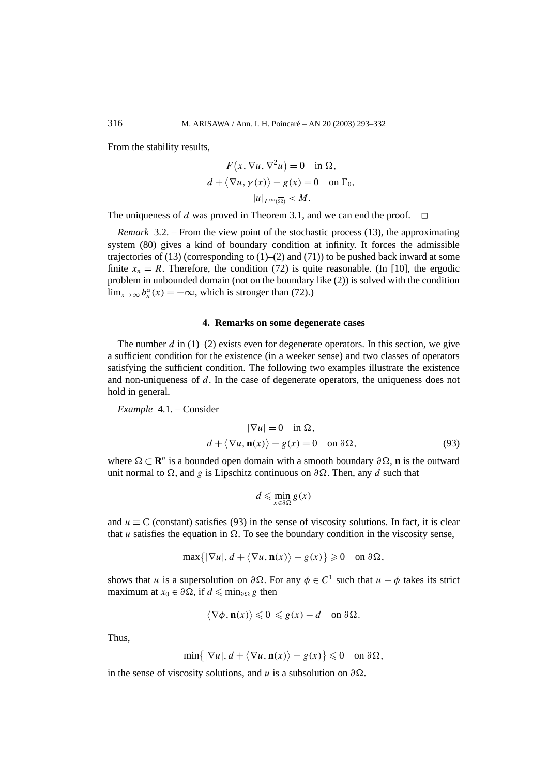From the stability results,

$$
F(x, \nabla u, \nabla^2 u) = 0 \text{ in } \Omega,
$$
  
\n
$$
d + \langle \nabla u, \gamma(x) \rangle - g(x) = 0 \text{ on } \Gamma_0,
$$
  
\n
$$
|u|_{L^{\infty}(\overline{\Omega})} < M.
$$

The uniqueness of *d* was proved in Theorem 3.1, and we can end the proof.

*Remark* 3.2. – From the view point of the stochastic process (13), the approximating system (80) gives a kind of boundary condition at infinity. It forces the admissible trajectories of  $(13)$  (corresponding to  $(1)$ – $(2)$  and  $(71)$ ) to be pushed back inward at some finite  $x_n = R$ . Therefore, the condition (72) is quite reasonable. (In [10], the ergodic problem in unbounded domain (not on the boundary like (2)) is solved with the condition  $\lim_{x \to \infty} b_n^{\alpha}(x) = -\infty$ , which is stronger than (72).)

#### **4. Remarks on some degenerate cases**

The number  $d$  in (1)–(2) exists even for degenerate operators. In this section, we give a sufficient condition for the existence (in a weeker sense) and two classes of operators satisfying the sufficient condition. The following two examples illustrate the existence and non-uniqueness of *d*. In the case of degenerate operators, the uniqueness does not hold in general.

*Example* 4.1. – Consider

$$
|\nabla u| = 0 \quad \text{in } \Omega,
$$
  
\n
$$
d + \langle \nabla u, \mathbf{n}(x) \rangle - g(x) = 0 \quad \text{on } \partial \Omega,
$$
 (93)

where  $\Omega \subset \mathbb{R}^n$  is a bounded open domain with a smooth boundary  $\partial \Omega$ , **n** is the outward unit normal to  $\Omega$ , and *g* is Lipschitz continuous on  $\partial \Omega$ . Then, any *d* such that

$$
d \leqslant \min_{x \in \partial \Omega} g(x)
$$

and  $u \equiv C$  (constant) satisfies (93) in the sense of viscosity solutions. In fact, it is clear that *u* satisfies the equation in  $\Omega$ . To see the boundary condition in the viscosity sense,

$$
\max\{|\nabla u|, d + \langle \nabla u, \mathbf{n}(x) \rangle - g(x)\} \geq 0 \quad \text{on } \partial \Omega,
$$

shows that *u* is a supersolution on  $\partial \Omega$ . For any  $\phi \in C^1$  such that  $u - \phi$  takes its strict maximum at  $x_0 \in \partial \Omega$ , if  $d \leq \min_{\partial \Omega} g$  then

$$
\langle \nabla \phi, \mathbf{n}(x) \rangle \leq 0 \leq g(x) - d \quad \text{on } \partial \Omega.
$$

Thus,

$$
\min\{|\nabla u|, d + \langle \nabla u, \mathbf{n}(x) \rangle - g(x)\} \leq 0 \quad \text{on } \partial \Omega,
$$

in the sense of viscosity solutions, and *u* is a subsolution on  $\partial\Omega$ .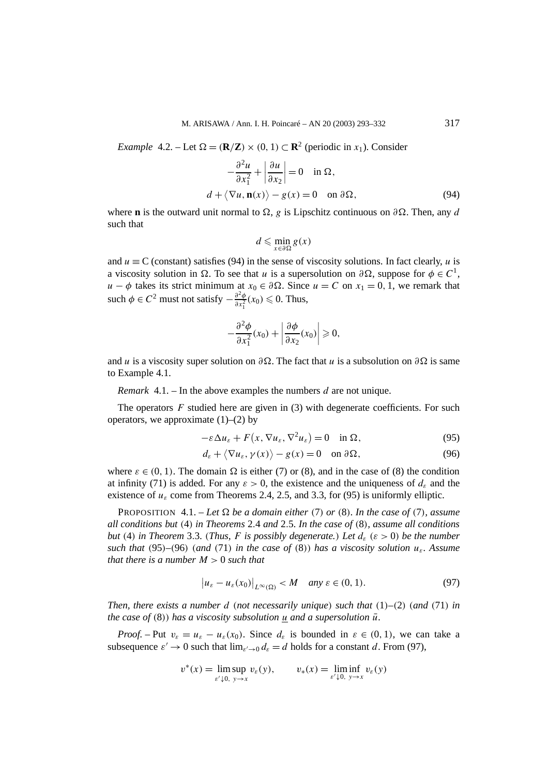*Example* 4.2. – Let  $\Omega = (\mathbf{R}/\mathbf{Z}) \times (0, 1) \subset \mathbf{R}^2$  (periodic in *x*<sub>1</sub>). Consider

$$
-\frac{\partial^2 u}{\partial x_1^2} + \left| \frac{\partial u}{\partial x_2} \right| = 0 \quad \text{in } \Omega,
$$
  

$$
d + \langle \nabla u, \mathbf{n}(x) \rangle - g(x) = 0 \quad \text{on } \partial \Omega,
$$
 (94)

where **n** is the outward unit normal to  $\Omega$ , *g* is Lipschitz continuous on  $\partial\Omega$ . Then, any *d* such that

$$
d \leqslant \min_{x \in \partial \Omega} g(x)
$$

and  $u \equiv C$  (constant) satisfies (94) in the sense of viscosity solutions. In fact clearly, *u* is a viscosity solution in  $\Omega$ . To see that *u* is a supersolution on  $\partial \Omega$ , suppose for  $\phi \in C^1$ , *u* − *φ* takes its strict minimum at  $x_0 \text{ ∈ } \partial \Omega$ . Since *u* = *C* on  $x_1 = 0, 1$ , we remark that such  $\phi \in C^2$  must not satisfy  $-\frac{\partial^2 \phi}{\partial x_1^2}(x_0) \leq 0$ . Thus,

$$
-\frac{\partial^2 \phi}{\partial x_1^2}(x_0) + \left|\frac{\partial \phi}{\partial x_2}(x_0)\right| \geqslant 0,
$$

and *u* is a viscosity super solution on  $\partial \Omega$ . The fact that *u* is a subsolution on  $\partial \Omega$  is same to Example 4.1.

*Remark* 4.1. – In the above examples the numbers *d* are not unique.

The operators *F* studied here are given in (3) with degenerate coefficients. For such operators, we approximate  $(1)$ – $(2)$  by

$$
-\varepsilon \Delta u_{\varepsilon} + F(x, \nabla u_{\varepsilon}, \nabla^2 u_{\varepsilon}) = 0 \quad \text{in } \Omega,
$$
 (95)

$$
d_{\varepsilon} + \langle \nabla u_{\varepsilon}, \gamma(x) \rangle - g(x) = 0 \quad \text{on } \partial \Omega,
$$
 (96)

where  $\varepsilon \in (0, 1)$ . The domain  $\Omega$  is either (7) or (8), and in the case of (8) the condition at infinity (71) is added. For any  $\varepsilon > 0$ , the existence and the uniqueness of  $d_{\varepsilon}$  and the existence of  $u_{\varepsilon}$  come from Theorems 2.4, 2.5, and 3.3, for (95) is uniformly elliptic.

**PROPOSITION** 4.1. – Let  $\Omega$  be a domain either (7) or (8). In the case of (7), assume *all conditions but (*4*) in Theorems* 2*.*4 *and* 2*.*5*. In the case of (*8*), assume all conditions but* (4) *in Theorem* 3.3*.* (*Thus, F is possibly degenerate.*) Let  $d_{\varepsilon}$  ( $\varepsilon > 0$ ) be the number *such that* (95)–(96) (*and* (71) *in the case of* (8)) *has a viscosity solution*  $u_{\varepsilon}$ *. Assume that there is a number*  $M > 0$  *such that* 

$$
\left|u_{\varepsilon}-u_{\varepsilon}(x_0)\right|_{L^{\infty}(\Omega)} < M \quad \text{any } \varepsilon \in (0,1). \tag{97}
$$

*Then, there exists a number d (not necessarily unique) such that (*1*)–(*2*) (and (*71*) in the case of* (8)) has a viscosity subsolution  $\mu$  and a supersolution  $\bar{u}$ *.* 

*Proof.* – Put  $v_{\varepsilon} = u_{\varepsilon} - u_{\varepsilon}(x_0)$ . Since  $d_{\varepsilon}$  is bounded in  $\varepsilon \in (0, 1)$ , we can take a subsequence  $\varepsilon' \to 0$  such that  $\lim_{\varepsilon' \to 0} d_{\varepsilon} = d$  holds for a constant *d*. From (97),

$$
v^*(x) = \limsup_{\varepsilon' \downarrow 0, y \to x} v_{\varepsilon}(y), \qquad v_*(x) = \liminf_{\varepsilon' \downarrow 0, y \to x} v_{\varepsilon}(y)
$$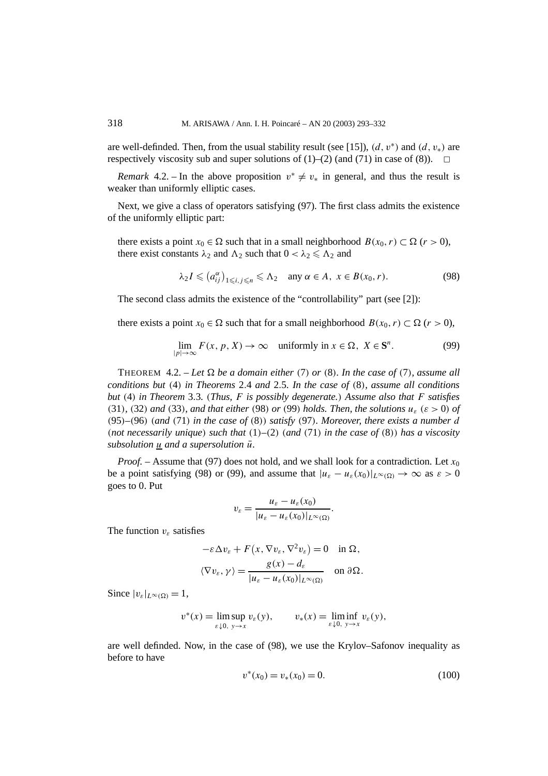are well-definded. Then, from the usual stability result (see [15]),  $(d, v<sup>*</sup>)$  and  $(d, v<sub>*</sub>)$  are respectively viscosity sub and super solutions of  $(1)$ – $(2)$  (and  $(71)$  in case of  $(8)$ ).  $\Box$ 

*Remark* 4.2. – In the above proposition  $v^* \neq v_*$  in general, and thus the result is weaker than uniformly elliptic cases.

Next, we give a class of operators satisfying (97). The first class admits the existence of the uniformly elliptic part:

there exists a point  $x_0 \in \Omega$  such that in a small neighborhood  $B(x_0, r) \subset \Omega$  (*r* > 0), there exist constants  $\lambda_2$  and  $\Lambda_2$  such that  $0 < \lambda_2 \leq \Lambda_2$  and

$$
\lambda_2 I \leq (a_{ij}^{\alpha})_{1 \leq i, j \leq n} \leq \Lambda_2 \quad \text{any } \alpha \in A, \ x \in B(x_0, r). \tag{98}
$$

The second class admits the existence of the "controllability" part (see [2]):

there exists a point  $x_0 \in \Omega$  such that for a small neighborhood  $B(x_0, r) \subset \Omega$  ( $r > 0$ ),

$$
\lim_{|p| \to \infty} F(x, p, X) \to \infty \quad \text{uniformly in } x \in \Omega, \ X \in \mathbf{S}^n. \tag{99}
$$

THEOREM 4.2. – Let  $\Omega$  be a domain either (7) or (8). In the case of (7), assume all *conditions but (*4*) in Theorems* 2*.*4 *and* 2*.*5*. In the case of (*8*), assume all conditions but (*4*) in Theorem* 3*.*3*. (Thus, F is possibly degenerate.) Assume also that F satisfies*  $(31)$ *,*  $(32)$  *and*  $(33)$ *, and that either*  $(98)$  *or*  $(99)$  *holds. Then, the solutions*  $u_{\varepsilon}$  ( $\varepsilon > 0$ ) *of (*95*)–(*96*) (and (*71*) in the case of (*8*)) satisfy (*97*). Moreover, there exists a number d (not necessarily unique) such that (*1*)–(*2*) (and (*71*) in the case of (*8*)) has a viscosity subsolution u and a supersolution*  $\bar{u}$ *.* 

*Proof.* – Assume that (97) does not hold, and we shall look for a contradiction. Let  $x_0$ be a point satisfying (98) or (99), and assume that  $|u_{\varepsilon} - u_{\varepsilon}(x_0)|_{L^{\infty}(\Omega)} \to \infty$  as  $\varepsilon > 0$ goes to 0. Put

$$
v_{\varepsilon} = \frac{u_{\varepsilon} - u_{\varepsilon}(x_0)}{|u_{\varepsilon} - u_{\varepsilon}(x_0)|_{L^{\infty}(\Omega)}}.
$$

The function *vε* satisfies

$$
-\varepsilon \Delta v_{\varepsilon} + F(x, \nabla v_{\varepsilon}, \nabla^2 v_{\varepsilon}) = 0 \quad \text{in } \Omega,
$$
  

$$
\langle \nabla v_{\varepsilon}, \gamma \rangle = \frac{g(x) - d_{\varepsilon}}{|u_{\varepsilon} - u_{\varepsilon}(x_0)|_{L^{\infty}(\Omega)}} \quad \text{on } \partial \Omega.
$$

Since  $|v_{\varepsilon}|_{L^{\infty}(\Omega)} = 1$ ,

$$
v^*(x) = \limsup_{\varepsilon \downarrow 0, y \to x} v_{\varepsilon}(y), \qquad v_*(x) = \liminf_{\varepsilon \downarrow 0, y \to x} v_{\varepsilon}(y),
$$

are well definded. Now, in the case of (98), we use the Krylov–Safonov inequality as before to have

$$
v^*(x_0) = v_*(x_0) = 0.
$$
\n(100)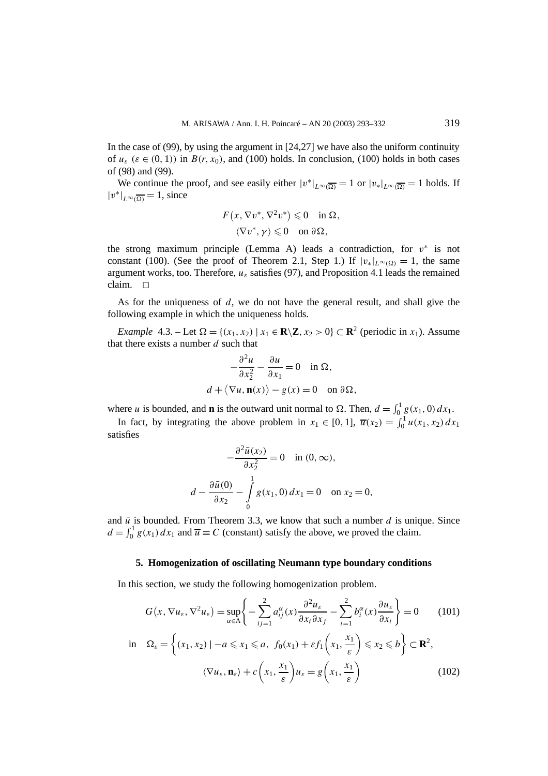In the case of (99), by using the argument in  $[24,27]$  we have also the uniform continuity of  $u_{\varepsilon}$  ( $\varepsilon \in (0, 1)$ ) in  $B(r, x_0)$ , and (100) holds. In conclusion, (100) holds in both cases of (98) and (99).

We continue the proof, and see easily either  $|v^*|_{L^{\infty}(\overline{\Omega})} = 1$  or  $|v_*|_{L^{\infty}(\overline{\Omega})} = 1$  holds. If  $|v^*|_{L^{\infty}(\overline{\Omega})} = 1$ , since

$$
F(x, \nabla v^*, \nabla^2 v^*) \leq 0 \quad \text{in } \Omega, \langle \nabla v^*, \gamma \rangle \leq 0 \quad \text{on } \partial \Omega,
$$

the strong maximum principle (Lemma A) leads a contradiction, for  $v^*$  is not constant (100). (See the proof of Theorem 2.1, Step 1.) If  $|v_*|_{L^{\infty}(\Omega)} = 1$ , the same argument works, too. Therefore,  $u_{\varepsilon}$  satisfies (97), and Proposition 4.1 leads the remained  $claim.  $\Box$$ 

As for the uniqueness of *d*, we do not have the general result, and shall give the following example in which the uniqueness holds.

*Example* 4.3. – Let  $\Omega = \{(x_1, x_2) | x_1 \in \mathbb{R} \setminus \mathbb{Z}, x_2 > 0\} \subset \mathbb{R}^2$  (periodic in  $x_1$ ). Assume that there exists a number *d* such that

$$
-\frac{\partial^2 u}{\partial x_2^2} - \frac{\partial u}{\partial x_1} = 0 \quad \text{in } \Omega,
$$
  

$$
d + \langle \nabla u, \mathbf{n}(x) \rangle - g(x) = 0 \quad \text{on } \partial \Omega,
$$

where *u* is bounded, and **n** is the outward unit normal to  $\Omega$ . Then,  $d = \int_0^1 g(x_1, 0) dx_1$ .

In fact, by integrating the above problem in  $x_1 \in [0, 1]$ ,  $\overline{u}(x_2) = \int_0^1 u(x_1, x_2) dx_1$ satisfies

$$
-\frac{\partial^2 \bar{u}(x_2)}{\partial x_2^2} = 0 \quad \text{in } (0, \infty),
$$

$$
d - \frac{\partial \bar{u}(0)}{\partial x_2} - \int_0^1 g(x_1, 0) dx_1 = 0 \quad \text{on } x_2 = 0,
$$

and  $\bar{u}$  is bounded. From Theorem 3.3, we know that such a number  $d$  is unique. Since  $d = \int_0^1 g(x_1) dx_1$  and  $\overline{u} \equiv C$  (constant) satisfy the above, we proved the claim.

# **5. Homogenization of oscillating Neumann type boundary conditions**

In this section, we study the following homogenization problem.

$$
G(x, \nabla u_{\varepsilon}, \nabla^2 u_{\varepsilon}) = \sup_{\alpha \in A} \left\{ -\sum_{i,j=1}^2 a_{ij}^{\alpha}(x) \frac{\partial^2 u_{\varepsilon}}{\partial x_i \partial x_j} - \sum_{i=1}^2 b_i^{\alpha}(x) \frac{\partial u_{\varepsilon}}{\partial x_i} \right\} = 0 \qquad (101)
$$
  
in  $\Omega_{\varepsilon} = \left\{ (x_1, x_2) \mid -a \leq x_1 \leq a, \ f_0(x_1) + \varepsilon f_1 \left( x_1, \frac{x_1}{\varepsilon} \right) \leq x_2 \leq b \right\} \subset \mathbf{R}^2,$   

$$
\langle \nabla u_{\varepsilon}, \mathbf{n}_{\varepsilon} \rangle + c \left( x_1, \frac{x_1}{\varepsilon} \right) u_{\varepsilon} = g \left( x_1, \frac{x_1}{\varepsilon} \right) \qquad (102)
$$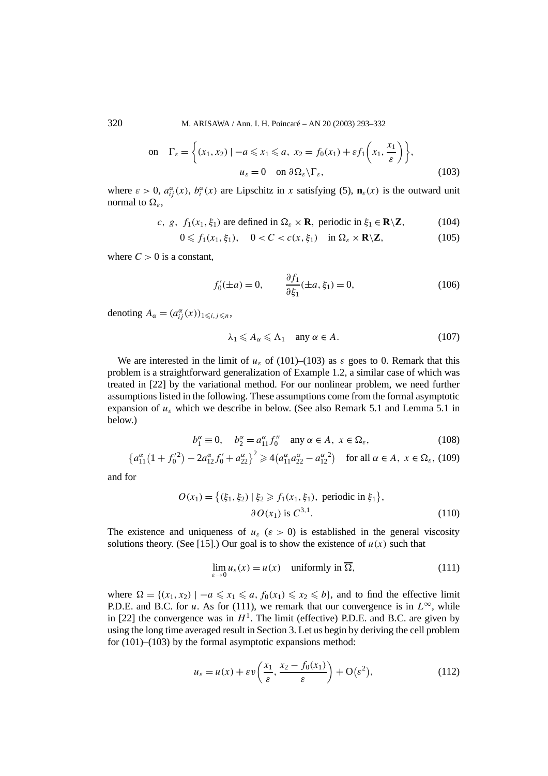320 M. ARISAWA / Ann. I. H. Poincaré – AN 20 (2003) 293–332

on 
$$
\Gamma_{\varepsilon} = \left\{ (x_1, x_2) \mid -a \le x_1 \le a, x_2 = f_0(x_1) + \varepsilon f_1\left(x_1, \frac{x_1}{\varepsilon}\right) \right\},\
$$
  
\n $u_{\varepsilon} = 0 \quad \text{on } \partial \Omega_{\varepsilon} \backslash \Gamma_{\varepsilon},$  (103)

where  $\varepsilon > 0$ ,  $a_{ij}^{\alpha}(x)$ ,  $b_i^{\alpha}(x)$  are Lipschitz in *x* satisfying (5),  $\mathbf{n}_{\varepsilon}(x)$  is the outward unit normal to  $Ω<sub>ε</sub>$ ,

*c*, *g*, 
$$
f_1(x_1, \xi_1)
$$
 are defined in  $\Omega_{\varepsilon} \times \mathbf{R}$ , periodic in  $\xi_1 \in \mathbf{R} \setminus \mathbf{Z}$ , (104)

$$
0 \leqslant f_1(x_1, \xi_1), \quad 0 < C < c(x, \xi_1) \quad \text{in } \Omega_\varepsilon \times \mathbf{R} \setminus \mathbf{Z}, \tag{105}
$$

where  $C > 0$  is a constant,

$$
f_0'(\pm a) = 0, \qquad \frac{\partial f_1}{\partial \xi_1}(\pm a, \xi_1) = 0,
$$
 (106)

denoting  $A_{\alpha} = (a_{ij}^{\alpha}(x))_{1 \le i, j \le n}$ ,

$$
\lambda_1 \leq A_\alpha \leq \Lambda_1 \quad \text{any } \alpha \in A. \tag{107}
$$

We are interested in the limit of  $u_{\varepsilon}$  of (101)–(103) as  $\varepsilon$  goes to 0. Remark that this problem is a straightforward generalization of Example 1.2, a similar case of which was treated in [22] by the variational method. For our nonlinear problem, we need further assumptions listed in the following. These assumptions come from the formal asymptotic expansion of *uε* which we describe in below. (See also Remark 5.1 and Lemma 5.1 in below.)

$$
b_1^{\alpha} \equiv 0, \quad b_2^{\alpha} = a_{11}^{\alpha} f_0^{\prime\prime} \quad \text{any } \alpha \in A, \ x \in \Omega_{\varepsilon}, \tag{108}
$$

$$
\left\{a_{11}^{\alpha}(1+f_0^{\prime 2}) - 2a_{12}^{\alpha}f_0' + a_{22}^{\alpha}\right\}^2 \ge 4\left(a_{11}^{\alpha}a_{22}^{\alpha} - a_{12}^{\alpha}^2\right) \quad \text{for all } \alpha \in A, \ x \in \Omega_{\varepsilon}, \ (109)
$$

and for

$$
O(x_1) = \{ (\xi_1, \xi_2) \mid \xi_2 \ge f_1(x_1, \xi_1), \text{ periodic in } \xi_1 \},\
$$
  

$$
\partial O(x_1) \text{ is } C^{3,1}. \tag{110}
$$

The existence and uniqueness of  $u_{\varepsilon}$  ( $\varepsilon > 0$ ) is established in the general viscosity solutions theory. (See [15].) Our goal is to show the existence of  $u(x)$  such that

$$
\lim_{\varepsilon \to 0} u_{\varepsilon}(x) = u(x) \quad \text{uniformly in } \overline{\Omega}, \tag{111}
$$

where  $\Omega = \{(x_1, x_2) \mid -a \leq x_1 \leq a, f_0(x_1) \leq x_2 \leq b\}$ , and to find the effective limit P.D.E. and B.C. for *u*. As for (111), we remark that our convergence is in  $L^{\infty}$ , while in [22] the convergence was in  $H<sup>1</sup>$ . The limit (effective) P.D.E. and B.C. are given by using the long time averaged result in Section 3. Let us begin by deriving the cell problem for  $(101)$ – $(103)$  by the formal asymptotic expansions method:

$$
u_{\varepsilon} = u(x) + \varepsilon v\left(\frac{x_1}{\varepsilon}, \frac{x_2 - f_0(x_1)}{\varepsilon}\right) + O(\varepsilon^2),\tag{112}
$$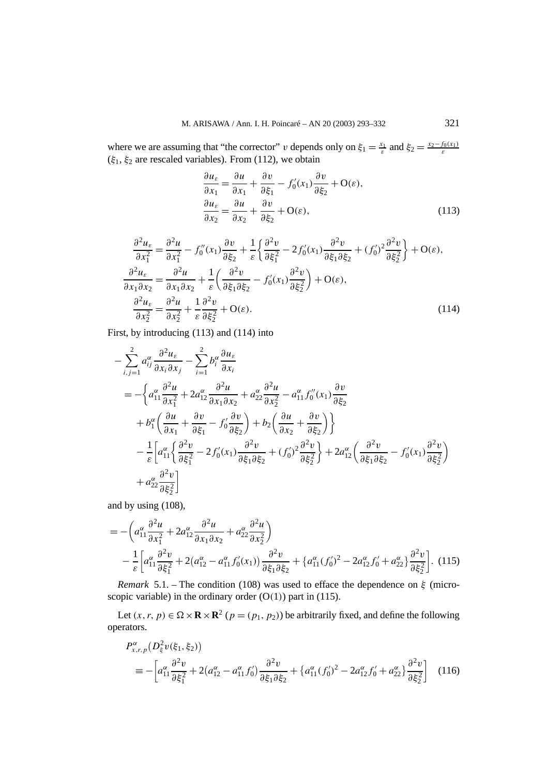where we are assuming that "the corrector" *v* depends only on  $\xi_1 = \frac{x_1}{\varepsilon}$  and  $\xi_2 = \frac{x_2 - f_0(x_1)}{\varepsilon}$ (*ξ*1, *ξ*<sup>2</sup> are rescaled variables). From (112), we obtain

$$
\frac{\partial u_{\varepsilon}}{\partial x_1} = \frac{\partial u}{\partial x_1} + \frac{\partial v}{\partial \xi_1} - f'_0(x_1) \frac{\partial v}{\partial \xi_2} + \mathcal{O}(\varepsilon),
$$
  

$$
\frac{\partial u_{\varepsilon}}{\partial x_2} = \frac{\partial u}{\partial x_2} + \frac{\partial v}{\partial \xi_2} + \mathcal{O}(\varepsilon),
$$
 (113)

$$
\frac{\partial^2 u_{\varepsilon}}{\partial x_1^2} = \frac{\partial^2 u}{\partial x_1^2} - f_0''(x_1) \frac{\partial v}{\partial \xi_2} + \frac{1}{\varepsilon} \left\{ \frac{\partial^2 v}{\partial \xi_1^2} - 2f_0'(x_1) \frac{\partial^2 v}{\partial \xi_1 \partial \xi_2} + (f_0')^2 \frac{\partial^2 v}{\partial \xi_2^2} \right\} + \mathcal{O}(\varepsilon),
$$
  

$$
\frac{\partial^2 u_{\varepsilon}}{\partial x_1 \partial x_2} = \frac{\partial^2 u}{\partial x_1 \partial x_2} + \frac{1}{\varepsilon} \left( \frac{\partial^2 v}{\partial \xi_1 \partial \xi_2} - f_0'(x_1) \frac{\partial^2 v}{\partial \xi_2^2} \right) + \mathcal{O}(\varepsilon),
$$
  

$$
\frac{\partial^2 u_{\varepsilon}}{\partial x_2^2} = \frac{\partial^2 u}{\partial x_2^2} + \frac{1}{\varepsilon} \frac{\partial^2 v}{\partial \xi_2^2} + \mathcal{O}(\varepsilon).
$$
 (114)

First, by introducing (113) and (114) into

$$
-\sum_{i,j=1}^{2} a_{ij}^{\alpha} \frac{\partial^2 u_{\varepsilon}}{\partial x_i \partial x_j} - \sum_{i=1}^{2} b_i^{\alpha} \frac{\partial u_{\varepsilon}}{\partial x_i}
$$
  
=  $-\left\{ a_{11}^{\alpha} \frac{\partial^2 u}{\partial x_1^2} + 2 a_{12}^{\alpha} \frac{\partial^2 u}{\partial x_1 \partial x_2} + a_{22}^{\alpha} \frac{\partial^2 u}{\partial x_2^2} - a_{11}^{\alpha} f_0''(x_1) \frac{\partial v}{\partial \xi_2} + b_1^{\alpha} \left( \frac{\partial u}{\partial x_1} + \frac{\partial v}{\partial \xi_1} - f_0' \frac{\partial v}{\partial \xi_2} \right) + b_2 \left( \frac{\partial u}{\partial x_2} + \frac{\partial v}{\partial \xi_2} \right) \right\}$   

$$
-\frac{1}{\varepsilon} \left[ a_{11}^{\alpha} \left\{ \frac{\partial^2 v}{\partial \xi_1^2} - 2 f_0'(x_1) \frac{\partial^2 v}{\partial \xi_1 \partial \xi_2} + (f_0')^2 \frac{\partial^2 v}{\partial \xi_2^2} \right\} + 2 a_{12}^{\alpha} \left( \frac{\partial^2 v}{\partial \xi_1 \partial \xi_2} - f_0'(x_1) \frac{\partial^2 v}{\partial \xi_2^2} \right)
$$
  
+  $a_{22}^{\alpha} \frac{\partial^2 v}{\partial \xi_2^2} \right]$ 

and by using (108),

$$
= -\left(a_{11}^{\alpha}\frac{\partial^2 u}{\partial x_1^2} + 2a_{12}^{\alpha}\frac{\partial^2 u}{\partial x_1 \partial x_2} + a_{22}^{\alpha}\frac{\partial^2 u}{\partial x_2^2}\right) -\frac{1}{\varepsilon} \left[a_{11}^{\alpha}\frac{\partial^2 v}{\partial \xi_1^2} + 2(a_{12}^{\alpha} - a_{11}^{\alpha} f_0'(x_1))\frac{\partial^2 v}{\partial \xi_1 \partial \xi_2} + \left\{a_{11}^{\alpha}(f_0')^2 - 2a_{12}^{\alpha} f_0' + a_{22}^{\alpha}\right\}\frac{\partial^2 v}{\partial \xi_2^2}\right].
$$
 (115)

*Remark* 5.1. – The condition (108) was used to efface the dependence on *ξ* (microscopic variable) in the ordinary order  $(O(1))$  part in (115).

Let  $(x, r, p) \in \Omega \times \mathbf{R} \times \mathbf{R}^2$   $(p = (p_1, p_2))$  be arbitrarily fixed, and define the following operators.

$$
P_{x,r,p}^{\alpha}(D_{\xi}^{2}v(\xi_{1},\xi_{2}))
$$
  

$$
\equiv -\left[a_{11}^{\alpha}\frac{\partial^{2}v}{\partial\xi_{1}^{2}} + 2(a_{12}^{\alpha} - a_{11}^{\alpha}f_{0}')\frac{\partial^{2}v}{\partial\xi_{1}\partial\xi_{2}} + \left\{a_{11}^{\alpha}(f_{0}')^{2} - 2a_{12}^{\alpha}f_{0}' + a_{22}^{\alpha}\right\}\frac{\partial^{2}v}{\partial\xi_{2}^{2}}\right]
$$
(116)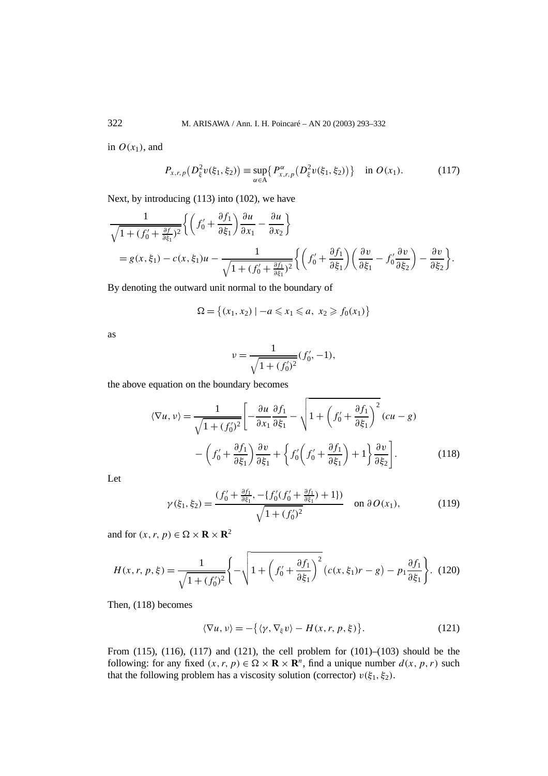in  $O(x_1)$ , and

$$
P_{x,r,p}(D_{\xi}^{2}v(\xi_{1},\xi_{2})) \equiv \sup_{\alpha \in A} \{ P_{x,r,p}^{\alpha}(D_{\xi}^{2}v(\xi_{1},\xi_{2})) \} \text{ in } O(x_{1}). \tag{117}
$$

Next, by introducing (113) into (102), we have

$$
\frac{1}{\sqrt{1 + (f'_0 + \frac{\partial f}{\partial \xi_1})^2}} \left\{ \left( f'_0 + \frac{\partial f_1}{\partial \xi_1} \right) \frac{\partial u}{\partial x_1} - \frac{\partial u}{\partial x_2} \right\}
$$
\n
$$
= g(x, \xi_1) - c(x, \xi_1)u - \frac{1}{\sqrt{1 + (f'_0 + \frac{\partial f_1}{\partial \xi_1})^2}} \left\{ \left( f'_0 + \frac{\partial f_1}{\partial \xi_1} \right) \left( \frac{\partial v}{\partial \xi_1} - f'_0 \frac{\partial v}{\partial \xi_2} \right) - \frac{\partial v}{\partial \xi_2} \right\}.
$$

By denoting the outward unit normal to the boundary of

$$
\Omega = \{(x_1, x_2) \mid -a \leq x_1 \leq a, x_2 \geq f_0(x_1)\}
$$

as

$$
\nu = \frac{1}{\sqrt{1 + (f_0')^2}} (f_0', -1),
$$

the above equation on the boundary becomes

$$
\langle \nabla u, v \rangle = \frac{1}{\sqrt{1 + (f_0')^2}} \left[ -\frac{\partial u}{\partial x_1} \frac{\partial f_1}{\partial \xi_1} - \sqrt{1 + \left( f_0' + \frac{\partial f_1}{\partial \xi_1} \right)^2} (cu - g) - \left( f_0' + \frac{\partial f_1}{\partial \xi_1} \right) \frac{\partial v}{\partial \xi_1} + \left\{ f_0' \left( f_0' + \frac{\partial f_1}{\partial \xi_1} \right) + 1 \right\} \frac{\partial v}{\partial \xi_2} \right].
$$
 (118)

Let

$$
\gamma(\xi_1, \xi_2) = \frac{(f_0' + \frac{\partial f_1}{\partial \xi_1}, -\{f_0'(f_0' + \frac{\partial f_1}{\partial \xi_1}) + 1\})}{\sqrt{1 + (f_0')^2}} \quad \text{on } \partial O(x_1), \tag{119}
$$

and for  $(x, r, p) \in \Omega \times \mathbf{R} \times \mathbf{R}^2$ 

$$
H(x, r, p, \xi) = \frac{1}{\sqrt{1 + (f_0')^2}} \left\{ -\sqrt{1 + \left(f_0' + \frac{\partial f_1}{\partial \xi_1}\right)^2} \left(c(x, \xi_1)r - g\right) - p_1 \frac{\partial f_1}{\partial \xi_1}\right\}.
$$
 (120)

Then, (118) becomes

$$
\langle \nabla u, v \rangle = -\{ \langle \gamma, \nabla_{\xi} v \rangle - H(x, r, p, \xi) \}.
$$
 (121)

From (115), (116), (117) and (121), the cell problem for  $(101)–(103)$  should be the following: for any fixed  $(x, r, p) \in \Omega \times \mathbb{R} \times \mathbb{R}^n$ , find a unique number  $d(x, p, r)$  such that the following problem has a viscosity solution (corrector)  $v(\xi_1, \xi_2)$ .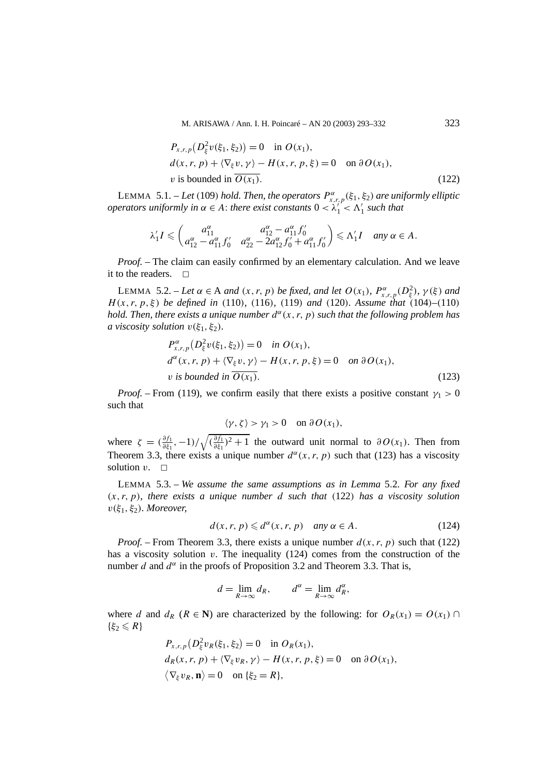$$
P_{x,r,p}(D_{\xi}^{2}v(\xi_{1},\xi_{2})) = 0 \quad \text{in } O(x_{1}),
$$
  
\n
$$
d(x,r,p) + \langle \nabla_{\xi} v, \gamma \rangle - H(x,r,p,\xi) = 0 \quad \text{on } \partial O(x_{1}),
$$
  
\n*v* is bounded in  $\overline{O(x_{1})}$ . (122)

LEMMA 5.1. – *Let (*109*) hold. Then, the operators P<sup>α</sup> x,r,p(ξ*1*, ξ*2*) are uniformly elliptic operators uniformly in*  $\alpha \in A$ : *there exist constants*  $0 < \lambda_1^{\prime\prime} < \Lambda_1^{\prime}$  *such that* 

$$
\lambda_1' I \leq \begin{pmatrix} a_{11}^{\alpha} & a_{12}^{\alpha} - a_{11}^{\alpha} f_0' \\ a_{12}^{\alpha} - a_{11}^{\alpha} f_0' & a_{22}^{\alpha} - 2a_{12}^{\alpha} f_0' + a_{11}^{\alpha} f_0' \end{pmatrix} \leq \Lambda_1' I \quad \text{any } \alpha \in A.
$$

*Proof. –* The claim can easily confirmed by an elementary calculation. And we leave it to the readers.  $\Box$ 

LEMMA 5.2. – Let  $\alpha \in A$  and  $(x, r, p)$  be fixed, and let  $O(x_1)$ ,  $P^{\alpha}_{x,r,p}(D^2_{\xi})$ ,  $\gamma(\xi)$  and *H (x, r, p, ξ ) be defined in (*110*), (*116*), (*119*) and (*120*). Assume that (*104*)–(*110*) hold. Then, there exists a unique number*  $d^{\alpha}(x, r, p)$  *such that the following problem has a* viscosity solution  $v(\xi_1, \xi_2)$ *.* 

$$
P_{x,r,p}^{\alpha}(D_{\xi}^{2}v(\xi_{1},\xi_{2})) = 0 \quad \text{in } O(x_{1}),
$$
  
\n
$$
d^{\alpha}(x,r,p) + \langle \nabla_{\xi} v, \gamma \rangle - H(x,r,p,\xi) = 0 \quad \text{on } \partial O(x_{1}),
$$
  
\n*v is bounded in*  $\overline{O(x_{1})}$ . (123)

*Proof.* – From (119), we confirm easily that there exists a positive constant  $\gamma_1 > 0$ such that

$$
\langle \gamma, \zeta \rangle > \gamma_1 > 0 \quad \text{on } \partial O(x_1),
$$

where  $\zeta = \left(\frac{\partial f_1}{\partial \xi_1}, -1\right)/\sqrt{\left(\frac{\partial f_1}{\partial \xi_1}\right)^2 + 1}$  the outward unit normal to  $\partial O(x_1)$ . Then from Theorem 3.3, there exists a unique number  $d^{\alpha}(x, r, p)$  such that (123) has a viscosity solution  $v$ .  $\Box$ 

LEMMA 5.3. – *We assume the same assumptions as in Lemma* 5*.*2*. For any fixed (x, r, p), there exists a unique number d such that (*122*) has a viscosity solution v(ξ*1*, ξ*2*). Moreover,*

$$
d(x, r, p) \leq d^{\alpha}(x, r, p) \quad \text{any } \alpha \in A. \tag{124}
$$

*Proof.* – From Theorem 3.3, there exists a unique number  $d(x, r, p)$  such that (122) has a viscosity solution *v*. The inequality (124) comes from the construction of the number *d* and  $d^{\alpha}$  in the proofs of Proposition 3.2 and Theorem 3.3. That is,

$$
d = \lim_{R \to \infty} d_R, \qquad d^{\alpha} = \lim_{R \to \infty} d_R^{\alpha},
$$

where *d* and  $d_R$  ( $R \in \mathbb{N}$ ) are characterized by the following: for  $O_R(x_1) = O(x_1) \cap$  $\{\xi_2 \leq R\}$ 

$$
P_{x,r,p}(D_{\xi}^{2}v_{R}(\xi_{1},\xi_{2})=0 \text{ in } O_{R}(x_{1}),
$$
  
\n
$$
d_{R}(x,r,p)+\langle \nabla_{\xi}v_{R},\gamma\rangle-H(x,r,p,\xi)=0 \text{ on }\partial O(x_{1}),
$$
  
\n
$$
\langle \nabla_{\xi}v_{R},\mathbf{n}\rangle=0 \text{ on }\{\xi_{2}=R\},
$$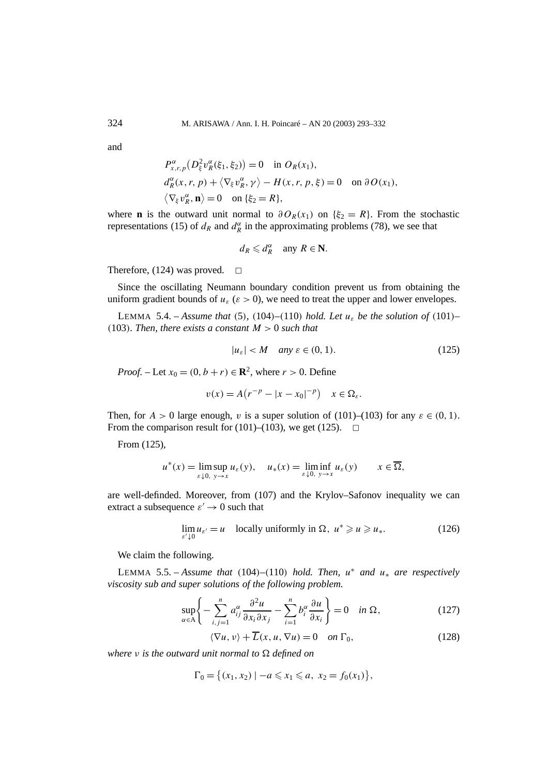and

$$
P_{x,r,p}^{\alpha}(D_{\xi}^{2}v_{R}^{\alpha}(\xi_{1},\xi_{2}))=0 \text{ in } O_{R}(x_{1}),
$$
  
\n
$$
d_{R}^{\alpha}(x,r,p)+\langle \nabla_{\xi}v_{R}^{\alpha},\gamma\rangle-H(x,r,p,\xi)=0 \text{ on }\partial O(x_{1}),
$$
  
\n
$$
\langle \nabla_{\xi}v_{R}^{\alpha},\mathbf{n}\rangle=0 \text{ on }\{\xi_{2}=R\},
$$

where **n** is the outward unit normal to  $\partial O_R(x_1)$  on  $\{\xi_2 = R\}$ . From the stochastic representations (15) of  $d_R$  and  $d_R^{\alpha}$  in the approximating problems (78), we see that

$$
d_R \leq d_R^{\alpha} \quad \text{any } R \in \mathbf{N}.
$$

Therefore, (124) was proved.  $\Box$ 

Since the oscillating Neumann boundary condition prevent us from obtaining the uniform gradient bounds of  $u_{\varepsilon}$  ( $\varepsilon > 0$ ), we need to treat the upper and lower envelopes.

LEMMA 5.4. – *Assume that* (5), (104)–(110) *hold. Let*  $u_{\varepsilon}$  *be the solution of* (101)– *(*103*). Then, there exists a constant M >* 0 *such that*

$$
|u_{\varepsilon}| < M \quad \text{any } \varepsilon \in (0, 1). \tag{125}
$$

*Proof.* – Let  $x_0 = (0, b + r) \in \mathbb{R}^2$ , where  $r > 0$ . Define

$$
v(x) = A(r^{-p} - |x - x_0|^{-p}) \quad x \in \Omega_{\varepsilon}.
$$

Then, for  $A > 0$  large enough, *v* is a super solution of (101)–(103) for any  $\varepsilon \in (0, 1)$ . From the comparison result for (101)–(103), we get (125).  $\Box$ 

From (125),

$$
u^*(x) = \limsup_{\varepsilon \downarrow 0, y \to x} u_{\varepsilon}(y), \quad u_*(x) = \liminf_{\varepsilon \downarrow 0, y \to x} u_{\varepsilon}(y) \qquad x \in \overline{\Omega},
$$

are well-definded. Moreover, from (107) and the Krylov–Safonov inequality we can extract a subsequence  $\varepsilon' \to 0$  such that

$$
\lim_{\varepsilon' \downarrow 0} u_{\varepsilon'} = u \quad \text{locally uniformly in } \Omega, \ u^* \geqslant u \geqslant u_*. \tag{126}
$$

We claim the following.

LEMMA 5.5. – Assume that  $(104)$ – $(110)$  hold. Then,  $u^*$  and  $u_*$  are respectively *viscosity sub and super solutions of the following problem.*

$$
\sup_{\alpha \in A} \left\{ -\sum_{i,j=1}^{n} a_{ij}^{\alpha} \frac{\partial^2 u}{\partial x_i \partial x_j} - \sum_{i=1}^{n} b_i^{\alpha} \frac{\partial u}{\partial x_i} \right\} = 0 \quad \text{in } \Omega,
$$
 (127)

$$
\langle \nabla u, v \rangle + \overline{L}(x, u, \nabla u) = 0 \quad on \ \Gamma_0,\tag{128}
$$

*where ν is the outward unit normal to defined on*

 $\Gamma_0 = \{(x_1, x_2) \mid -a \leq x_1 \leq a, x_2 = f_0(x_1)\},\$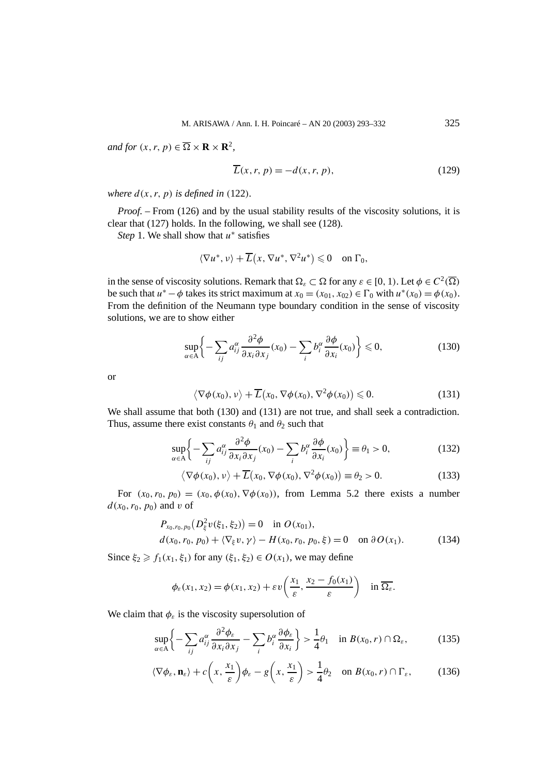*and for*  $(x, r, p) \in \overline{\Omega} \times \mathbf{R} \times \mathbf{R}^2$ ,

$$
\overline{L}(x, r, p) = -d(x, r, p),\tag{129}
$$

*where*  $d(x, r, p)$  *is defined in* (122)*.* 

*Proof. –* From (126) and by the usual stability results of the viscosity solutions, it is clear that (127) holds. In the following, we shall see (128).

*Step* 1. We shall show that *u*<sup>∗</sup> satisfies

$$
\langle \nabla u^*, v \rangle + \overline{L}(x, \nabla u^*, \nabla^2 u^*) \leq 0 \quad \text{on } \Gamma_0,
$$

in the sense of viscosity solutions. Remark that  $\Omega_{\varepsilon} \subset \Omega$  for any  $\varepsilon \in [0, 1)$ . Let  $\phi \in C^2(\overline{\Omega})$ be such that  $u^* - \phi$  takes its strict maximum at  $x_0 = (x_{01}, x_{02}) \in \Gamma_0$  with  $u^*(x_0) = \phi(x_0)$ . From the definition of the Neumann type boundary condition in the sense of viscosity solutions, we are to show either

$$
\sup_{\alpha \in A} \left\{ -\sum_{ij} a_{ij}^{\alpha} \frac{\partial^2 \phi}{\partial x_i \partial x_j}(x_0) - \sum_i b_i^{\alpha} \frac{\partial \phi}{\partial x_i}(x_0) \right\} \leq 0,
$$
\n(130)

or

$$
\langle \nabla \phi(x_0), v \rangle + \overline{L}(x_0, \nabla \phi(x_0), \nabla^2 \phi(x_0)) \leq 0.
$$
 (131)

We shall assume that both (130) and (131) are not true, and shall seek a contradiction. Thus, assume there exist constants  $\theta_1$  and  $\theta_2$  such that

$$
\sup_{\alpha \in A} \left\{ -\sum_{ij} a_{ij}^{\alpha} \frac{\partial^2 \phi}{\partial x_i \partial x_j} (x_0) - \sum_i b_i^{\alpha} \frac{\partial \phi}{\partial x_i} (x_0) \right\} \equiv \theta_1 > 0,
$$
\n(132)

$$
\langle \nabla \phi(x_0), v \rangle + \overline{L}(x_0, \nabla \phi(x_0), \nabla^2 \phi(x_0)) \equiv \theta_2 > 0.
$$
 (133)

For  $(x_0, r_0, p_0) = (x_0, \phi(x_0), \nabla \phi(x_0))$ , from Lemma 5.2 there exists a number  $d(x_0, r_0, p_0)$  and *v* of

$$
P_{x_0, r_0, p_0}(D_{\xi}^2 v(\xi_1, \xi_2)) = 0 \text{ in } O(x_{01}),
$$
  
\n
$$
d(x_0, r_0, p_0) + \langle \nabla_{\xi} v, \gamma \rangle - H(x_0, r_0, p_0, \xi) = 0 \text{ on } \partial O(x_1).
$$
\n(134)

Since  $\xi_2 \ge f_1(x_1, \xi_1)$  for any  $(\xi_1, \xi_2) \in O(x_1)$ , we may define

$$
\phi_{\varepsilon}(x_1, x_2) = \phi(x_1, x_2) + \varepsilon v\left(\frac{x_1}{\varepsilon}, \frac{x_2 - f_0(x_1)}{\varepsilon}\right) \quad \text{in } \overline{\Omega_{\varepsilon}}.
$$

We claim that  $\phi_{\varepsilon}$  is the viscosity supersolution of

$$
\sup_{\alpha \in A} \left\{ -\sum_{ij} a_{ij}^{\alpha} \frac{\partial^2 \phi_{\varepsilon}}{\partial x_i \partial x_j} - \sum_i b_i^{\alpha} \frac{\partial \phi_{\varepsilon}}{\partial x_i} \right\} > \frac{1}{4} \theta_1 \quad \text{in } B(x_0, r) \cap \Omega_{\varepsilon}, \tag{135}
$$

$$
\langle \nabla \phi_{\varepsilon}, \mathbf{n}_{\varepsilon} \rangle + c \left( x, \frac{x_1}{\varepsilon} \right) \phi_{\varepsilon} - g \left( x, \frac{x_1}{\varepsilon} \right) > \frac{1}{4} \theta_2 \quad \text{on } B(x_0, r) \cap \Gamma_{\varepsilon}, \tag{136}
$$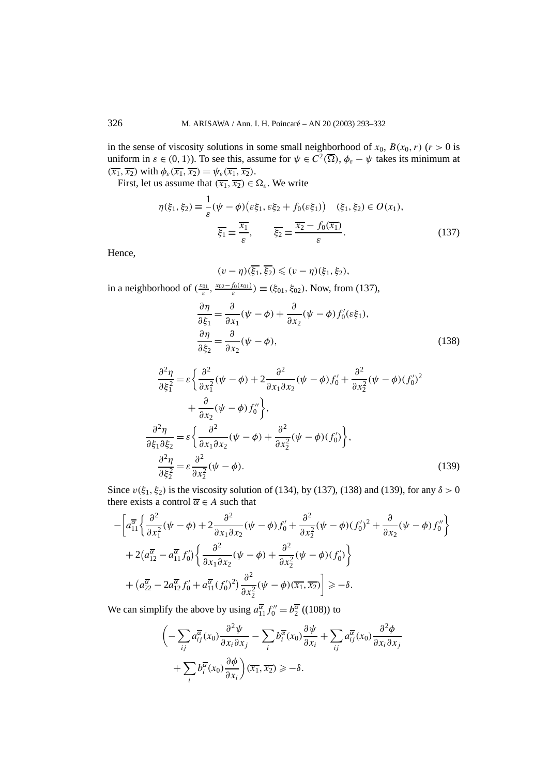in the sense of viscosity solutions in some small neighborhood of  $x_0$ ,  $B(x_0, r)$  ( $r > 0$  is uniform in  $\varepsilon \in (0, 1)$ ). To see this, assume for  $\psi \in C^2(\overline{\Omega})$ ,  $\phi_{\varepsilon} - \psi$  takes its minimum at  $(\overline{x_1}, \overline{x_2})$  with  $\phi_{\varepsilon}(\overline{x_1}, \overline{x_2}) = \psi_{\varepsilon}(\overline{x_1}, \overline{x_2})$ .

First, let us assume that  $(\overline{x_1}, \overline{x_2}) \in \Omega_{\varepsilon}$ . We write

$$
\eta(\xi_1, \xi_2) \equiv \frac{1}{\varepsilon} (\psi - \phi)(\varepsilon \xi_1, \varepsilon \xi_2 + f_0(\varepsilon \xi_1)) \quad (\xi_1, \xi_2) \in O(x_1),
$$
  

$$
\overline{\xi_1} \equiv \frac{\overline{x_1}}{\varepsilon}, \qquad \overline{\xi_2} \equiv \frac{\overline{x_2} - f_0(\overline{x_1})}{\varepsilon}.
$$
 (137)

Hence,

$$
(v-\eta)(\overline{\xi_1},\overline{\xi_2}) \leq (v-\eta)(\xi_1,\xi_2),
$$

in a neighborhood of  $(\frac{x_{01}}{\varepsilon}, \frac{x_{02} - f_0(x_{01})}{\varepsilon}) \equiv (\xi_{01}, \xi_{02})$ . Now, from (137),

$$
\frac{\partial \eta}{\partial \xi_1} = \frac{\partial}{\partial x_1} (\psi - \phi) + \frac{\partial}{\partial x_2} (\psi - \phi) f'_0(\varepsilon \xi_1),
$$
  

$$
\frac{\partial \eta}{\partial \xi_2} = \frac{\partial}{\partial x_2} (\psi - \phi),
$$
 (138)

$$
\frac{\partial^2 \eta}{\partial \xi_1^2} = \varepsilon \left\{ \frac{\partial^2}{\partial x_1^2} (\psi - \phi) + 2 \frac{\partial^2}{\partial x_1 \partial x_2} (\psi - \phi) f_0' + \frac{\partial^2}{\partial x_2^2} (\psi - \phi) (f_0')^2 + \frac{\partial}{\partial x_2} (\psi - \phi) f_0'' \right\},\
$$
  

$$
\frac{\partial^2 \eta}{\partial \xi_1 \partial \xi_2} = \varepsilon \left\{ \frac{\partial^2}{\partial x_1 \partial x_2} (\psi - \phi) + \frac{\partial^2}{\partial x_2^2} (\psi - \phi) (f_0') \right\},\
$$
  

$$
\frac{\partial^2 \eta}{\partial \xi_2^2} = \varepsilon \frac{\partial^2}{\partial x_2^2} (\psi - \phi).
$$
 (139)

Since  $v(\xi_1, \xi_2)$  is the viscosity solution of (134), by (137), (138) and (139), for any  $\delta > 0$ there exists a control  $\overline{\alpha} \in A$  such that

$$
-\left[a_{11}^{\overline{\alpha}}\left\{\frac{\partial^2}{\partial x_1^2}(\psi-\phi)+2\frac{\partial^2}{\partial x_1\partial x_2}(\psi-\phi)f_0'+\frac{\partial^2}{\partial x_2^2}(\psi-\phi)(f_0')^2+\frac{\partial}{\partial x_2}(\psi-\phi)f_0''\right\}\right] +2\left(a_{12}^{\overline{\alpha}}-a_{11}^{\overline{\alpha}}f_0'\right)\left\{\frac{\partial^2}{\partial x_1\partial x_2}(\psi-\phi)+\frac{\partial^2}{\partial x_2^2}(\psi-\phi)(f_0')\right\} + \left(a_{22}^{\overline{\alpha}}-2a_{12}^{\overline{\alpha}}f_0'+a_{11}^{\overline{\alpha}}(f_0')^2\right)\frac{\partial^2}{\partial x_2^2}(\psi-\phi)(\overline{x_1},\overline{x_2})\right]\geq -\delta.
$$

We can simplify the above by using  $a_{11}^{\overline{\alpha}} f_0'' = b_2^{\overline{\alpha}}$  ((108)) to

$$
\left(-\sum_{ij} a_{ij}^{\overline{\alpha}}(x_0) \frac{\partial^2 \psi}{\partial x_i \partial x_j} - \sum_i b_i^{\overline{\alpha}}(x_0) \frac{\partial \psi}{\partial x_i} + \sum_{ij} a_{ij}^{\overline{\alpha}}(x_0) \frac{\partial^2 \phi}{\partial x_i \partial x_j} + \sum_i b_i^{\overline{\alpha}}(x_0) \frac{\partial \phi}{\partial x_i} \right) (\overline{x_1}, \overline{x_2}) \ge -\delta.
$$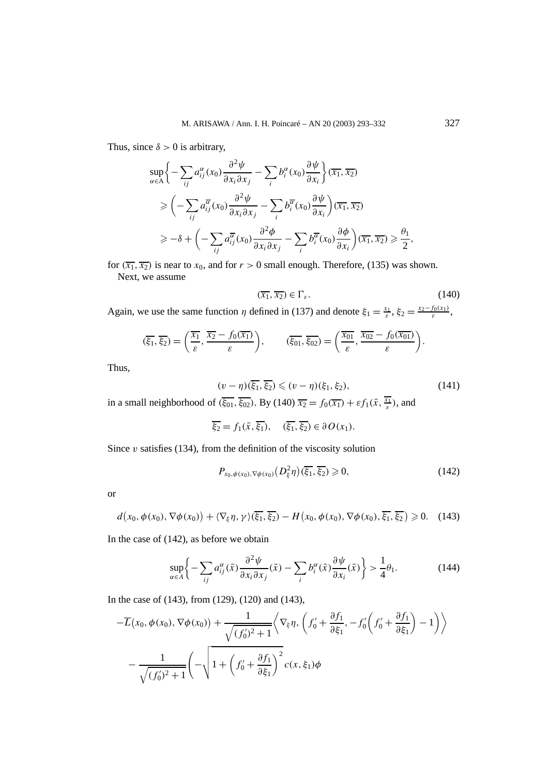Thus, since  $\delta > 0$  is arbitrary,

$$
\sup_{\alpha \in A} \left\{ -\sum_{ij} a_{ij}^{\alpha}(x_0) \frac{\partial^2 \psi}{\partial x_i \partial x_j} - \sum_i b_i^{\alpha}(x_0) \frac{\partial \psi}{\partial x_i} \right\} (\overline{x_1}, \overline{x_2})
$$
\n
$$
\geq \left( -\sum_{ij} a_{ij}^{\overline{\alpha}}(x_0) \frac{\partial^2 \psi}{\partial x_i \partial x_j} - \sum_i b_i^{\overline{\alpha}}(x_0) \frac{\partial \psi}{\partial x_i} \right) (\overline{x_1}, \overline{x_2})
$$
\n
$$
\geq -\delta + \left( -\sum_{ij} a_{ij}^{\overline{\alpha}}(x_0) \frac{\partial^2 \phi}{\partial x_i \partial x_j} - \sum_i b_i^{\overline{\alpha}}(x_0) \frac{\partial \phi}{\partial x_i} \right) (\overline{x_1}, \overline{x_2}) \geq \frac{\theta_1}{2},
$$

for  $(\overline{x_1}, \overline{x_2})$  is near to  $x_0$ , and for  $r > 0$  small enough. Therefore, (135) was shown. Next, we assume

$$
(\overline{x_1}, \overline{x_2}) \in \Gamma_{\varepsilon}.\tag{140}
$$

Again, we use the same function *η* defined in (137) and denote  $\xi_1 = \frac{x_1}{\varepsilon}, \xi_2 = \frac{x_2 - f_0(x_1)}{\varepsilon}$ ,

$$
(\overline{\xi_1}, \overline{\xi_2}) = \left(\frac{\overline{x_1}}{\varepsilon}, \frac{\overline{x_2} - f_0(\overline{x_1})}{\varepsilon}\right), \qquad (\overline{\xi_0_1}, \overline{\xi_0_2}) = \left(\frac{\overline{x_0_1}}{\varepsilon}, \frac{\overline{x_0_2} - f_0(\overline{x_0_1})}{\varepsilon}\right).
$$

Thus,

$$
(v-\eta)(\overline{\xi_1}, \overline{\xi_2}) \leq (v-\eta)(\xi_1, \xi_2),\tag{141}
$$

in a small neighborhood of  $(\overline{\xi_{01}}, \overline{\xi_{02}})$ . By (140)  $\overline{x_2} = f_0(\overline{x_1}) + \varepsilon f_1(\overline{x}, \overline{\frac{x_1}{\varepsilon}})$ , and

$$
\overline{\xi_2} = f_1(\bar{x}, \overline{\xi_1}), \quad (\overline{\xi_1}, \overline{\xi_2}) \in \partial O(x_1).
$$

Since  $v$  satisfies (134), from the definition of the viscosity solution

$$
P_{x_0,\phi(x_0),\nabla\phi(x_0)}\left(D_\xi^2\eta\right)\left(\overline{\xi_1},\overline{\xi_2}\right) \geqslant 0,\tag{142}
$$

or

$$
d(x_0, \phi(x_0), \nabla \phi(x_0)) + \langle \nabla_{\xi} \eta, \gamma \rangle(\overline{\xi_1}, \overline{\xi_2}) - H(x_0, \phi(x_0), \nabla \phi(x_0), \overline{\xi_1}, \overline{\xi_2}) \geq 0. \quad (143)
$$

In the case of (142), as before we obtain

$$
\sup_{\alpha \in A} \left\{ -\sum_{ij} a_{ij}^{\alpha}(\bar{x}) \frac{\partial^2 \psi}{\partial x_i \partial x_j}(\bar{x}) - \sum_i b_i^{\alpha}(\bar{x}) \frac{\partial \psi}{\partial x_i}(\bar{x}) \right\} > \frac{1}{4} \theta_1.
$$
 (144)

In the case of (143), from (129), (120) and (143),

$$
- \overline{L}(x_0, \phi(x_0), \nabla \phi(x_0)) + \frac{1}{\sqrt{(f'_0)^2 + 1}} \Big\langle \nabla_{\xi} \eta, \left( f'_0 + \frac{\partial f_1}{\partial \xi_1}, -f'_0 \left( f'_0 + \frac{\partial f_1}{\partial \xi_1} \right) - 1 \right) \Big\rangle
$$

$$
- \frac{1}{\sqrt{(f'_0)^2 + 1}} \Bigg( - \sqrt{1 + \left( f'_0 + \frac{\partial f_1}{\partial \xi_1} \right)^2} c(x, \xi_1) \phi
$$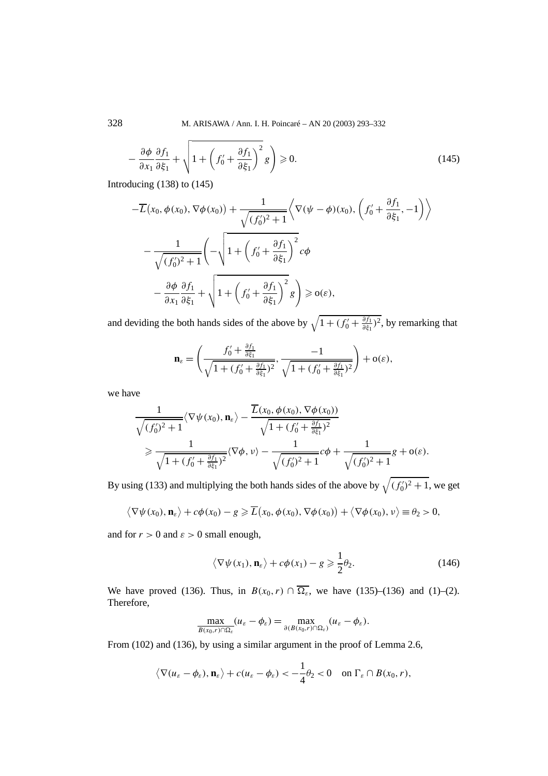$$
-\frac{\partial \phi}{\partial x_1} \frac{\partial f_1}{\partial \xi_1} + \sqrt{1 + \left(f'_0 + \frac{\partial f_1}{\partial \xi_1}\right)^2} g\right) \ge 0.
$$
 (145)

Introducing (138) to (145)

$$
- \overline{L}(x_0, \phi(x_0), \nabla \phi(x_0)) + \frac{1}{\sqrt{(f'_0)^2 + 1}} \Big\langle \nabla(\psi - \phi)(x_0), (f'_0 + \frac{\partial f_1}{\partial \xi_1}, -1) \Big\rangle
$$

$$
- \frac{1}{\sqrt{(f'_0)^2 + 1}} \Bigg( -\sqrt{1 + \left(f'_0 + \frac{\partial f_1}{\partial \xi_1}\right)^2} c\phi
$$

$$
- \frac{\partial \phi}{\partial x_1} \frac{\partial f_1}{\partial \xi_1} + \sqrt{1 + \left(f'_0 + \frac{\partial f_1}{\partial \xi_1}\right)^2} g \Bigg) \geqslant o(\varepsilon),
$$

and deviding the both hands sides of the above by  $\sqrt{1 + (f'_0 + \frac{\partial f_1}{\partial \xi_1})^2}$ , by remarking that

$$
\mathbf{n}_{\varepsilon} = \left(\frac{f_0' + \frac{\partial f_1}{\partial \xi_1}}{\sqrt{1 + (f_0' + \frac{\partial f_1}{\partial \xi_1})^2}}, \frac{-1}{\sqrt{1 + (f_0' + \frac{\partial f_1}{\partial \xi_1})^2}}\right) + o(\varepsilon),
$$

we have

$$
\frac{1}{\sqrt{(f'_0)^2+1}}\langle \nabla \psi(x_0), \mathbf{n}_{\varepsilon} \rangle - \frac{\overline{L}(x_0, \phi(x_0), \nabla \phi(x_0))}{\sqrt{1+(f'_0+\frac{\partial f_1}{\partial \xi_1})^2}}\n\geq \frac{1}{\sqrt{1+(f'_0+\frac{\partial f_1}{\partial \xi_1})^2}}\langle \nabla \phi, \nu \rangle - \frac{1}{\sqrt{(f'_0)^2+1}}c\phi + \frac{1}{\sqrt{(f'_0)^2+1}}g + o(\varepsilon).
$$

By using (133) and multiplying the both hands sides of the above by  $\sqrt{(f_0')^2 + 1}$ , we get

$$
\langle \nabla \psi(x_0), \mathbf{n}_{\varepsilon} \rangle + c\phi(x_0) - g \ge \overline{L}(x_0, \phi(x_0), \nabla \phi(x_0)) + \langle \nabla \phi(x_0), \nu \rangle \equiv \theta_2 > 0,
$$

and for  $r > 0$  and  $\varepsilon > 0$  small enough,

$$
\langle \nabla \psi(x_1), \mathbf{n}_{\varepsilon} \rangle + c\phi(x_1) - g \geqslant \frac{1}{2}\theta_2.
$$
 (146)

We have proved (136). Thus, in  $B(x_0, r) \cap \overline{\Omega_{\varepsilon}}$ , we have (135)–(136) and (1)–(2). Therefore,

$$
\max_{B(x_0,r)\cap\Omega_{\varepsilon}}(u_{\varepsilon}-\phi_{\varepsilon})=\max_{\partial(B(x_0,r)\cap\Omega_{\varepsilon})}(u_{\varepsilon}-\phi_{\varepsilon}).
$$

From (102) and (136), by using a similar argument in the proof of Lemma 2.6,

$$
\langle \nabla (u_{\varepsilon} - \phi_{\varepsilon}), \mathbf{n}_{\varepsilon} \rangle + c(u_{\varepsilon} - \phi_{\varepsilon}) < -\frac{1}{4}\theta_2 < 0
$$
 on  $\Gamma_{\varepsilon} \cap B(x_0, r)$ ,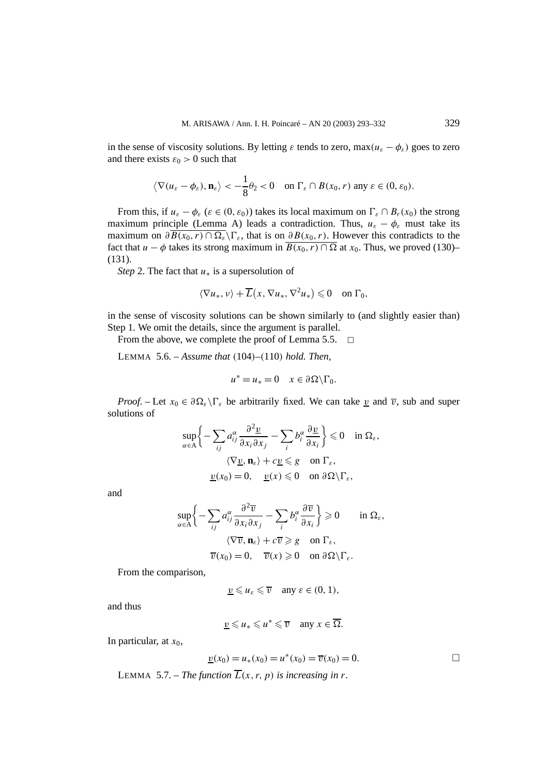in the sense of viscosity solutions. By letting  $\varepsilon$  tends to zero, max $(u_{\varepsilon} - \phi_{\varepsilon})$  goes to zero and there exists  $\varepsilon_0 > 0$  such that

$$
\langle \nabla (u_{\varepsilon} - \phi_{\varepsilon}), \mathbf{n}_{\varepsilon} \rangle < -\frac{1}{8} \theta_2 < 0
$$
 on  $\Gamma_{\varepsilon} \cap B(x_0, r)$  any  $\varepsilon \in (0, \varepsilon_0)$ .

From this, if  $u_{\varepsilon} - \phi_{\varepsilon}$  ( $\varepsilon \in (0, \varepsilon_0)$ ) takes its local maximum on  $\Gamma_{\varepsilon} \cap B_r(x_0)$  the strong maximum principle (Lemma A) leads a contradiction. Thus,  $u_{\varepsilon} - \phi_{\varepsilon}$  must take its maximum on  $\partial \overline{B(x_0, r) \cap \Omega_{\epsilon}} \backslash \Gamma_{\epsilon}$ , that is on  $\partial B(x_0, r)$ . However this contradicts to the fact that *u* − *φ* takes its strong maximum in  $\overline{B(x_0, r) \cap \Omega}$  at  $x_0$ . Thus, we proved (130)– (131).

*Step* 2. The fact that *u*<sup>∗</sup> is a supersolution of

$$
\langle \nabla u_*, v \rangle + \overline{L}(x, \nabla u_*, \nabla^2 u_*) \leq 0 \quad \text{on } \Gamma_0,
$$

in the sense of viscosity solutions can be shown similarly to (and slightly easier than) Step 1. We omit the details, since the argument is parallel.

From the above, we complete the proof of Lemma 5.5.  $\Box$ 

LEMMA 5.6. – *Assume that (*104*)–(*110*) hold. Then,*

$$
u^* = u_* = 0 \quad x \in \partial \Omega \backslash \Gamma_0.
$$

*Proof.* – Let  $x_0 \in \partial \Omega_\varepsilon \setminus \Gamma_\varepsilon$  be arbitrarily fixed. We can take <u>*v*</u> and  $\overline{v}$ , sub and super solutions of

$$
\sup_{\alpha \in A} \left\{ -\sum_{ij} a_{ij}^{\alpha} \frac{\partial^2 \underline{v}}{\partial x_i \partial x_j} - \sum_{i} b_i^{\alpha} \frac{\partial \underline{v}}{\partial x_i} \right\} \leq 0 \quad \text{in } \Omega_{\varepsilon},
$$

$$
\langle \nabla \underline{v}, \mathbf{n}_{\varepsilon} \rangle + c \underline{v} \leq g \quad \text{on } \Gamma_{\varepsilon},
$$

$$
\underline{v}(x_0) = 0, \quad \underline{v}(x) \leq 0 \quad \text{on } \partial \Omega \setminus \Gamma_{\varepsilon},
$$

and

$$
\sup_{\alpha \in A} \left\{ -\sum_{ij} a_{ij}^{\alpha} \frac{\partial^2 \overline{v}}{\partial x_i \partial x_j} - \sum_i b_i^{\alpha} \frac{\partial \overline{v}}{\partial x_i} \right\} \ge 0 \quad \text{in } \Omega_{\varepsilon},
$$

$$
\langle \nabla \overline{v}, \mathbf{n}_{\varepsilon} \rangle + c \overline{v} \ge g \quad \text{on } \Gamma_{\varepsilon},
$$

$$
\overline{v}(x_0) = 0, \quad \overline{v}(x) \ge 0 \quad \text{on } \partial \Omega \setminus \Gamma_{\varepsilon}.
$$

From the comparison,

$$
\underline{v} \leqslant u_{\varepsilon} \leqslant \overline{v} \quad \text{any } \varepsilon \in (0, 1),
$$

and thus

$$
\underline{v} \leq u_* \leq u^* \leq \overline{v} \quad \text{any } x \in \overline{\Omega}.
$$

In particular, at  $x_0$ ,

$$
\underline{v}(x_0) = u_*(x_0) = u^*(x_0) = \overline{v}(x_0) = 0.
$$

LEMMA 5.7. – *The function*  $\overline{L}(x, r, p)$  *is increasing in r.*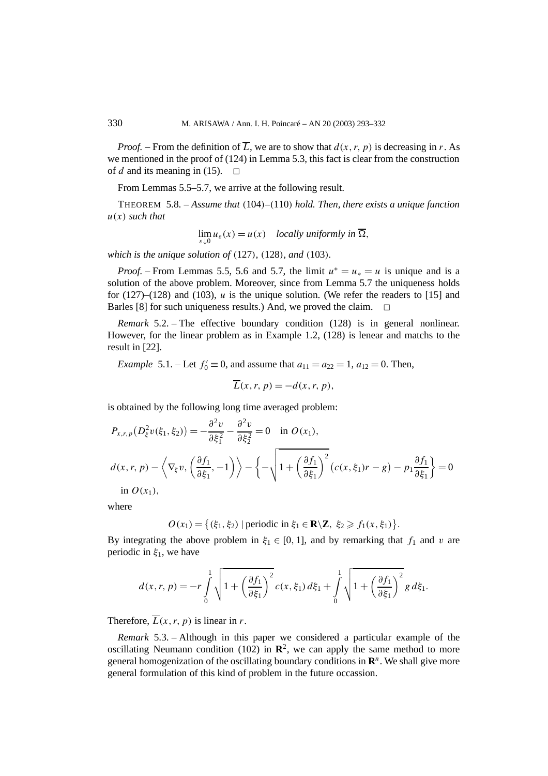*Proof.* – From the definition of  $\overline{L}$ , we are to show that  $d(x, r, p)$  is decreasing in *r*. As we mentioned in the proof of (124) in Lemma 5.3, this fact is clear from the construction of *d* and its meaning in (15).  $\Box$ 

From Lemmas 5.5–5.7, we arrive at the following result.

THEOREM 5.8. – *Assume that (*104*)–(*110*) hold. Then, there exists a unique function u(x) such that*

$$
\lim_{\varepsilon \downarrow 0} u_{\varepsilon}(x) = u(x) \quad locally \text{ uniformly in } \overline{\Omega},
$$

*which is the unique solution of (*127*), (*128*), and (*103*).*

*Proof.* – From Lemmas 5.5, 5.6 and 5.7, the limit  $u^* = u_* = u$  is unique and is a solution of the above problem. Moreover, since from Lemma 5.7 the uniqueness holds for  $(127)$ – $(128)$  and  $(103)$ , *u* is the unique solution. (We refer the readers to [15] and Barles [8] for such uniqueness results.) And, we proved the claim.  $\Box$ 

*Remark* 5.2. – The effective boundary condition (128) is in general nonlinear. However, for the linear problem as in Example 1.2, (128) is lenear and matchs to the result in [22].

*Example* 5.1. – Let  $f_0' \equiv 0$ , and assume that  $a_{11} = a_{22} = 1$ ,  $a_{12} = 0$ . Then,

$$
\overline{L}(x, r, p) = -d(x, r, p),
$$

is obtained by the following long time averaged problem:

$$
P_{x,r,p}(D_{\xi}^{2}v(\xi_{1},\xi_{2})) = -\frac{\partial^{2}v}{\partial \xi_{1}^{2}} - \frac{\partial^{2}v}{\partial \xi_{2}^{2}} = 0 \quad \text{in } O(x_{1}),
$$
  

$$
d(x,r,p) - \left\langle \nabla_{\xi}v, \left(\frac{\partial f_{1}}{\partial \xi_{1}}, -1\right) \right\rangle - \left\{ -\sqrt{1 + \left(\frac{\partial f_{1}}{\partial \xi_{1}}\right)^{2}} \left(c(x,\xi_{1})r - g\right) - p_{1}\frac{\partial f_{1}}{\partial \xi_{1}}\right\} = 0
$$
  
in  $O(x_{1}),$ 

where

 $O(x_1) = \{(\xi_1, \xi_2) | \text{periodic in } \xi_1 \in \mathbb{R} \setminus \mathbb{Z}, \xi_2 \geq f_1(x, \xi_1)\}.$ 

By integrating the above problem in  $\xi_1 \in [0, 1]$ , and by remarking that  $f_1$  and  $v$  are periodic in *ξ*1, we have

$$
d(x,r,p) = -r \int_0^1 \sqrt{1 + \left(\frac{\partial f_1}{\partial \xi_1}\right)^2} c(x,\xi_1) d\xi_1 + \int_0^1 \sqrt{1 + \left(\frac{\partial f_1}{\partial \xi_1}\right)^2} g d\xi_1.
$$

Therefore,  $\overline{L}(x, r, p)$  is linear in *r*.

*Remark* 5.3. – Although in this paper we considered a particular example of the oscillating Neumann condition (102) in  $\mathbb{R}^2$ , we can apply the same method to more general homogenization of the oscillating boundary conditions in **R***<sup>n</sup>*. We shall give more general formulation of this kind of problem in the future occassion.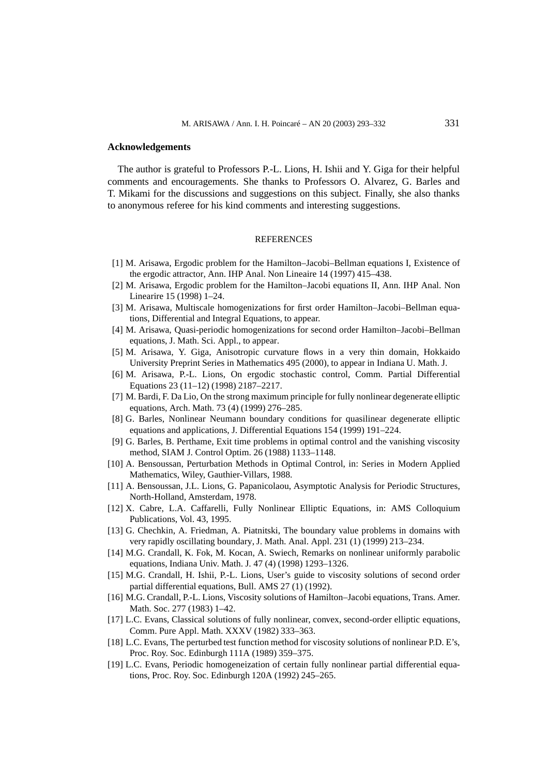#### **Acknowledgements**

The author is grateful to Professors P.-L. Lions, H. Ishii and Y. Giga for their helpful comments and encouragements. She thanks to Professors O. Alvarez, G. Barles and T. Mikami for the discussions and suggestions on this subject. Finally, she also thanks to anonymous referee for his kind comments and interesting suggestions.

### **REFERENCES**

- [1] M. Arisawa, Ergodic problem for the Hamilton–Jacobi–Bellman equations I, Existence of the ergodic attractor, Ann. IHP Anal. Non Lineaire 14 (1997) 415–438.
- [2] M. Arisawa, Ergodic problem for the Hamilton–Jacobi equations II, Ann. IHP Anal. Non Linearire 15 (1998) 1–24.
- [3] M. Arisawa, Multiscale homogenizations for first order Hamilton–Jacobi–Bellman equations, Differential and Integral Equations, to appear.
- [4] M. Arisawa, Quasi-periodic homogenizations for second order Hamilton–Jacobi–Bellman equations, J. Math. Sci. Appl., to appear.
- [5] M. Arisawa, Y. Giga, Anisotropic curvature flows in a very thin domain, Hokkaido University Preprint Series in Mathematics 495 (2000), to appear in Indiana U. Math. J.
- [6] M. Arisawa, P.-L. Lions, On ergodic stochastic control, Comm. Partial Differential Equations 23 (11–12) (1998) 2187–2217.
- [7] M. Bardi, F. Da Lio, On the strong maximum principle for fully nonlinear degenerate elliptic equations, Arch. Math. 73 (4) (1999) 276–285.
- [8] G. Barles, Nonlinear Neumann boundary conditions for quasilinear degenerate elliptic equations and applications, J. Differential Equations 154 (1999) 191–224.
- [9] G. Barles, B. Perthame, Exit time problems in optimal control and the vanishing viscosity method, SIAM J. Control Optim. 26 (1988) 1133–1148.
- [10] A. Bensoussan, Perturbation Methods in Optimal Control, in: Series in Modern Applied Mathematics, Wiley, Gauthier-Villars, 1988.
- [11] A. Bensoussan, J.L. Lions, G. Papanicolaou, Asymptotic Analysis for Periodic Structures, North-Holland, Amsterdam, 1978.
- [12] X. Cabre, L.A. Caffarelli, Fully Nonlinear Elliptic Equations, in: AMS Colloquium Publications, Vol. 43, 1995.
- [13] G. Chechkin, A. Friedman, A. Piatnitski, The boundary value problems in domains with very rapidly oscillating boundary, J. Math. Anal. Appl. 231 (1) (1999) 213–234.
- [14] M.G. Crandall, K. Fok, M. Kocan, A. Swiech, Remarks on nonlinear uniformly parabolic equations, Indiana Univ. Math. J. 47 (4) (1998) 1293–1326.
- [15] M.G. Crandall, H. Ishii, P.-L. Lions, User's guide to viscosity solutions of second order partial differential equations, Bull. AMS 27 (1) (1992).
- [16] M.G. Crandall, P.-L. Lions, Viscosity solutions of Hamilton–Jacobi equations, Trans. Amer. Math. Soc. 277 (1983) 1–42.
- [17] L.C. Evans, Classical solutions of fully nonlinear, convex, second-order elliptic equations, Comm. Pure Appl. Math. XXXV (1982) 333–363.
- [18] L.C. Evans, The perturbed test function method for viscosity solutions of nonlinear P.D. E's, Proc. Roy. Soc. Edinburgh 111A (1989) 359–375.
- [19] L.C. Evans, Periodic homogeneization of certain fully nonlinear partial differential equations, Proc. Roy. Soc. Edinburgh 120A (1992) 245–265.